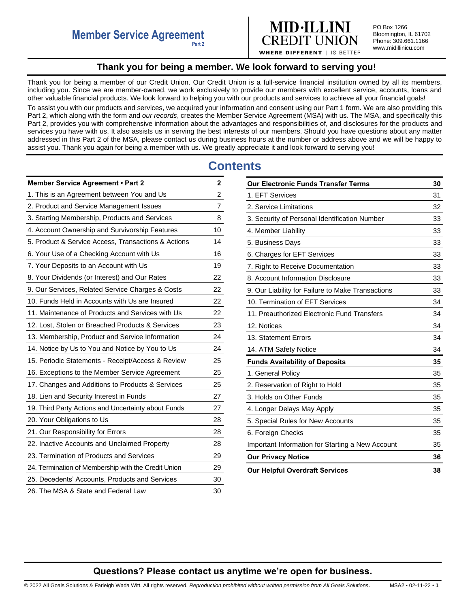

PO Box 1266 Bloomington, IL 61702 Phone: 309.661.1166 www.midillinicu.com

## **Thank you for being a member. We look forward to serving you!**

<span id="page-0-0"></span>Thank you for being a member of our Credit Union. Our Credit Union is a full-service financial institution owned by all its members, including you. Since we are member-owned, we work exclusively to provide our members with excellent service, accounts, loans and other valuable financial products. We look forward to helping you with our products and services to achieve all your financial goals!

To assist you with our products and services, we acquired your information and consent using our Part 1 form. We are also providing this Part 2, which along with the form and *our records*, creates the Member Service Agreement (MSA) with us. The MSA, and specifically this Part 2, provides you with comprehensive information about the advantages and responsibilities of, and disclosures for the products and services you have with us. It also assists us in serving the best interests of our members. Should you have questions about any matter addressed in this Part 2 of the MSA, please contact us during business hours at the number or address above and we will be happy to assist you. Thank you again for being a member with us. We greatly appreciate it and look forward to serving you!

# **Contents**

| <b>Member Service Agreement • Part 2</b>            | 2              |
|-----------------------------------------------------|----------------|
| 1. This is an Agreement between You and Us          | $\overline{c}$ |
| 2. Product and Service Management Issues            | $\overline{7}$ |
| 3. Starting Membership, Products and Services       | 8              |
| 4. Account Ownership and Survivorship Features      | 10             |
| 5. Product & Service Access, Transactions & Actions | 14             |
| 6. Your Use of a Checking Account with Us           | 16             |
| 7. Your Deposits to an Account with Us              | 19             |
| 8. Your Dividends (or Interest) and Our Rates       | 22             |
| 9. Our Services, Related Service Charges & Costs    | 22             |
| 10. Funds Held in Accounts with Us are Insured      | 22             |
| 11. Maintenance of Products and Services with Us    | 22             |
| 12. Lost, Stolen or Breached Products & Services    | 23             |
| 13. Membership, Product and Service Information     | 24             |
| 14. Notice by Us to You and Notice by You to Us     | 24             |
| 15. Periodic Statements - Receipt/Access & Review   | 25             |
| 16. Exceptions to the Member Service Agreement      | 25             |
| 17. Changes and Additions to Products & Services    | 25             |
| 18. Lien and Security Interest in Funds             | 27             |
| 19. Third Party Actions and Uncertainty about Funds | 27             |
| 20. Your Obligations to Us                          | 28             |
| 21. Our Responsibility for Errors                   | 28             |
| 22. Inactive Accounts and Unclaimed Property        | 28             |
| 23. Termination of Products and Services            | 29             |
| 24. Termination of Membership with the Credit Union | 29             |
| 25. Decedents' Accounts, Products and Services      | 30             |
| 26. The MSA & State and Federal Law                 | 30             |

| <b>Our Electronic Funds Transfer Terms</b>        | 30 |
|---------------------------------------------------|----|
| 1. EFT Services                                   | 31 |
| 2. Service Limitations                            | 32 |
| 3. Security of Personal Identification Number     | 33 |
| 4. Member Liability                               | 33 |
| 5. Business Days                                  | 33 |
| 6. Charges for EFT Services                       | 33 |
| 7. Right to Receive Documentation                 | 33 |
| 8. Account Information Disclosure                 | 33 |
| 9. Our Liability for Failure to Make Transactions | 33 |
| 10. Termination of EFT Services                   | 34 |
| 11. Preauthorized Electronic Fund Transfers       | 34 |
| 12. Notices                                       | 34 |
| 13. Statement Errors                              | 34 |
| 14. ATM Safety Notice                             | 34 |
| <b>Funds Availability of Deposits</b>             | 35 |
| 1. General Policy                                 | 35 |
| 2. Reservation of Right to Hold                   | 35 |
| 3. Holds on Other Funds                           | 35 |
| 4. Longer Delays May Apply                        | 35 |
| 5. Special Rules for New Accounts                 | 35 |
| 6. Foreign Checks                                 | 35 |
| Important Information for Starting a New Account  | 35 |
| <b>Our Privacy Notice</b>                         | 36 |
| <b>Our Helpful Overdraft Services</b>             | 38 |

# **Questions? Please contact us anytime we're open for business.**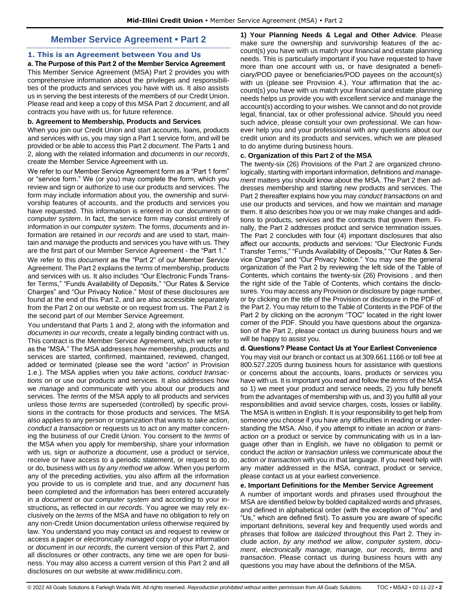# **Member Service Agreement • Part 2**

## <span id="page-1-1"></span><span id="page-1-0"></span>**1. This is an Agreement between You and Us**

**a. The Purpose of this Part 2 of the Member Service Agreement**  This Member Service Agreement (MSA) Part 2 provides you with comprehensive information about the privileges and responsibilities of the products and services you have with us. It also assists us in serving the best interests of the members of our Credit Union. Please read and keep a copy of this MSA Part 2 *document*, and all contracts you have with us, for future reference.

### **b. Agreement to Membership, Products and Services**

When you join our Credit Union and start accounts, loans, products and services with us, you may sign a Part 1 service form, and will be provided or be able to access this Part 2 *document*. The Parts 1 and 2, along with the related information and *documents* in *our records*, create the Member Service Agreement with us.

We refer to our Member Service Agreement form as a "Part 1 form" or "service form." We (or you) may complete the form, which you review and sign or authorize to use our products and services. The form may include information about you, the ownership and survivorship features of accounts, and the products and services you have requested. This information is entered in our *documents* or *computer system*. In fact, the service form may consist entirely of information in our *computer system*. The forms, *documents* and information are retained in *our records* and are used to start, maintain and *manage* the products and services you have with us. They are the first part of our Member Service Agreement - the "Part 1."

We refer to this *document* as the "Part 2" of our Member Service Agreement. The Part 2 explains the *terms* of membership, products and services with us. It also includes "Our Electronic Funds Transfer Terms," "Funds Availability of Deposits," "Our Rates & Service Charges" and "Our Privacy Notice." Most of these disclosures are found at the end of this Part 2, and are also accessible separately from the Part 2 on our website or on request from us. The Part 2 is the second part of our Member Service Agreement.

You understand that Parts 1 and 2, along with the information and *documents* in *our records*, create a legally binding contract with us. This contract is the Member Service Agreement, which we refer to as the "MSA." The MSA addresses how membership, products and services are started, confirmed, maintained, reviewed, changed, added or terminated (please see the word "*action*" in Provision 1.e.). The MSA applies when you *take actions, conduct transactions on* or use our products and services. It also addresses how we *manage* and communicate with you about our products and services. The *terms* of the MSA apply to all products and services unless those *terms* are superseded (controlled) by specific provisions in the contracts for those products and services. The MSA also applies to any person or organization that wants to *take action*, *conduct a transaction* or requests us to act on any matter concerning the business of our Credit Union. You consent to the *terms* of the MSA when you apply for membership, share your information with us, sign or authorize a *document*, use a product or service, receive or have access to a periodic statement, or request to do, or do, business with us *by any method we allow*. When you perform any of the preceding activities, you also affirm all the information you provide to us is complete and true, and any *document* has been completed and the information has been entered accurately in a *document* or our *computer system* and according to your instructions**,** as reflected in *our records*. You agree we may rely exclusively on the *terms* of the MSA and have no obligation to rely on any non-Credit Union documentation unless otherwise required by law. You understand you may contact us and request to review or access a paper or *electronically managed* copy of your information or *document* in *our records*, the current version of this Part 2, and all disclosures or other contracts, any time we are open for business. You may also access a current version of this Part 2 and all disclosures on our website at www.midillinicu.com.

**1) Your Planning Needs & Legal and Other Advice**. Please make sure the ownership and survivorship features of the account(s) you have with us match your financial and estate planning needs. This is particularly important if you have requested to have more than one account with us, or have designated a beneficiary/POD payee or beneficiaries/POD payees on the account(s) with us (please see Provision 4.). Your affirmation that the account(s) you have with us match your financial and estate planning needs helps us provide you with excellent service and manage the account(s) according to your wishes. We cannot and do not provide legal, financial, tax or other professional advice. Should you need such advice, please consult your own professional. We can however help you and your professional with any questions about our credit union and its products and services, which we are pleased to do anytime during business hours.

#### **c. Organization of this Part 2 of the MSA**

The twenty-six (26) Provisions of the Part 2 are organized chronologically, starting with important information, definitions and *management* matters you should know about the MSA. The Part 2 then addresses membership and starting new products and services. The Part 2 thereafter explains how you may *conduct transactions on* and use our products and services, and how we maintain and *manage*  them. It also describes how you or we may make changes and additions to products, services and the contracts that govern them. Finally, the Part 2 addresses product and service termination issues. The Part 2 concludes with four (4) important disclosures that also affect our accounts, products and services: "Our Electronic Funds Transfer Terms," "Funds Availability of Deposits," "Our Rates & Service Charges" and "Our Privacy Notice." You may see the general organization of the Part 2 by reviewing the left side of the Table of Contents, which contains the twenty-six (26) Provisions , and then the right side of the Table of Contents, which contains the disclosures. You may access any Provision or disclosure by page number, or by clicking on the title of the Provision or disclosure in the PDF of the Part 2. You may return to the Table of Contents in the PDF of the Part 2 by clicking on the acronym "TOC" located in the right lower corner of the PDF. Should you have questions about the organization of the Part 2, please contact us during business hours and we will be happy to assist you.

## **d. Questions? Please Contact Us at Your Earliest Convenience**

You may visit our branch or contact us at 309.661.1166 or toll free at 800.527.2205 during business hours for assistance with questions or concerns about the accounts, loans, products or services you have with us. It is important you read and follow the *terms* of the MSA so 1) we meet your product and service needs, 2) you fully benefit from the advantages of membership with us, and 3) you fulfill all your responsibilities and avoid service charges, costs, losses or liability. The MSA is written in English. It is your responsibility to get help from someone you choose if you have any difficulties in reading or understanding the MSA. Also, if you attempt to initiate an *action* or *transaction on* a product or service by communicating with us in a language other than in English, we have no obligation to permit or conduct the *action* or *transaction* unless we communicate about the *action or transaction* with you in that language. If you need help with any matter addressed in the MSA, contract, product or service, please contact us at your earliest convenience.

#### **e. Important Definitions for the Member Service Agreement**

A number of important words and phrases used throughout the MSA are identified below by bolded capitalized words and phrases, and defined in alphabetical order (with the exception of "You" and "Us," which are defined first). To assure you are aware of specific important definitions, several key and frequently used words and phrases that follow are *italicized* throughout this Part 2. They include *action*, *by any method we allow*, *computer system*, *document*, *electronically manage, manage, our records, terms* and *transaction*. Please contact us during business hours with any questions you may have about the definitions of the MSA.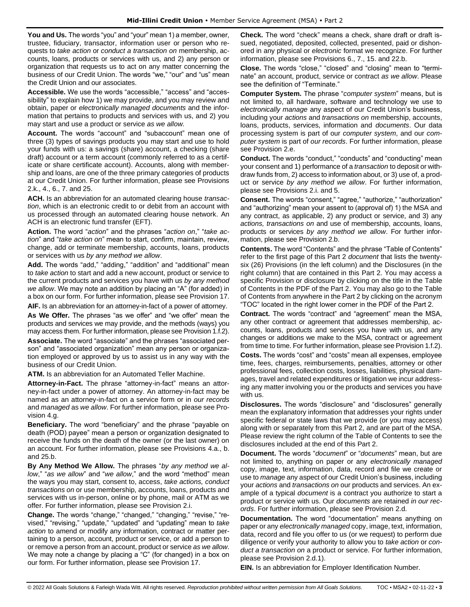**You and Us.** The words "you" and "your" mean 1) a member, owner, trustee, fiduciary, transactor, information user or person who requests to *take action* or *conduct a transaction on* membership, accounts, loans, products or services with us, and 2) any person or organization that requests us to act on any matter concerning the business of our Credit Union. The words "we," "our" and "us" mean the Credit Union and our associates.

**Accessible.** We use the words "accessible," "access" and "accessibility" to explain how 1) we may provide, and you may review and obtain, paper or *electronically managed documents* and the information that pertains to products and services with us, and 2) you may start and use a product or service *as we allow.* 

**Account.** The words "account" and "subaccount" mean one of three (3) types of savings products you may start and use to hold your funds with us: a savings (share) account, a checking (share draft) account or a term account (commonly referred to as a certificate or share certificate account). Accounts, along with membership and loans, are one of the three primary categories of products at our Credit Union. For further information, please see Provisions 2.k., 4., 6., 7. and 25.

**ACH.** Is an abbreviation for an automated clearing house *transaction*, which is an electronic credit to or debit from an account with us processed through an automated clearing house network. An ACH is an electronic fund transfer (EFT).

**Action.** The word "*action*" and the phrases "*action on*," "*take action*" and "*take action on*" mean to start, confirm, maintain, review, change, add or terminate membership, accounts, loans, products or services with us *by any method we allow*.

**Add.** The words "add," "adding," "addition" and "additional" mean to *take action* to start and add a new account, product or service to the current products and services you have with us *by any method we allow*. We may note an addition by placing an "A" (for added) in a box on our form. For further information, please see Provision 17.

**AIF.** Is an abbreviation for an attorney-in-fact of a power of attorney.

**As We Offer.** The phrases "as we offer" and "we offer" mean the products and services we may provide, and the methods (ways) you may access them. For further information, please see Provision 1.f.2).

**Associate.** The word "associate" and the phrases "associated person" and "associated organization" mean any person or organization employed or approved by us to assist us in any way with the business of our Credit Union.

**ATM.** Is an abbreviation for an Automated Teller Machine.

**Attorney-in-Fact.** The phrase "attorney-in-fact" means an attorney-in-fact under a power of attorney. An attorney-in-fact may be named as an attorney-in-fact on a service form or in *our records* and *managed* as *we allow*. For further information, please see Provision 4.g.

**Beneficiary.** The word "beneficiary" and the phrase "payable on death (POD) payee" mean a person or organization designated to receive the funds on the death of the owner (or the last owner) on an account. For further information, please see Provisions 4.a., b. and 25.b.

**By Any Method We Allow.** The phrases "*by any method we allow*," "*as we allow*" and "*we allow*," and the word "method" mean the ways you may start, consent to, access, *take actions, conduct transactions on* or use membership, accounts, loans, products and services with us in-person, online or by phone, mail or ATM as we offer. For further information, please see Provision 2.i.

**Change.** The words "change," "changed," "changing," "revise," "revised," "revising," "update," "updated" and "updating" mean to *take action* to amend or modify any information, contract or matter pertaining to a person, account, product or service, or add a person to or remove a person from an account, product or service *as we allow*. We may note a change by placing a "C" (for changed) in a box on our form. For further information, please see Provision 17.

**Check.** The word "check" means a check, share draft or draft issued, negotiated, deposited, collected, presented, paid or dishonored in any physical or *electronic* format we recognize. For further information, please see Provisions 6., 7., 15. and 22.b.

**Close.** The words "close," "closed" and "closing" mean to "terminate" an account, product, service or contract *as we allow*. Please see the definition of "Terminate."

**Computer System.** The phrase "*computer system*" means, but is not limited to, all hardware, software and technology we use to *electronically manage* any aspect of our Credit Union's business, including your *actions* and *transactions on* membership, accounts, loans, products, services, information and *documents*. Our data processing system is part of our *computer system*, and our *computer system* is part of *our records*. For further information, please see Provision 2.e.

**Conduct.** The words "conduct," "conducts" and "conducting" mean your consent and 1) performance of a *transaction* to deposit or withdraw funds from, 2) access to information about, or 3) use of, a product or service *by any method we allow*. For further information, please see Provisions 2.i. and 5.

**Consent.** The words "consent," "agree," "authorize," "authorization" and "authorizing" mean your assent to (approval of) 1) the MSA and any contract, as applicable, 2) any product or service, and 3) any *actions, transactions on* and use of membership, accounts, loans, products or services *by any method we allow*. For further information, please see Provision 2.b.

**Contents.** The word "Contents" and the phrase "Table of Contents" refer to the first page of this Part 2 *document* that lists the twentysix (26) Provisions (in the left column) and the Disclosures (in the right column) that are contained in this Part 2. You may access a specific Provision or disclosure by clicking on the title in the Table of Contents in the PDF of the Part 2. You may also go to the Table of Contents from anywhere in the Part 2 by clicking on the acronym "TOC" located in the right lower corner in the PDF of the Part 2.

**Contract.** The words "contract" and "agreement" mean the MSA, any other contract or agreement that addresses membership, accounts, loans, products and services you have with us, and any changes or additions we make to the MSA, contract or agreement from time to time. For further information, please see Provision 1.f.2). **Costs.** The words "cost" and "costs" mean all expenses, employee time, fees, charges, reimbursements, penalties, attorney or other professional fees, collection costs, losses, liabilities, physical damages, travel and related expenditures or litigation we incur addressing any matter involving you or the products and services you have with us.

**Disclosures.** The words "disclosure" and "disclosures" generally mean the explanatory information that addresses your rights under specific federal or state laws that we provide (or you may access) along with or separately from this Part 2, and are part of the MSA. Please review the right column of the Table of Contents to see the disclosures included at the end of this Part 2.

**Document.** The words "*document*" or "*documents*" mean, but are not limited to, anything on paper or any *electronically managed* copy, image, text, information, data, record and file we create or use to *manage* any aspect of our Credit Union's business, including your *actions* and *transactions on* our products and services. An example of a typical *document* is a contract you authorize to start a product or service with us. Our *documents* are retained *in our records*. For further information, please see Provision 2.d.

**Documentation.** The word "documentation" means anything on paper or any *electronically managed* copy, image, text, information, data, record and file you offer to us (or we request) to perform due diligence or verify your authority to allow you to *take action* or *conduct a transaction on* a product or service. For further information, please see Provision 2.d.1).

**EIN.** Is an abbreviation for Employer Identification Number.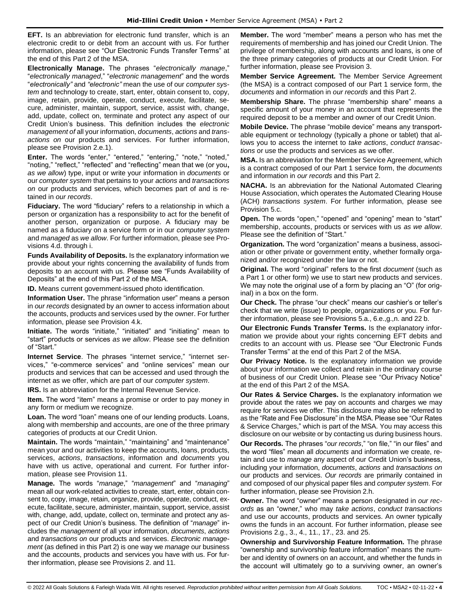**EFT.** Is an abbreviation for electronic fund transfer, which is an electronic credit to or debit from an account with us. For further information, please see "Our Electronic Funds Transfer Terms" at the end of this Part 2 of the MSA.

**Electronically Manage.** The phrases "*electronically manage*," "*electronically managed*," "*electronic management*" and the words "*electronically"* and *"electronic"* mean the use of our *computer system* and technology to create, start, enter, obtain consent to, copy, image, retain, provide, operate, conduct, execute, facilitate, secure, administer, maintain, support, service, assist with, change, add, update, collect on, terminate and protect any aspect of our Credit Union's business. This definition includes the *electronic management of* all your information, *documents*, *actions* and *transactions on* our products and services. For further information, please see Provision 2.e.1).

**Enter.** The words "enter," "entered," "entering," "note," "noted," "noting," "reflect," "reflected" and "reflecting" mean that we (or you**,** *as we allow*) type, input or write your information in *documents* or our *computer system* that pertains to your *actions* and *transactions on* our products and services, which becomes part of and is retained in *our records*.

**Fiduciary.** The word "fiduciary" refers to a relationship in which a person or organization has a responsibility to act for the benefit of another person, organization or purpose. A fiduciary may be named as a fiduciary on a service form or in our *computer system* and *managed* as *we allow*. For further information, please see Provisions 4.d. through i.

**Funds Availability of Deposits.** Is the explanatory information we provide about your rights concerning the availability of funds from deposits to an account with us. Please see "Funds Availability of Deposits" at the end of this Part 2 of the MSA.

**ID.** Means current government-issued photo identification.

**Information User.** The phrase "information user" means a person in *our records* designated by an owner to access information about the accounts, products and services used by the owner. For further information, please see Provision 4.k.

**Initiate.** The words "initiate," "initiated" and "initiating" mean to "start" products or services *as we allow*. Please see the definition of "Start."

**Internet Service**. The phrases "internet service," "internet services," "e-commerce services" and "online services" mean our products and services that can be accessed and used through the internet as we offer, which are part of our *computer system*.

**IRS.** Is an abbreviation for the Internal Revenue Service.

**Item.** The word "item" means a promise or order to pay money in any form or medium we recognize.

**Loan.** The word "loan" means one of our lending products. Loans, along with membership and accounts, are one of the three primary categories of products at our Credit Union.

**Maintain.** The words "maintain," "maintaining" and "maintenance" mean your and our activities to keep the accounts, loans, products, services, *actions*, *transactions*, information and *documents* you have with us active, operational and current. For further information, please see Provision 11.

**Manage.** The words "*manage*," "*management*" and "*managing*" mean all our work-related activities to create, start, enter, obtain consent to, copy, image, retain, organize, provide, operate, conduct, execute, facilitate, secure, administer, maintain, support, service, assist with, change, add, update, collect on, terminate and protect any aspect of our Credit Union's business. The definition of "*manage*" includes the *management* of all your information, *documents*, *actions* and *transactions on* our products and services. *Electronic management* (as defined in this Part 2) is one way we *manage* our business and the accounts, products and services you have with us. For further information, please see Provisions 2. and 11.

**Member.** The word "member" means a person who has met the requirements of membership and has joined our Credit Union. The privilege of membership, along with accounts and loans, is one of the three primary categories of products at our Credit Union. For further information, please see Provision 3.

**Member Service Agreement.** The Member Service Agreement (the MSA) is a contract composed of our Part 1 service form, the *documents* and information in *our records* and this Part 2.

**Membership Share.** The phrase "membership share" means a specific amount of your money in an account that represents the required deposit to be a member and owner of our Credit Union.

**Mobile Device.** The phrase "mobile device" means any transportable equipment or technology (typically a phone or tablet) that allows you to access the internet to *take actions*, *conduct transactions* or use the products and services as we offer.

**MSA.** Is an abbreviation for the Member Service Agreement, which is a contract composed of our Part 1 service form, the *documents* and information in *our records* and this Part 2.

**NACHA.** Is an abbreviation for the National Automated Clearing House Association, which operates the Automated Clearing House (ACH) *transactions system*. For further information, please see Provision 5.c.

**Open.** The words "open," "opened" and "opening" mean to "start" membership, accounts, products or services with us *as we allow*. Please see the definition of "Start."

**Organization.** The word "organization" means a business, association or other private or government entity, whether formally organized and/or recognized under the law or not.

**Original.** The word "original" refers to the first *document* (such as a Part 1 or other form) we use to start new products and services. We may note the original use of a form by placing an "O" (for original) in a box on the form.

**Our Check.** The phrase "our check" means our cashier's or teller's check that we write (issue) to people, organizations or you. For further information, please see Provisions 5.a., 6.e.,g.,n. and 22 b.

**Our Electronic Funds Transfer Terms.** Is the explanatory information we provide about your rights concerning EFT debits and credits to an account with us. Please see "Our Electronic Funds Transfer Terms" at the end of this Part 2 of the MSA.

**Our Privacy Notice.** Is the explanatory information we provide about your information we collect and retain in the ordinary course of business of our Credit Union. Please see "Our Privacy Notice" at the end of this Part 2 of the MSA.

**Our Rates & Service Charges.** Is the explanatory information we provide about the rates we pay on accounts and charges we may require for services we offer. This disclosure may also be referred to as the "Rate and Fee Disclosure" in the MSA. Please see "Our Rates & Service Charges," which is part of the MSA. You may access this disclosure on our website or by contacting us during business hours. **Our Records.** The phrases "*our records*," "on file," "in our files" and the word "files" mean all *documents* and information we create, retain and use to *manage* any aspect of our Credit Union's business, including your information, *documents*, *actions* and *transactions on* our products and services. *Our records* are primarily contained in and composed of our physical paper files and *computer system*. For further information, please see Provision 2.h.

**Owner.** The word "owner" means a person designated in *our records* as an "owner," who may *take actions*, *conduct transactions*  and use our accounts, products and services. An owner typically owns the funds in an account. For further information, please see Provisions 2.g., 3., 4., 11., 17., 23. and 25.

**Ownership and Survivorship Feature Information.** The phrase "ownership and survivorship feature information" means the number and identity of owners on an account, and whether the funds in the account will ultimately go to a surviving owner, an owner's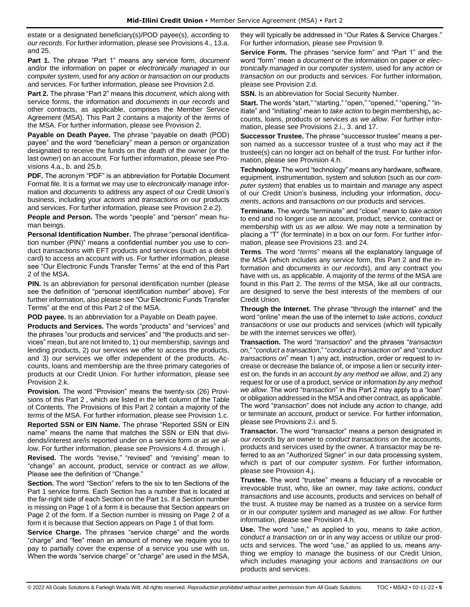estate or a designated beneficiary(s)/POD payee(s), according to *our records*. For further information, please see Provisions 4., 13.a. and 25.

**Part 1.** The phrase "Part 1" means any service form, *document* and/or the information on paper or *electronically managed* in our *computer system*, used for any *action* or *transaction on* our products and services. For further information, please see Provision 2.d.

**Part 2.** The phrase "Part 2" means this *document*, which along with service forms, the information and *documents* in *our records* and other contracts, as applicable, comprises the Member Service Agreement (MSA). This Part 2 contains a majority of the *terms* of the MSA. For further information, please see Provision 2.

**Payable on Death Payee.** The phrase "payable on death (POD) payee" and the word "beneficiary" mean a person or organization designated to receive the funds on the death of the owner (or the last owner) on an account. For further information, please see Provisions 4.a., b. and 25.b.

**PDF.** The acronym "PDF" is an abbreviation for Portable Document Format file. It is a format we may use to *electronically manage* information and *documents* to address any aspect of our Credit Union's business, including your *actions* and *transactions on* our products and services. For further information, please see Provision 2.e.2).

**People and Person.** The words "people" and "person" mean human beings.

**Personal Identification Number.** The phrase "personal identification number (PIN)" means a confidential number you use to conduct *transactions* with EFT products and services (such as a debit card) to access an account with us. For further information, please see "Our Electronic Funds Transfer Terms" at the end of this Part 2 of the MSA.

**PIN.** Is an abbreviation for personal identification number (please see the definition of "personal identification number" above). For further information, also please see "Our Electronic Funds Transfer Terms" at the end of this Part 2 of the MSA.

**POD payee.** Is an abbreviation for a Payable on Death payee.

**Products and Services.** The words "products" and "services" and the phrases "our products and services" and "the products and services" mean, but are not limited to, 1) our membership, savings and lending products, 2) our services we offer to access the products, and 3) our services we offer independent of the products. Accounts, loans and membership are the three primary categories of products at our Credit Union. For further information, please see Provision 2.k.

**Provision.** The word "Provision" means the twenty-six (26) Provisions of this Part 2 , which are listed in the left column of the Table of Contents. The Provisions of this Part 2 contain a majority of the *terms* of the MSA. For further information, please see Provision 1.c.

**Reported SSN or EIN Name.** The phrase "Reported SSN or EIN name" means the name that matches the SSN or EIN that dividends/interest are/is reported under on a service form or *as we allow*. For further information, please see Provisions 4.d. through i.

**Revised.** The words "revise," "revised" and "revising" mean to "change" an account, product, service or contract *as we allow*. Please see the definition of "Change."

**Section.** The word "Section" refers to the six to ten Sections of the Part 1 service forms. Each Section has a number that is located at the far-right side of each Section on the Part 1s. If a Section number is missing on Page 1 of a form it is because that Section appears on Page 2 of the form. If a Section number is missing on Page 2 of a form it is because that Section appears on Page 1 of that form.

**Service Charge.** The phrases "service charge" and the words "charge" and "fee" mean an amount of money we require you to pay to partially cover the expense of a service you use with us. When the words "service charge" or "charge" are used in the MSA,

they will typically be addressed in "Our Rates & Service Charges." For further information, please see Provision 9.

**Service Form.** The phrases "service form" and "Part 1" and the word "form" mean a *document* or the information on paper or *electronically managed* in our *computer system*, used for any *action* or *transaction on* our products and services. For further information, please see Provision 2.d.

**SSN.** Is an abbreviation for Social Security Number.

**Start.** The words "start," "starting," "open," "opened," "opening," "initiate" and "initiating" mean to *take action* to begin membership**,** accounts, loans, products or services *as we allow*. For further information, please see Provisions 2.i., 3. and 17.

**Successor Trustee.** The phrase "successor trustee" means a person named as a successor trustee of a trust who may act if the trustee(s) can no longer act on behalf of the trust. For further information, please see Provision 4.h.

**Technology.** The word "technology" means any hardware, software, equipment, instrumentation, system and solution (such as our *computer system*) that enables us to maintain and *manage* any aspect of our Credit Union's business, including your information, *documents*, *actions* and *transactions on* our products and services.

**Terminate.** The words "terminate" and "close" mean to *take action* to end and no longer use an account, product, service, contract or membership with us *as we allow*. We may note a termination by placing a "T" (for terminate) in a box on our form. For further information, please see Provisions 23. and 24.

**Terms**. The word "*terms*" means all the explanatory language of the MSA (which includes any service form, this Part 2 and the information and *documents* in *our records*), and any contract you have with us, as applicable. A majority of the *terms* of the MSA are found in this Part 2. The *terms* of the MSA, like all our contracts, are designed to serve the best interests of the members of our Credit Union.

**Through the Internet.** The phrase "through the internet" and the word "online" mean the use of the internet to *take actions*, *conduct transactions* or use our products and services (which will typically be with the internet services we offer).

**Transaction.** The word "*transaction*" and the phrases "*transaction on*," "*conduct a transaction*," "*conduct a transaction on*" and "*conduct transactions on*" mean 1) any act, instruction, order or request to increase or decrease the balance of, or impose a lien or security interest on, the funds in an account *by any method we allow*, and 2) any request for or use of a product, service or information *by any method we allow*. The word "*transaction*" in this Part 2 may apply to a "loan" or obligation addressed in the MSA and other contract, as applicable. The word "*transaction*" does not include any *action* to change, add or terminate an account, product or service. For further information, please see Provisions 2.i. and 5.

**Transactor.** The word "transactor" means a person designated in *our records* by an owner to *conduct transactions on* the accounts, products and services used by the owner. A transactor may be referred to as an "Authorized Signer" in our data processing system, which is part of our *computer system*. For further information, please see Provision 4.j.

**Trustee.** The word "trustee" means a fiduciary of a revocable or irrevocable trust, who, like an owner, may *take actions*, *conduct transactions* and use accounts, products and services on behalf of the trust. A trustee may be named as a trustee on a service form or in our *computer system* and *managed* as *we allow*. For further information, please see Provision 4.h.

**Use.** The word "use," as applied to you, means to *take action*, *conduct a transaction on* or in any way access or utilize our products and services. The word "use," as applied to us, means anything we employ to *manage* the business of our Credit Union, which includes *managing* your *actions* and *transactions on* our products and services.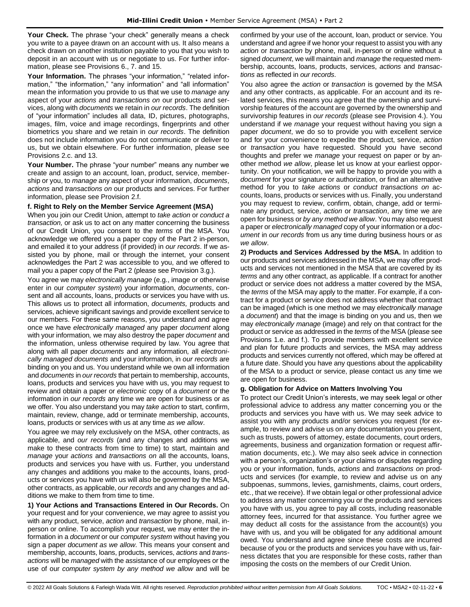**Your Check.** The phrase "your check" generally means a check you write to a payee drawn on an account with us. It also means a check drawn on another institution payable to you that you wish to deposit in an account with us or negotiate to us. For further information, please see Provisions 6., 7. and 15.

**Your Information.** The phrases "your information," "related information," "the information," "any information" and "all information" mean the information you provide to us that we use to *manage* any aspect of your *actions* and *transactions on* our products and services, along with *documents* we retain in *our records*. The definition of "your information" includes all data, ID, pictures, photographs, images, film, voice and image recordings, fingerprints and other biometrics you share and we retain in *our records*. The definition does not include information you do not communicate or deliver to us, but we obtain elsewhere. For further information, please see Provisions 2.c. and 13.

**Your Number.** The phrase "your number" means any number we create and assign to an account, loan, product, service, membership or you, to *manage* any aspect of your information, *documents*, *actions* and *transactions on* our products and services. For further information, please see Provision 2.f.

## **f. Right to Rely on the Member Service Agreement (MSA)**

When you join our Credit Union, attempt to *take action* or *conduct a transaction,* or ask us to act on any matter concerning the business of our Credit Union, you consent to the *terms* of the MSA. You acknowledge we offered you a paper copy of the Part 2 in-person, and emailed it to your address (if provided) in *our records*. If we assisted you by phone, mail or through the internet, your consent acknowledges the Part 2 was accessible to you, and we offered to mail you a paper copy of the Part 2 (please see Provision 3.g.).

You agree we may *electronically manage* (e.g., image or otherwise enter in our *computer system*) your information, *documents*, consent and all accounts, loans, products or services you have with us. This allows us to protect all information, *documents,* products and services, achieve significant savings and provide excellent service to our members. For these same reasons, you understand and agree once we have *electronically managed* any paper *document* along with your information*,* we may also destroy the paper *document* and the information, unless otherwise required by law. You agree that along with all paper *documents* and any information*,* all *electronically managed documents* and your information, in *our records* are binding on you and us. You understand while we own all information and *documents* in *our records* that pertain to membership, accounts, loans, products and services you have with us, you may request to review and obtain a paper or *electronic* copy of a *document* or the information in *our records* any time we are open for business or as we offer. You also understand you may *take action* to start, confirm, maintain, review, change, add or terminate membership, accounts, loans, products or services with us at any time *as we allow*.

You agree we may rely exclusively on the MSA, other contracts, as applicable, and *our records* (and any changes and additions we make to these contracts from time to time) to start, maintain and *manage* your *actions* and *transactions on* all the accounts, loans, products and services you have with us. Further, you understand any changes and additions you make to the accounts, loans, products or services you have with us will also be governed by the MSA, other contracts, as applicable, *our records* and any changes and additions we make to them from time to time.

**1) Your Actions and Transactions Entered in Our Records.** On your request and for your convenience, we may agree to assist you with any product, service, *action* and *transaction* by phone, mail, inperson or online. To accomplish your request, we may enter the information in a *document* or our *computer system* without having you sign a paper *document as we allow*. This means your consent and membership, accounts, loans, products, services, *actions* and *transactions* will be *managed* with the assistance of our employees or the use of our *computer system by any method we allow* and will be confirmed by your use of the account, loan, product or service. You understand and agree if we honor your request to assist you with any *action* or *transaction* by phone, mail, in-person or online without a signed *document*, we will maintain and *manage* the requested membership, accounts, loans, products, services, *actions* and *transactions* as reflected in *our records*.

You also agree the *action* or *transaction* is governed by the MSA and any other contracts, as applicable. For an account and its related services, this means you agree that the ownership and survivorship features of the account are governed by the ownership and survivorship features in *our records* (please see Provision 4.). You understand if we *manage* your request without having you sign a paper *document*, we do so to provide you with excellent service and for your convenience to expedite the product, service, *action*  or *transaction* you have requested. Should you have second thoughts and prefer we *manage* your request on paper or by another method *we allow*, please let us know at your earliest opportunity. On your notification, we will be happy to provide you with a *document* for your signature or authorization, or find an alternative method for you to *take actions* or *conduct transactions on* accounts, loans, products or services with us. Finally, you understand you may request to review, confirm, obtain, change, add or terminate any product, service, *action* or *transaction*, any time we are open for business or *by any method we allow*. You may also request a paper or *electronically managed* copy of your information or a *document* in *our records* from us any time during business hours or *as we allow*.

**2) Products and Services Addressed by the MSA.** In addition to our products and services addressed in the MSA, we may offer products and services not mentioned in the MSA that are covered by its *terms* and any other contract, as applicable. If a contract for another product or service does not address a matter covered by the MSA, the *terms* of the MSA may apply to the matter. For example, if a contract for a product or service does not address whether that contract can be imaged (which is one method we may *electronically manage*  a *document*) and that the image is binding on you and us, then we may *electronically manage* (image) and rely on that contract for the product or service as addressed in the *terms* of the MSA (please see Provisions 1.e. and f.). To provide members with excellent service and plan for future products and services, the MSA may address products and services currently not offered, which may be offered at a future date. Should you have any questions about the applicability of the MSA to a product or service, please contact us any time we are open for business.

## **g. Obligation for Advice on Matters Involving You**

To protect our Credit Union's interests, we may seek legal or other professional advice to address any matter concerning you or the products and services you have with us. We may seek advice to assist you with any products and/or services you request (for example, to review and advise us on any documentation you present, such as trusts, powers of attorney, estate documents, court orders, agreements, business and organization formation or request affirmation documents, etc.). We may also seek advice in connection with a person's, organization's or your claims or disputes regarding you or your information, funds, *actions* and *transactions on* products and services (for example, to review and advise us on any subpoenas, summons, levies, garnishments, claims, court orders, etc., that we receive). If we obtain legal or other professional advice to address any matter concerning you or the products and services you have with us, you agree to pay all costs, including reasonable attorney fees, incurred for that assistance. You further agree we may deduct all costs for the assistance from the account(s) you have with us, and you will be obligated for any additional amount owed. You understand and agree since these costs are incurred because of you or the products and services you have with us, fairness dictates that you are responsible for these costs, rather than imposing the costs on the members of our Credit Union.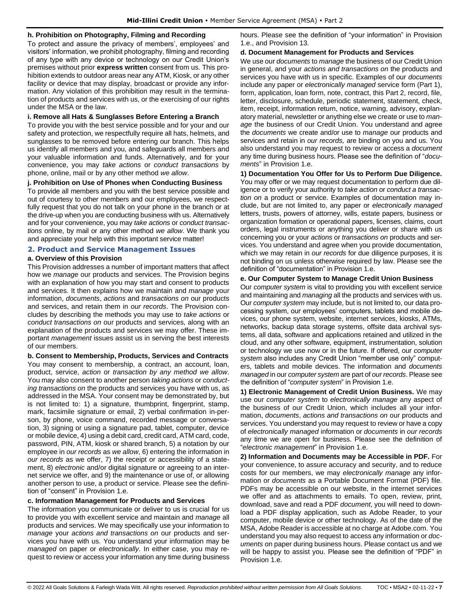### **h. Prohibition on Photography, Filming and Recording**

To protect and assure the privacy of members', employees' and visitors' information, we prohibit photography, filming and recording of any type with any device or technology on our Credit Union's premises without prior **express written** consent from us. This prohibition extends to outdoor areas near any ATM, Kiosk, or any other facility or device that may display, broadcast or provide any information. Any violation of this prohibition may result in the termination of products and services with us, or the exercising of our rights under the MSA or the law.

#### **i. Remove all Hats & Sunglasses Before Entering a Branch**

To provide you with the best service possible and for your and our safety and protection, we respectfully require all hats, helmets, and sunglasses to be removed before entering our branch. This helps us identify all members and you, and safeguards all members and your valuable information and funds. Alternatively, and for your convenience, you may *take actions* or *conduct transactions* by phone, online, mail or by any other method *we allow*.

#### **j. Prohibition on Use of Phones when Conducting Business**

To provide all members and you with the best service possible and out of courtesy to other members and our employees, we respectfully request that you do not talk on your phone in the branch or at the drive-up when you are conducting business with us. Alternatively and for your convenience, you may *take actions* or *conduct transactions* online, by mail or any other method *we allow*. We thank you and appreciate your help with this important service matter!

### <span id="page-6-0"></span>**2. Product and Service Management Issues**

#### **a. Overview of this Provision**

This Provision addresses a number of important matters that affect how we *manage* our products and services. The Provision begins with an explanation of how you may start and consent to products and services. It then explains how we maintain and *manage* your information, *documents*, *actions* and *transactions on* our products and services, and retain them in *our records*. The Provision concludes by describing the methods you may use to *take actions* or *conduct transactions on* our products and services, along with an explanation of the products and services we may offer. These important *management* issues assist us in serving the best interests of our members.

**b. Consent to Membership, Products, Services and Contracts** You may consent to membership, a contract, an account, loan, product, service, *action* or *transaction by any method we allow*. You may also consent to another person *taking actions* or *conducting transactions on* the products and services you have with us, as addressed in the MSA. Your consent may be demonstrated by, but is not limited to: 1) a signature, thumbprint, fingerprint, stamp, mark, facsimile signature or email, 2) verbal confirmation in-person, by phone, voice command, recorded message or conversation, 3) signing or using a signature pad, tablet, computer, device or mobile device, 4) using a debit card, credit card, ATM card, code, password, PIN, ATM, kiosk or shared branch, 5) a notation by our employee in *our records* as *we allow*, 6) entering the information in *our records* as we offer, 7) the receipt or accessibility of a statement, 8) *electronic* and/or digital signature or agreeing to an internet service we offer, and 9) the maintenance or use of, or allowing another person to use, a product or service. Please see the definition of "consent" in Provision 1.e.

#### **c. Information Management for Products and Services**

The information you communicate or deliver to us is crucial for us to provide you with excellent service and maintain and *manage* all products and services. We may specifically use your information to *manage* your *actions and transactions on* our products and services you have with us. You understand your information may be *managed* on paper or *electronically*. In either case, you may request to review or access your information any time during business hours. Please see the definition of "your information" in Provision 1.e., and Provision 13.

#### **d. Document Management for Products and Services**

We use our *documents* to *manage* the business of our Credit Union in general, and your *actions and transactions on* the products and services you have with us in specific. Examples of our *documents* include any paper or *electronically managed* service form (Part 1), form, application, loan form, note, contract, this Part 2, record, file, letter, disclosure, schedule, periodic statement, statement, check, item, receipt, information return, notice, warning, advisory, explanatory material, newsletter or anything else we create or use to *manage* the business of our Credit Union. You understand and agree the *documents* we create and/or use to *manage* our products and services and retain in *our records,* are binding on you and us. You also understand you may request to review or access a *document*  any time during business hours. Please see the definition of "*documents*" in Provision 1.e.

**1) Documentation You Offer for Us to Perform Due Diligence.** You may offer or we may request documentation to perform due diligence or to verify your authority to *take action* or *conduct a transaction on* a product or service. Examples of documentation may include, but are not limited to, any paper or *electronically managed* letters, trusts, powers of attorney, wills, estate papers, business or organization formation or operational papers, licenses, claims, court orders, legal instruments or anything you deliver or share with us concerning you or your *actions* or *transactions on* products and services. You understand and agree when you provide documentation, which we may retain in *our records* for due diligence purposes, it is not binding on us unless otherwise required by law. Please see the definition of "documentation" in Provision 1.e.

#### **e. Our Computer System to Manage Credit Union Business**

Our *computer system* is vital to providing you with excellent service and maintaining and *managing* all the products and services with us. Our *computer system* may include, but is not limited to, our data processing system, our employees' computers, tablets and mobile devices, our phone system, website, internet services, kiosks, ATMs, networks, backup data storage systems, offsite data archival systems, all data, software and applications retained and utilized in the cloud, and any other software, equipment, instrumentation, solution or technology we use now or in the future. If offered, our *computer system* also includes any Credit Union "member use only" computers, tablets and mobile devices. The information and *documents managed* in our *computer system* are part of *our records*. Please see the definition of "*computer system*" in Provision 1.e.

**1) Electronic Management of Credit Union Business.** We may use our *computer system* to *electronically manage* any aspect of the business of our Credit Union, which includes all your information, *documents*, *actions and transactions on* our products and services. You understand you may request to review or have a copy of *electronically managed* information or *documents* in *our records* any time we are open for business. Please see the definition of "*electronic management*" in Provision 1.e.

**2) Information and Documents may be Accessible in PDF.** For your convenience, to assure accuracy and security, and to reduce costs for our members, we may *electronically manage* any information or *documents* as a Portable Document Format (PDF) file. PDFs may be accessible on our website, in the internet services we offer and as attachments to emails. To open, review, print, download, save and read a PDF *document*, you will need to download a PDF display application, such as Adobe Reader, to your computer, mobile device or other technology. As of the date of the MSA, Adobe Reader is accessible at no charge at Adobe.com. You understand you may also request to access any information or *documents* on paper during business hours. Please contact us and we will be happy to assist you. Please see the definition of "PDF" in Provision 1.e.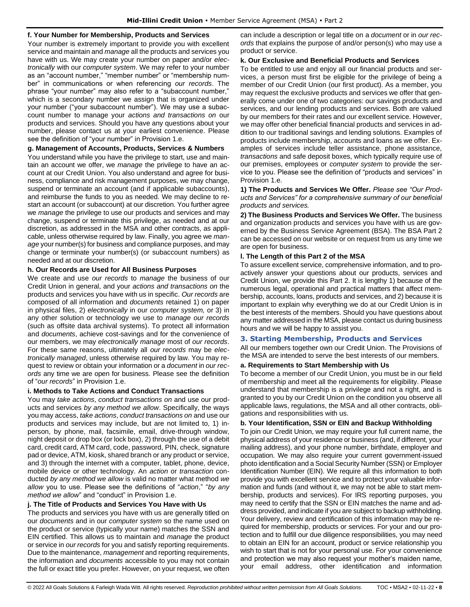## **f. Your Number for Membership, Products and Services**

Your number is extremely important to provide you with excellent service and maintain and *manage* all the products and services you have with us. We may create your number on paper and/or *electronically* with our *computer system*. We may refer to your number as an "account number," "member number" or "membership number" in communications or when referencing *our records*. The phrase "your number" may also refer to a "subaccount number," which is a secondary number we assign that is organized under your number ("your subaccount number"). We may use a subaccount number to manage your *actions and transactions on* our products and services. Should you have any questions about your number, please contact us at your earliest convenience. Please see the definition of "your number" in Provision 1.e.

## **g. Management of Accounts, Products, Services & Numbers**

You understand while you have the privilege to start, use and maintain an account we offer, we *manage* the privilege to have an account at our Credit Union. You also understand and agree for business, compliance and risk management purposes, we may change, suspend or terminate an account (and if applicable subaccounts), and reimburse the funds to you as needed. We may decline to restart an account (or subaccount) at our discretion. You further agree we *manage* the privilege to use our products and services and may change, suspend or terminate this privilege, as needed and at our discretion, as addressed in the MSA and other contracts, as applicable, unless otherwise required by law. Finally, you agree we *manage* your number(s) for business and compliance purposes, and may change or terminate your number(s) (or subaccount numbers) as needed and at our discretion.

## **h. Our Records are Used for All Business Purposes**

We create and use *our records* to *manage* the business of our Credit Union in general, and your *actions and transactions on* the products and services you have with us in specific. *Our records* are composed of all information and *documents* retained 1) on paper in physical files, 2) *electronically* in our *computer system,* or 3) in any other solution or technology we use to *manage our records* (such as offsite data archival systems). To protect all information and *documents*, achieve cost-savings and for the convenience of our members, we may *electronically manage* most of *our records*. For these same reasons, ultimately all *our records* may be *electronically managed*, unless otherwise required by law. You may request to review or obtain your information or a *document* in *our records* any time we are open for business. Please see the definition of "*our records*" in Provision 1.e.

## **i. Methods to Take Actions and Conduct Transactions**

You may *take actions*, *conduct transactions on* and use our products and services *by any method we allow*. Specifically, the ways you may access, *take actions*, *conduct transactions on* and use our products and services may include, but are not limited to, 1) inperson, by phone, mail, facsimile, email, drive-through window, night deposit or drop box (or lock box), 2) through the use of a debit card, credit card, ATM card, code, password, PIN, check, signature pad or device, ATM, kiosk, shared branch or any product or service, and 3) through the internet with a computer, tablet, phone, device, mobile device or other technology. An *action* or *transaction* conducted *by any method we allow* is valid no matter what method *we allow* you to use. Please see the definitions of "*action*," "*by any method we allow*" and "conduct" in Provision 1.e.

## **j. The Title of Products and Services You Have with Us**

The products and services you have with us are generally titled on our *documents* and in our *computer system* so the name used on the product or service (typically your name) matches the SSN and EIN certified. This allows us to maintain and *manage* the product or service in *our records* for you and satisfy reporting requirements. Due to the maintenance, *management* and reporting requirements, the information and *documents* accessible to you may not contain the full or exact title you prefer. However, on your request, we often can include a description or legal title on a *document* or in *our records* that explains the purpose of and/or person(s) who may use a product or service.

#### **k. Our Exclusive and Beneficial Products and Services**

To be entitled to use and enjoy all our financial products and services, a person must first be eligible for the privilege of being a member of our Credit Union (our first product). As a member, you may request the exclusive products and services we offer that generally come under one of two categories: our savings products and services, and our lending products and services. Both are valued by our members for their rates and our excellent service. However, we may offer other beneficial financial products and services in addition to our traditional savings and lending solutions. Examples of products include membership, accounts and loans as we offer. Examples of services include teller assistance, phone assistance, *transactions* and safe deposit boxes, which typically require use of our premises, employees or *computer system* to provide the service to you. Please see the definition of "products and services" in Provision 1.e.

#### **1) The Products and Services We Offer.** *Please see "Our Products and Services" for a comprehensive summary of our beneficial products and services.*

**2) The Business Products and Services We Offer.** The business and organization products and services you have with us are governed by the Business Service Agreement (BSA). The BSA Part 2 can be accessed on our website or on request from us any time we are open for business.

#### **l. The Length of this Part 2 of the MSA**

To assure excellent service, comprehensive information, and to proactively answer your questions about our products, services and Credit Union, we provide this Part 2. It is lengthy 1) because of the numerous legal, operational and practical matters that affect membership, accounts, loans, products and services, and 2) because it is important to explain why everything we do at our Credit Union is in the best interests of the members. Should you have questions about any matter addressed in the MSA, please contact us during business hours and we will be happy to assist you.

## <span id="page-7-0"></span>**3. Starting Membership, Products and Services**

All our members together own our Credit Union. The Provisions of the MSA are intended to serve the best interests of our members.

## **a. Requirements to Start Membership with Us**

To become a member of our Credit Union, you must be in our field of membership and meet all the requirements for eligibility. Please understand that membership is a privilege and not a right, and is granted to you by our Credit Union on the condition you observe all applicable laws, regulations, the MSA and all other contracts, obligations and responsibilities with us.

## **b. Your Identification, SSN or EIN and Backup Withholding**

To join our Credit Union, we may require your full current name, the physical address of your residence or business (and, if different, your mailing address), and your phone number, birthdate, employer and occupation. We may also require your current government-issued photo identification and a Social Security Number (SSN) or Employer Identification Number (EIN). We require all this information to both provide you with excellent service and to protect your valuable information and funds (and without it, we may not be able to start membership, products and services). For IRS reporting purposes, you may need to certify that the SSN or EIN matches the name and address provided, and indicate if you are subject to backup withholding. Your delivery, review and certification of this information may be required for membership, products or services. For your and our protection and to fulfill our due diligence responsibilities, you may need to obtain an EIN for an account, product or service relationship you wish to start that is not for your personal use. For your convenience and protection we may also request your mother's maiden name, your email address, other identification and information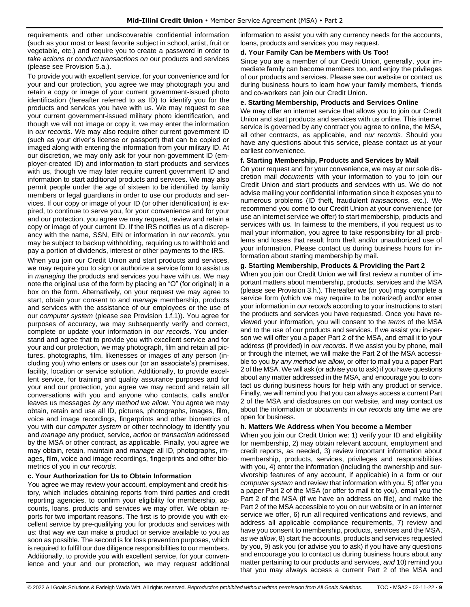requirements and other undiscoverable confidential information (such as your most or least favorite subject in school, artist, fruit or vegetable, etc.) and require you to create a password in order to *take actions* or *conduct transactions on* our products and services (please see Provision 5.a.).

To provide you with excellent service, for your convenience and for your and our protection, you agree we may photograph you and retain a copy or image of your current government-issued photo identification (hereafter referred to as ID) to identify you for the products and services you have with us. We may request to see your current government-issued military photo identification, and though we will not image or copy it, we may enter the information in *our records*. We may also require other current government ID (such as your driver's license or passport) that can be copied or imaged along with entering the information from your military ID. At our discretion, we may only ask for your non-government ID (employer-created ID) and information to start products and services with us, though we may later require current government ID and information to start additional products and services. We may also permit people under the age of sixteen to be identified by family members or legal guardians in order to use our products and services. If our copy or image of your ID (or other identification) is expired, to continue to serve you, for your convenience and for your and our protection, you agree we may request, review and retain a copy or image of your current ID. If the IRS notifies us of a discrepancy with the name, SSN, EIN or information in *our records*, you may be subject to backup withholding, requiring us to withhold and pay a portion of dividends, interest or other payments to the IRS.

When you join our Credit Union and start products and services, we may require you to sign or authorize a service form to assist us in *managing* the products and services you have with us. We may note the original use of the form by placing an "O" (for original) in a box on the form. Alternatively, on your request we may agree to start, obtain your consent to and *manage* membership, products and services with the assistance of our employees or the use of our *computer system* (please see Provision 1.f.1)). You agree for purposes of accuracy, we may subsequently verify and correct, complete or update your information in *our records*. You understand and agree that to provide you with excellent service and for your and our protection, we may photograph, film and retain all pictures, photographs, film, likenesses or images of any person (including you) who enters or uses our (or an associate's) premises, facility, location or service solution. Additionally, to provide excellent service, for training and quality assurance purposes and for your and our protection, you agree we may record and retain all conversations with you and anyone who contacts, calls and/or leaves us messages *by any method we allow*. You agree we may obtain, retain and use all ID, pictures, photographs, images, film, voice and image recordings, fingerprints and other biometrics of you with our *computer system* or other technology to identify you and *manage* any product, service, *action* or *transaction* addressed by the MSA or other contract, as applicable. Finally, you agree we may obtain, retain, maintain and *manage* all ID, photographs, images, film, voice and image recordings, fingerprints and other biometrics of you in *our records*.

#### **c. Your Authorization for Us to Obtain Information**

You agree we may review your account, employment and credit history, which includes obtaining reports from third parties and credit reporting agencies, to confirm your eligibility for membership, accounts, loans, products and services we may offer. We obtain reports for two important reasons. The first is to provide you with excellent service by pre-qualifying you for products and services with us: that way we can make a product or service available to you as soon as possible. The second is for loss prevention purposes, which is required to fulfill our due diligence responsibilities to our members. Additionally, to provide you with excellent service, for your convenience and your and our protection, we may request additional information to assist you with any currency needs for the accounts, loans, products and services you may request.

#### **d. Your Family Can be Members with Us Too!**

Since you are a member of our Credit Union, generally, your immediate family can become members too, and enjoy the privileges of our products and services. Please see our website or contact us during business hours to learn how your family members, friends and co-workers can join our Credit Union.

#### **e. Starting Membership, Products and Services Online**

We may offer an internet service that allows you to join our Credit Union and start products and services with us online. This internet service is governed by any contract you agree to online, the MSA, all other contracts, as applicable, and *our records*. Should you have any questions about this service, please contact us at your earliest convenience.

### **f. Starting Membership, Products and Services by Mail**

On your request and for your convenience, we may at our sole discretion mail *documents* with your information to you to join our Credit Union and start products and services with us. We do not advise mailing your confidential information since it exposes you to numerous problems (ID theft, fraudulent *transactions*, etc.). We recommend you come to our Credit Union at your convenience (or use an internet service we offer) to start membership, products and services with us. In fairness to the members, if you request us to mail your information, you agree to take responsibility for all problems and losses that result from theft and/or unauthorized use of your information. Please contact us during business hours for information about starting membership by mail.

#### **g. Starting Membership, Products & Providing the Part 2**

When you join our Credit Union we will first review a number of important matters about membership, products, services and the MSA (please see Provision 3.h.). Thereafter we (or you) may complete a service form (which we may require to be notarized) and/or enter your information in *our records* according to your instructions to start the products and services you have requested. Once you have reviewed your information, you will consent to the *terms* of the MSA and to the use of our products and services. If we assist you in-person we will offer you a paper Part 2 of the MSA, and email it to your address (if provided) in *our records*. If we assist you by phone, mail or through the internet, we will make the Part 2 of the MSA accessible to you *by any method we allow*, or offer to mail you a paper Part 2 of the MSA. We will ask (or advise you to ask) if you have questions about any matter addressed in the MSA, and encourage you to contact us during business hours for help with any product or service. Finally, we will remind you that you can always access a current Part 2 of the MSA and disclosures on our website, and may contact us about the information or *documents* in *our records* any time we are open for business.

#### **h. Matters We Address when You become a Member**

When you join our Credit Union we: 1) verify your ID and eligibility for membership, 2) may obtain relevant account, employment and credit reports, as needed, 3) review important information about membership, products, services, privileges and responsibilities with you, 4) enter the information (including the ownership and survivorship features of any account, if applicable) in a form or our *computer system* and review that information with you, 5) offer you a paper Part 2 of the MSA (or offer to mail it to you), email you the Part 2 of the MSA (if we have an address on file), and make the Part 2 of the MSA accessible to you on our website or in an internet service we offer, 6) run all required verifications and reviews, and address all applicable compliance requirements, 7) review and have you consent to membership, products, services and the MSA, *as we allow*, 8) start the accounts, products and services requested by you, 9) ask you (or advise you to ask) if you have any questions and encourage you to contact us during business hours about any matter pertaining to our products and services, *and* 10) remind you that you may always access a current Part 2 of the MSA and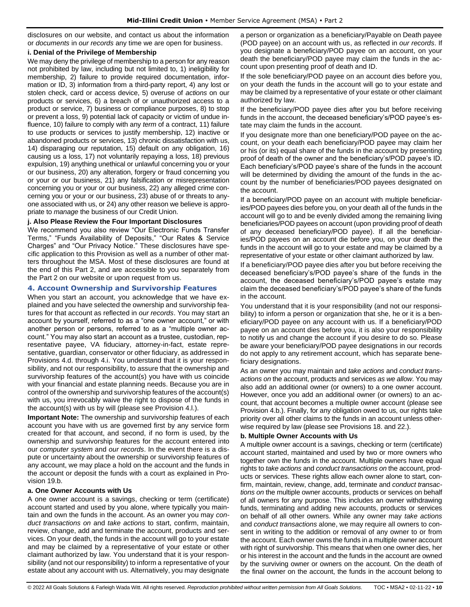disclosures on our website, and contact us about the information or *documents* in *our records* any time we are open for business.

### **i. Denial of the Privilege of Membership**

We may deny the privilege of membership to a person for any reason not prohibited by law, including but not limited to, 1) ineligibility for membership, 2) failure to provide required documentation, information or ID, 3) information from a third-party report, 4) any lost or stolen check, card or access device, 5) overuse of *actions* on our products or services, 6) a breach of or unauthorized access to a product or service, 7) business or compliance purposes, 8) to stop or prevent a loss, 9) potential lack of capacity or victim of undue influence, 10) failure to comply with any *term* of a contract, 11) failure to use products or services to justify membership, 12) inactive or abandoned products or services, 13) chronic dissatisfaction with us, 14) disparaging our reputation, 15) default on any obligation, 16) causing us a loss, 17) not voluntarily repaying a loss, 18) previous expulsion, 19) anything unethical or unlawful concerning you or your or our business, 20) any alteration, forgery or fraud concerning you or your or our business, 21) any falsification or misrepresentation concerning you or your or our business, 22) any alleged crime concerning you or your or our business, 23) abuse of or threats to anyone associated with us, or 24) any other reason we believe is appropriate to *manage* the business of our Credit Union.

## **j. Also Please Review the Four Important Disclosures**

We recommend you also review "Our Electronic Funds Transfer Terms," "Funds Availability of Deposits," "Our Rates & Service Charges" and "Our Privacy Notice." These disclosures have specific application to this Provision as well as a number of other matters throughout the MSA. Most of these disclosures are found at the end of this Part 2, and are accessible to you separately from the Part 2 on our website or upon request from us.

## <span id="page-9-0"></span>**4. Account Ownership and Survivorship Features**

When you start an account, you acknowledge that we have explained and you have selected the ownership and survivorship features for that account as reflected in *our records*. You may start an account by yourself, referred to as a "one owner account," or with another person or persons, referred to as a "multiple owner account." You may also start an account as a trustee, custodian, representative payee, VA fiduciary, attorney-in-fact, estate representative, guardian, conservator or other fiduciary, as addressed in Provisions 4.d. through 4.i. You understand that it is your responsibility, and not our responsibility, to assure that the ownership and survivorship features of the account(s) you have with us coincide with your financial and estate planning needs. Because you are in control of the ownership and survivorship features of the account(s) with us, you irrevocably waive the right to dispose of the funds in the account(s) with us by will (please see Provision 4.l.).

**Important Note:** The ownership and survivorship features of each account you have with us are governed first by any service form created for that account, and second, if no form is used, by the ownership and survivorship features for the account entered into our *computer system* and *our records*. In the event there is a dispute or uncertainty about the ownership or survivorship features of any account, we may place a hold on the account and the funds in the account or deposit the funds with a court as explained in Provision 19.b.

## **a. One Owner Accounts with Us**

A one owner account is a savings, checking or term (certificate) account started and used by you alone, where typically you maintain and own the funds in the account. As an owner you may *conduct transactions on* and *take actions* to start, confirm, maintain, review, change, add and terminate the account, products and services. On your death, the funds in the account will go to your estate and may be claimed by a representative of your estate or other claimant authorized by law. You understand that it is your responsibility (and not our responsibility) to inform a representative of your estate about any account with us. Alternatively, you may designate

a person or organization as a beneficiary/Payable on Death payee (POD payee) on an account with us, as reflected in *our records*. If you designate a beneficiary/POD payee on an account, on your death the beneficiary/POD payee may claim the funds in the account upon presenting proof of death and ID.

If the sole beneficiary/POD payee on an account dies before you, on your death the funds in the account will go to your estate and may be claimed by a representative of your estate or other claimant authorized by law.

If the beneficiary/POD payee dies after you but before receiving funds in the account, the deceased beneficiary's/POD payee's estate may claim the funds in the account.

If you designate more than one beneficiary/POD payee on the account, on your death each beneficiary/POD payee may claim her or his (or its) equal share of the funds in the account by presenting proof of death of the owner and the beneficiary's/POD payee's ID. Each beneficiary's/POD payee's share of the funds in the account will be determined by dividing the amount of the funds in the account by the number of beneficiaries/POD payees designated on the account.

If a beneficiary/POD payee on an account with multiple beneficiaries/POD payees dies before you, on your death all of the funds in the account will go to and be evenly divided among the remaining living beneficiaries/POD payees on account (upon providing proof of death of any deceased beneficiary/POD payee). If all the beneficiaries/POD payees on an account die before you, on your death the funds in the account will go to your estate and may be claimed by a representative of your estate or other claimant authorized by law.

If a beneficiary/POD payee dies after you but before receiving the deceased beneficiary's/POD payee's share of the funds in the account, the deceased beneficiary's/POD payee's estate may claim the deceased beneficiary's/POD payee's share of the funds in the account.

You understand that it is your responsibility (and not our responsibility) to inform a person or organization that she, he or it is a beneficiary/POD payee on any account with us. If a beneficiary/POD payee on an account dies before you, it is also your responsibility to notify us and change the account if you desire to do so. Please be aware your beneficiary/POD payee designations in our records do not apply to any retirement account, which has separate beneficiary designations.

As an owner you may maintain and *take actions* and *conduct transactions on* the account, products and services *as we allow*. You may also add an additional owner (or owners) to a one owner account. However, once you add an additional owner (or owners) to an account, that account becomes a multiple owner account (please see Provision 4.b.). Finally, for any obligation owed to us, our rights take priority over all other claims to the funds in an account unless otherwise required by law (please see Provisions 18. and 22.).

## **b. Multiple Owner Accounts with Us**

A multiple owner account is a savings, checking or term (certificate) account started, maintained and used by two or more owners who together own the funds in the account. Multiple owners have equal rights to *take actions* and *conduct transactions on* the account, products or services. These rights allow each owner alone to start, confirm, maintain, review, change, add, terminate and *conduct transactions on* the multiple owner accounts, products or services on behalf of all owners for any purpose. This includes an owner withdrawing funds, terminating and adding new accounts, products or services on behalf of all other owners. While any owner may *take actions* and *conduct transactions* alone, we may require all owners to consent in writing to the addition or removal of any owner to or from the account. Each owner owns the funds in a multiple owner account with right of survivorship. This means that when one owner dies, her or his interest in the account and the funds in the account are owned by the surviving owner or owners on the account. On the death of the final owner on the account, the funds in the account belong to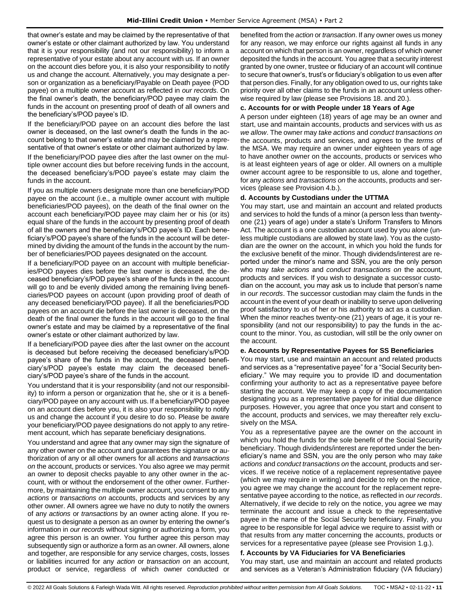that owner's estate and may be claimed by the representative of that owner's estate or other claimant authorized by law. You understand that it is your responsibility (and not our responsibility) to inform a representative of your estate about any account with us. If an owner on the account dies before you, it is also your responsibility to notify us and change the account. Alternatively, you may designate a person or organization as a beneficiary/Payable on Death payee (POD payee) on a multiple owner account as reflected in *our records*. On the final owner's death, the beneficiary/POD payee may claim the funds in the account on presenting proof of death of all owners and the beneficiary's/POD payee's ID.

If the beneficiary/POD payee on an account dies before the last owner is deceased, on the last owner's death the funds in the account belong to that owner's estate and may be claimed by a representative of that owner's estate or other claimant authorized by law. If the beneficiary/POD payee dies after the last owner on the multiple owner account dies but before receiving funds in the account, the deceased beneficiary's/POD payee's estate may claim the funds in the account.

If you as multiple owners designate more than one beneficiary/POD payee on the account (i.e., a multiple owner account with multiple beneficiaries/POD payees), on the death of the final owner on the account each beneficiary/POD payee may claim her or his (or its) equal share of the funds in the account by presenting proof of death of all the owners and the beneficiary's/POD payee's ID. Each beneficiary's/POD payee's share of the funds in the account will be determined by dividing the amount of the funds in the account by the number of beneficiaries/POD payees designated on the account.

If a beneficiary/POD payee on an account with multiple beneficiaries/POD payees dies before the last owner is deceased, the deceased beneficiary's/POD payee's share of the funds in the account will go to and be evenly divided among the remaining living beneficiaries/POD payees on account (upon providing proof of death of any deceased beneficiary/POD payee). If all the beneficiaries/POD payees on an account die before the last owner is deceased, on the death of the final owner the funds in the account will go to the final owner's estate and may be claimed by a representative of the final owner's estate or other claimant authorized by law.

If a beneficiary/POD payee dies after the last owner on the account is deceased but before receiving the deceased beneficiary's/POD payee's share of the funds in the account, the deceased beneficiary's/POD payee's estate may claim the deceased beneficiary's/POD payee's share of the funds in the account.

You understand that it is your responsibility (and not our responsibility) to inform a person or organization that he, she or it is a beneficiary/POD payee on any account with us. If a beneficiary/POD payee on an account dies before you, it is also your responsibility to notify us and change the account if you desire to do so. Please be aware your beneficiary/POD payee designations do not apply to any retirement account, which has separate beneficiary designations.

You understand and agree that any owner may sign the signature of any other owner on the account and guarantees the signature or authorization of any or all other owners for all *actions* and *transactions on* the account, products or services. You also agree we may permit an owner to deposit checks payable to any other owner in the account, with or without the endorsement of the other owner. Furthermore, by maintaining the multiple owner account, you consent to any *actions* or *transactions on* accounts, products and services by any other owner. All owners agree we have no duty to notify the owners of any *actions* or *transactions* by an owner acting alone. If you request us to designate a person as an owner by entering the owner's information in *our records* without signing or authorizing a form, you agree this person is an owner. You further agree this person may subsequently sign or authorize a form as an owner. All owners, alone and together, are responsible for any service charges, costs, losses or liabilities incurred for any *action* or *transaction on* an account, product or service, regardless of which owner conducted or

benefited from the *action* or *transaction*. If any owner owes us money for any reason, we may enforce our rights against all funds in any account on which that person is an owner, regardless of which owner deposited the funds in the account. You agree that a security interest granted by one owner, trustee or fiduciary of an account will continue to secure that owner's, trust's or fiduciary's obligation to us even after that person dies. Finally, for any obligation owed to us, our rights take priority over all other claims to the funds in an account unless otherwise required by law (please see Provisions 18. and 20.).

## **c. Accounts for or with People under 18 Years of Age**

A person under eighteen (18) years of age may be an owner and start, use and maintain accounts, products and services with us *as we allow*. The owner may *take actions* and *conduct transactions on*  the accounts, products and services, and agrees to the *terms* of the MSA. We may require an owner under eighteen years of age to have another owner on the accounts, products or services who is at least eighteen years of age or older. All owners on a multiple owner account agree to be responsible to us, alone and together, for any *actions* and *transactions on* the accounts, products and services (please see Provision 4.b.).

## **d. Accounts by Custodians under the UTTMA**

You may start, use and maintain an account and related products and services to hold the funds of a minor (a person less than twentyone (21) years of age) under a state's Uniform Transfers to Minors Act. The account is a one custodian account used by you alone (unless multiple custodians are allowed by state law). You as the custodian are the owner on the account, in which you hold the funds for the exclusive benefit of the minor. Though dividends/interest are reported under the minor's name and SSN, you are the only person who may *take actions* and *conduct transactions on* the account, products and services. If you wish to designate a successor custodian on the account, you may ask us to include that person's name in *our records*. The successor custodian may claim the funds in the account in the event of your death or inability to serve upon delivering proof satisfactory to us of her or his authority to act as a custodian. When the minor reaches twenty-one (21) years of age, it is your responsibility (and not our responsibility) to pay the funds in the account to the minor. You, as custodian, will still be the only owner on the account.

## **e. Accounts by Representative Payees for SS Beneficiaries**

You may start, use and maintain an account and related products and services as a "representative payee" for a "Social Security beneficiary." We may require you to provide ID and documentation confirming your authority to act as a representative payee before starting the account. We may keep a copy of the documentation designating you as a representative payee for initial due diligence purposes. However, you agree that once you start and consent to the account, products and services, we may thereafter rely exclusively on the MSA.

You as a representative payee are the owner on the account in which you hold the funds for the sole benefit of the Social Security beneficiary. Though dividends/interest are reported under the beneficiary's name and SSN, you are the only person who may *take actions* and *conduct transactions on* the account, products and services. If we receive notice of a replacement representative payee (which we may require in writing) and decide to rely on the notice, you agree we may change the account for the replacement representative payee according to the notice, as reflected in *our records*. Alternatively, if we decide to rely on the notice, you agree we may terminate the account and issue a check to the representative payee in the name of the Social Security beneficiary. Finally, you agree to be responsible for legal advice we require to assist with or that results from any matter concerning the accounts, products or services for a representative payee (please see Provision 1.g.).

## **f. Accounts by VA Fiduciaries for VA Beneficiaries**

You may start, use and maintain an account and related products and services as a Veteran's Administration fiduciary (VA fiduciary)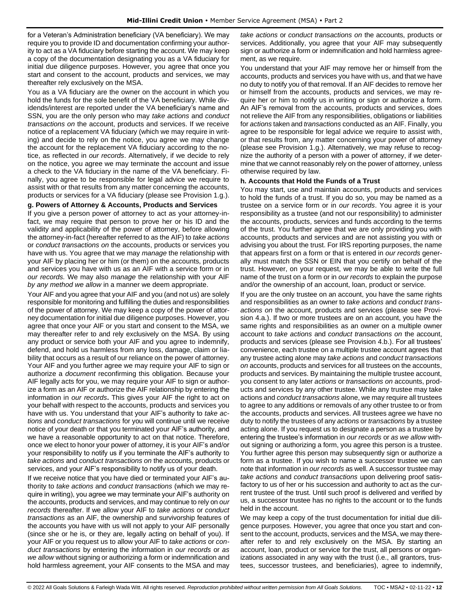for a Veteran's Administration beneficiary (VA beneficiary). We may require you to provide ID and documentation confirming your authority to act as a VA fiduciary before starting the account. We may keep a copy of the documentation designating you as a VA fiduciary for initial due diligence purposes. However, you agree that once you start and consent to the account, products and services, we may thereafter rely exclusively on the MSA.

You as a VA fiduciary are the owner on the account in which you hold the funds for the sole benefit of the VA beneficiary. While dividends/interest are reported under the VA beneficiary's name and SSN, you are the only person who may *take actions* and *conduct transactions on* the account, products and services. If we receive notice of a replacement VA fiduciary (which we may require in writing) and decide to rely on the notice, you agree we may change the account for the replacement VA fiduciary according to the notice, as reflected in *our records*. Alternatively, if we decide to rely on the notice, you agree we may terminate the account and issue a check to the VA fiduciary in the name of the VA beneficiary. Finally, you agree to be responsible for legal advice we require to assist with or that results from any matter concerning the accounts, products or services for a VA fiduciary (please see Provision 1.g.).

## **g. Powers of Attorney & Accounts, Products and Services**

If you give a person power of attorney to act as your attorney-infact, we may require that person to prove her or his ID and the validity and applicability of the power of attorney, before allowing the attorney-in-fact (hereafter referred to as the AIF) to *take actions* or *conduct transactions on* the accounts, products or services you have with us. You agree that we may *manage* the relationship with your AIF by placing her or him (or them) on the accounts, products and services you have with us as an AIF with a service form or in *our records.* We may also *manage* the relationship with your AIF *by any method we allow* in a manner we deem appropriate.

Your AIF and you agree that your AIF and you (and not us) are solely responsible for monitoring and fulfilling the duties and responsibilities of the power of attorney. We may keep a copy of the power of attorney documentation for initial due diligence purposes. However, you agree that once your AIF or you start and consent to the MSA, we may thereafter refer to and rely exclusively on the MSA. By using any product or service both your AIF and you agree to indemnify, defend, and hold us harmless from any loss, damage, claim or liability that occurs as a result of our reliance on the power of attorney. Your AIF and you further agree we may require your AIF to sign or authorize a *document* reconfirming this obligation. Because your AIF legally acts for you, we may require your AIF to sign or authorize a form as an AIF or authorize the AIF relationship by entering the information in *our records***.** This gives your AIF the right to act on your behalf with respect to the accounts, products and services you have with us. You understand that your AIF's authority to *take actions* and *conduct transactions* for you will continue until we receive notice of your death or that you terminated your AIF's authority, and we have a reasonable opportunity to act on that notice. Therefore, once we elect to honor your power of attorney, it is your AIF's and/or your responsibility to notify us if you terminate the AIF's authority to *take actions* and *conduct transactions on* the accounts, products or services, and your AIF's responsibility to notify us of your death.

If we receive notice that you have died or terminated your AIF's authority to *take actions* and *conduct transactions* (which we may require in writing), you agree we may terminate your AIF's authority on the accounts, products and services, and may continue to rely on *our records* thereafter. If we allow your AIF to *take actions* or *conduct transactions* as an AIF, the ownership and survivorship features of the accounts you have with us will not apply to your AIF personally (since she or he is, or they are, legally acting on behalf of you). If your AIF or you request us to allow your AIF to *take actions* or *conduct transactions* by entering the information in *our records* or *as we allow* without signing or authorizing a form or indemnification and hold harmless agreement, your AIF consents to the MSA and may

*take actions* or *conduct transactions on* the accounts, products or services. Additionally, you agree that your AIF may subsequently sign or authorize a form or indemnification and hold harmless agreement, as we require.

You understand that your AIF may remove her or himself from the accounts, products and services you have with us, and that we have no duty to notify you of that removal. If an AIF decides to remove her or himself from the accounts, products and services, we may require her or him to notify us in writing or sign or authorize a form. An AIF's removal from the accounts, products and services, does not relieve the AIF from any responsibilities, obligations or liabilities for *actions* taken and *transactions* conducted as an AIF. Finally, you agree to be responsible for legal advice we require to assist with, or that results from, any matter concerning your power of attorney (please see Provision 1.g.). Alternatively, we may refuse to recognize the authority of a person with a power of attorney, if we determine that we cannot reasonably rely on the power of attorney, unless otherwise required by law.

#### **h. Accounts that Hold the Funds of a Trust**

You may start, use and maintain accounts, products and services to hold the funds of a trust. If you do so, you may be named as a trustee on a service form or in *our records*. You agree it is your responsibility as a trustee (and not our responsibility) to administer the accounts, products, services and funds according to the terms of the trust. You further agree that we are only providing you with accounts, products and services and are not assisting you with or advising you about the trust. For IRS reporting purposes, the name that appears first on a form or that is entered in *our records* generally must match the SSN or EIN that you certify on behalf of the trust. However, on your request, we may be able to write the full name of the trust on a form or in *our records* to explain the purpose and/or the ownership of an account, loan, product or service.

If you are the only trustee on an account, you have the same rights and responsibilities as an owner to *take actions* and *conduct transactions on* the account, products and services (please see Provision 4.a.). If two or more trustees are on an account, you have the same rights and responsibilities as an owner on a multiple owner account to *take actions* and *conduct transactions on* the account, products and services (please see Provision 4.b.). For all trustees' convenience, each trustee on a multiple trustee account agrees that any trustee acting alone may *take actions* and *conduct transactions on* accounts, products and services for all trustees on the accounts, products and services. By maintaining the multiple trustee account, you consent to any later *actions* or *transactions on* accounts, products and services by any other trustee. While any trustee may take actions and *conduct transactions* alone, we may require all trustees to agree to any additions or removals of any other trustee to or from the accounts, products and services. All trustees agree we have no duty to notify the trustees of any *actions* or *transactions* by a trustee acting alone. If you request us to designate a person as a trustee by entering the trustee's information in *our records* or *as we allow* without signing or authorizing a form, you agree this person is a trustee. You further agree this person may subsequently sign or authorize a form as a trustee. If you wish to name a successor trustee we can note that information in *our records* as well. A successor trustee may *take actions* and *conduct transactions* upon delivering proof satisfactory to us of her or his succession and authority to act as the current trustee of the trust. Until such proof is delivered and verified by us, a successor trustee has no rights to the account or to the funds held in the account.

We may keep a copy of the trust documentation for initial due diligence purposes. However, you agree that once you start and consent to the account, products, services and the MSA, we may thereafter refer to and rely exclusively on the MSA. By starting an account, loan, product or service for the trust, all persons or organizations associated in any way with the trust (i.e., all grantors, trustees, successor trustees, and beneficiaries), agree to indemnify,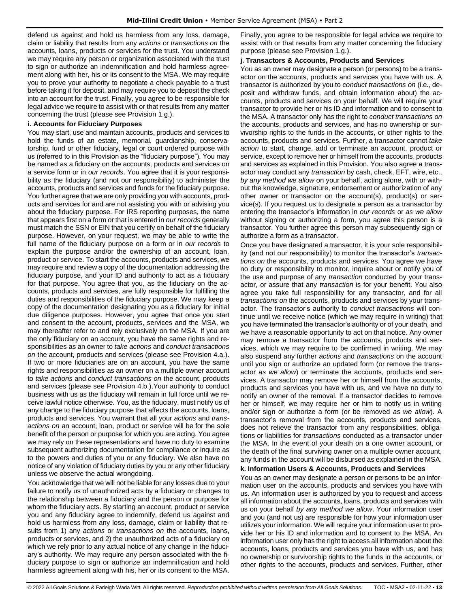defend us against and hold us harmless from any loss, damage, claim or liability that results from any *actions* or *transactions on* the accounts, loans, products or services for the trust. You understand we may require any person or organization associated with the trust to sign or authorize an indemnification and hold harmless agreement along with her, his or its consent to the MSA. We may require you to prove your authority to negotiate a check payable to a trust before taking it for deposit, and may require you to deposit the check into an account for the trust. Finally, you agree to be responsible for legal advice we require to assist with or that results from any matter concerning the trust (please see Provision 1.g.).

## **i. Accounts for Fiduciary Purposes**

You may start, use and maintain accounts, products and services to hold the funds of an estate, memorial, guardianship, conservatorship, fund or other fiduciary, legal or court ordered purpose with us (referred to in this Provision as the "fiduciary purpose"). You may be named as a fiduciary on the accounts, products and services on a service form or in *our records*. You agree that it is your responsibility as the fiduciary (and not our responsibility) to administer the accounts, products and services and funds for the fiduciary purpose. You further agree that we are only providing you with accounts, products and services for and are not assisting you with or advising you about the fiduciary purpose. For IRS reporting purposes, the name that appears first on a form or that is entered in *our records* generally must match the SSN or EIN that you certify on behalf of the fiduciary purpose. However, on your request, we may be able to write the full name of the fiduciary purpose on a form or in *our records* to explain the purpose and/or the ownership of an account, loan, product or service. To start the accounts, products and services, we may require and review a copy of the documentation addressing the fiduciary purpose, and your ID and authority to act as a fiduciary for that purpose. You agree that you, as the fiduciary on the accounts, products and services, are fully responsible for fulfilling the duties and responsibilities of the fiduciary purpose. We may keep a copy of the documentation designating you as a fiduciary for initial due diligence purposes. However, you agree that once you start and consent to the account, products, services and the MSA, we may thereafter refer to and rely exclusively on the MSA. If you are the only fiduciary on an account, you have the same rights and responsibilities as an owner to *take actions* and *conduct transactions on* the account, products and services (please see Provision 4.a.). If two or more fiduciaries are on an account, you have the same rights and responsibilities as an owner on a multiple owner account to *take actions* and *conduct transactions on* the account, products and services (please see Provision 4.b.).Your authority to conduct business with us as the fiduciary will remain in full force until we receive lawful notice otherwise. You, as the fiduciary, must notify us of any change to the fiduciary purpose that affects the accounts, loans, products and services. You warrant that all your *actions* and *transactions on* an account, loan, product or service will be for the sole benefit of the person or purpose for which you are acting. You agree we may rely on these representations and have no duty to examine subsequent authorizing documentation for compliance or inquire as to the powers and duties of you or any fiduciary. We also have no notice of any violation of fiduciary duties by you or any other fiduciary unless we observe the actual wrongdoing.

You acknowledge that we will not be liable for any losses due to your failure to notify us of unauthorized acts by a fiduciary or changes to the relationship between a fiduciary and the person or purpose for whom the fiduciary acts. By starting an account, product or service you and any fiduciary agree to indemnify, defend us against and hold us harmless from any loss, damage, claim or liability that results from 1) any *actions* or *transactions on* the accounts, loans, products or services, and 2) the unauthorized acts of a fiduciary on which we rely prior to any actual notice of any change in the fiduciary's authority. We may require any person associated with the fiduciary purpose to sign or authorize an indemnification and hold harmless agreement along with his, her or its consent to the MSA.

Finally, you agree to be responsible for legal advice we require to assist with or that results from any matter concerning the fiduciary purpose (please see Provision 1.g.).

#### **j. Transactors & Accounts, Products and Services**

You as an owner may designate a person (or persons) to be a transactor on the accounts, products and services you have with us. A transactor is authorized by you to *conduct transactions on* (i.e., deposit and withdraw funds, and obtain information about) the accounts, products and services on your behalf. We will require your transactor to provide her or his ID and information and to consent to the MSA. A transactor only has the right to *conduct transactions on* the accounts, products and services, and has no ownership or survivorship rights to the funds in the accounts, or other rights to the accounts, products and services. Further, a transactor cannot *take action* to start, change, add or terminate an account, product or service, except to remove her or himself from the accounts, products and services as explained in this Provision. You also agree a transactor may conduct any *transaction* by cash, check, EFT, wire, etc., *by any method we allow* on your behalf, acting alone, with or without the knowledge, signature, endorsement or authorization of any other owner or transactor on the account(s), product(s) or service(s). If you request us to designate a person as a transactor by entering the transactor's information in *our records* or *as we allow*  without signing or authorizing a form, you agree this person is a transactor. You further agree this person may subsequently sign or authorize a form as a transactor.

Once you have designated a transactor, it is your sole responsibility (and not our responsibility) to monitor the transactor's *transactions on* the accounts, products and services. You agree we have no duty or responsibility to monitor, inquire about or notify you of the use and purpose of any *transaction* conducted by your transactor, or assure that any *transaction* is for your benefit. You also agree you take full responsibility for any transactor, and for all *transactions on* the accounts, products and services by your transactor. The transactor's authority to *conduct transactions* will continue until we receive notice (which we may require in writing) that you have terminated the transactor's authority or of your death, and we have a reasonable opportunity to act on that notice. Any owner may remove a transactor from the accounts, products and services, which we may require to be confirmed in writing. We may also suspend any further *actions* and *transactions* on the account until you sign or authorize an updated form (or remove the transactor *as we allow*) or terminate the accounts, products and services. A transactor may remove her or himself from the accounts, products and services you have with us, and we have no duty to notify an owner of the removal. If a transactor decides to remove her or himself, we may require her or him to notify us in writing and/or sign or authorize a form (or be removed *as we allow*). A transactor's removal from the accounts, products and services, does not relieve the transactor from any responsibilities, obligations or liabilities for *transactions* conducted as a transactor under the MSA. In the event of your death on a one owner account, or the death of the final surviving owner on a multiple owner account, any funds in the account will be disbursed as explained in the MSA.

#### **k. Information Users & Accounts, Products and Services**

You as an owner may designate a person or persons to be an information user on the accounts, products and services you have with us. An information user is authorized by you to request and access all information about the accounts, loans, products and services with us on your behalf *by any method we allow*. Your information user and you (and not us) are responsible for how your information user utilizes your information. We will require your information user to provide her or his ID and information and to consent to the MSA. An information user only has the right to access all information about the accounts, loans, products and services you have with us, and has no ownership or survivorship rights to the funds in the accounts, or other rights to the accounts, products and services. Further, other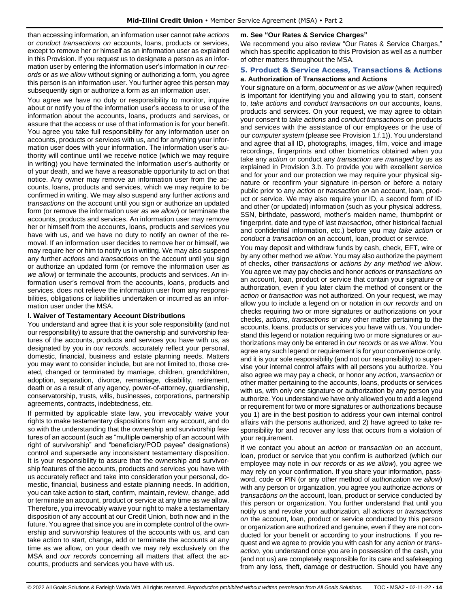than accessing information, an information user cannot *take actions* or *conduct transactions on* accounts, loans, products or services, except to remove her or himself as an information user as explained in this Provision. If you request us to designate a person as an information user by entering the information user's information in *our records* or *as we allow* without signing or authorizing a form, you agree this person is an information user. You further agree this person may subsequently sign or authorize a form as an information user.

You agree we have no duty or responsibility to monitor, inquire about or notify you of the information user's access to or use of the information about the accounts, loans, products and services, or assure that the access or use of that information is for your benefit. You agree you take full responsibility for any information user on accounts, products or services with us, and for anything your information user does with your information. The information user's authority will continue until we receive notice (which we may require in writing) you have terminated the information user's authority or of your death, and we have a reasonable opportunity to act on that notice. Any owner may remove an information user from the accounts, loans, products and services, which we may require to be confirmed in writing. We may also suspend any further *actions* and *transactions* on the account until you sign or authorize an updated form (or remove the information user *as we allow*) or terminate the accounts, products and services. An information user may remove her or himself from the accounts, loans, products and services you have with us, and we have no duty to notify an owner of the removal. If an information user decides to remove her or himself, we may require her or him to notify us in writing. We may also suspend any further *actions* and *transactions* on the account until you sign or authorize an updated form (or remove the information user *as we allow*) or terminate the accounts, products and services. An information user's removal from the accounts, loans, products and services, does not relieve the information user from any responsibilities, obligations or liabilities undertaken or incurred as an information user under the MSA.

## **l. Waiver of Testamentary Account Distributions**

You understand and agree that it is your sole responsibility (and not our responsibility) to assure that the ownership and survivorship features of the accounts, products and services you have with us, as designated by you in *our records*, accurately reflect your personal, domestic, financial, business and estate planning needs. Matters you may want to consider include, but are not limited to, those created, changed or terminated by marriage, children, grandchildren, adoption, separation, divorce, remarriage, disability, retirement, death or as a result of any agency, power-of-attorney, guardianship, conservatorship, trusts, wills, businesses, corporations, partnership agreements, contracts, indebtedness, etc.

If permitted by applicable state law, you irrevocably waive your rights to make testamentary dispositions from any account, and do so with the understanding that the ownership and survivorship features of an account (such as "multiple ownership of an account with right of survivorship" and "beneficiary/POD payee" designations) control and supersede any inconsistent testamentary disposition. It is your responsibility to assure that the ownership and survivorship features of the accounts, products and services you have with us accurately reflect and take into consideration your personal, domestic, financial, business and estate planning needs. In addition, you can take action to start, confirm, maintain, review, change, add or terminate an account, product or service at any time as we allow. Therefore, you irrevocably waive your right to make a testamentary disposition of any account at our Credit Union, both now and in the future. You agree that since you are in complete control of the ownership and survivorship features of the accounts with us, and can take action to start, change, add or terminate the accounts at any time as we allow, on your death we may rely exclusively on the MSA and *our records* concerning all matters that affect the accounts, products and services you have with us.

## **m. See "Our Rates & Service Charges"**

We recommend you also review "Our Rates & Service Charges," which has specific application to this Provision as well as a number of other matters throughout the MSA.

#### <span id="page-13-0"></span>**5. Product & Service Access, Transactions & Actions a. Authorization of Transactions and Actions**

Your signature on a form, *document* or *as we allow* (when required) is important for identifying you and allowing you to start, consent to, *take actions* and *conduct transactions on* our accounts, loans, products and services. On your request, we may agree to obtain your consent to *take actions* and *conduct transactions* on products and services with the assistance of our employees or the use of our *computer system* (please see Provision 1.f.1)). You understand and agree that all ID, photographs, images, film, voice and image recordings, fingerprints and other biometrics obtained when you take any *action* or conduct any *transaction* are *managed* by us as explained in Provision 3.b. To provide you with excellent service and for your and our protection we may require your physical signature or reconfirm your signature in-person or before a notary public prior to any *action* or *transaction on* an account, loan, product or service. We may also require your ID, a second form of ID and other (or updated) information (such as your physical address, SSN, birthdate, password, mother's maiden name, thumbprint or fingerprint, date and type of last *transaction*, other historical factual and confidential information, etc.) before you may *take action* or *conduct a transaction on* an account, loan, product or service.

You may deposit and withdraw funds by cash, check, EFT, wire or by any other method *we allow*. You may also authorize the payment of checks, other *transactions* or *actions by any method we allow*. You agree we may pay checks and honor *actions* or *transactions on*  an account, loan, product or service that contain your signature or authorization, even if you later claim the method of consent or the *action* or *transaction* was not authorized. On your request, we may allow you to include a legend on or notation in *our records* and on checks requiring two or more signatures or authorizations on your checks, *actions*, *transactions* or any other matter pertaining to the accounts, loans, products or services you have with us. You understand this legend or notation requiring two or more signatures or authorizations may only be entered in *our records* or as *we allow*. You agree any such legend or requirement is for your convenience only, and it is your sole responsibility (and not our responsibility) to supervise your internal control affairs with all persons you authorize. You also agree we may pay a check, or honor any *action*, *transaction* or other matter pertaining to the accounts, loans, products or services with us, with only one signature or authorization by any person you authorize. You understand we have only allowed you to add a legend or requirement for two or more signatures or authorizations because you 1) are in the best position to address your own internal control affairs with the persons authorized, and 2) have agreed to take responsibility for and recover any loss that occurs from a violation of your requirement.

If we contact you about an *action* or *transaction on* an account, loan, product or service that you confirm is authorized (which our employee may note in *our records* or *as we allow*), you agree we may rely on your confirmation. If you share your information, password, code or PIN (or any other method of authorization *we allow*) with any person or organization, you agree you authorize *actions* or *transactions on* the account, loan, product or service conducted by this person or organization. You further understand that until you notify us and revoke your authorization, all *actions* or *transactions on* the account, loan, product or service conducted by this person or organization are authorized and genuine, even if they are not conducted for your benefit or according to your instructions. If you request and we agree to provide you with cash for any *action* or *transaction*, you understand once you are in possession of the cash, you (and not us) are completely responsible for its care and safekeeping from any loss, theft, damage or destruction. Should you have any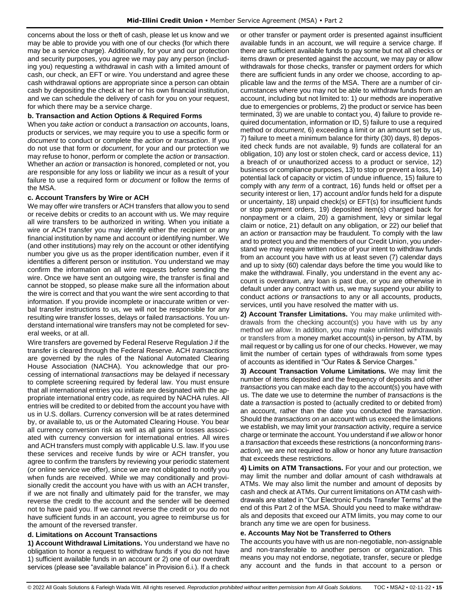concerns about the loss or theft of cash, please let us know and we may be able to provide you with one of our checks (for which there may be a service charge). Additionally, for your and our protection and security purposes, you agree we may pay any person (including you) requesting a withdrawal in cash with a limited amount of cash, our check, an EFT or wire. You understand and agree these cash withdrawal options are appropriate since a person can obtain cash by depositing the check at her or his own financial institution, and we can schedule the delivery of cash for you on your request, for which there may be a service charge.

## **b. Transaction and Action Options & Required Forms**

When you *take action* or conduct a *transaction on* accounts, loans, products or services, we may require you to use a specific form or *document* to conduct or complete the *action* or *transaction*. If you do not use that form or *document*, for your and our protection we may refuse to honor, perform or complete the *action* or *transaction*. Whether an *action* or *transaction* is honored, completed or not, you are responsible for any loss or liability we incur as a result of your failure to use a required form or *document* or follow the *terms* of the MSA.

## **c. Account Transfers by Wire or ACH**

We may offer wire transfers or ACH transfers that allow you to send or receive debits or credits to an account with us. We may require all wire transfers to be authorized in writing. When you initiate a wire or ACH transfer you may identify either the recipient or any financial institution by name and account or identifying number. We (and other institutions) may rely on the account or other identifying number you give us as the proper identification number, even if it identifies a different person or institution. You understand we may confirm the information on all wire requests before sending the wire. Once we have sent an outgoing wire, the transfer is final and cannot be stopped, so please make sure all the information about the wire is correct and that you want the wire sent according to that information. If you provide incomplete or inaccurate written or verbal transfer instructions to us, we will not be responsible for any resulting wire transfer losses, delays or failed *transactions*. You understand international wire transfers may not be completed for several weeks, or at all.

Wire transfers are governed by Federal Reserve Regulation J if the transfer is cleared through the Federal Reserve. ACH *transactions* are governed by the rules of the National Automated Clearing House Association (NACHA). You acknowledge that our processing of international *transactions* may be delayed if necessary to complete screening required by federal law. You must ensure that all international entries you initiate are designated with the appropriate international entry code, as required by NACHA rules. All entries will be credited to or debited from the account you have with us in U.S. dollars. Currency conversion will be at rates determined by, or available to, us or the Automated Clearing House. You bear all currency conversion risk as well as all gains or losses associated with currency conversion for international entries. All wires and ACH transfers must comply with applicable U.S. law. If you use these services and receive funds by wire or ACH transfer, you agree to confirm the transfers by reviewing your periodic statement (or online service we offer), since we are not obligated to notify you when funds are received. While we may conditionally and provisionally credit the account you have with us with an ACH transfer, if we are not finally and ultimately paid for the transfer, we may reverse the credit to the account and the sender will be deemed not to have paid you. If we cannot reverse the credit or you do not have sufficient funds in an account, you agree to reimburse us for the amount of the reversed transfer.

## **d. Limitations on Account Transactions**

**1) Account Withdrawal Limitations.** You understand we have no obligation to honor a request to withdraw funds if you do not have 1) sufficient available funds in an account or 2) one of our overdraft services (please see "available balance" in Provision 6.i.). If a check or other transfer or payment order is presented against insufficient available funds in an account, we will require a service charge. If there are sufficient available funds to pay some but not all checks or items drawn or presented against the account, we may pay or allow withdrawals for those checks, transfer or payment orders for which there are sufficient funds in any order we choose, according to applicable law and the *terms* of the MSA. There are a number of circumstances where you may not be able to withdraw funds from an account, including but not limited to: 1) our methods are inoperative due to emergencies or problems, 2) the product or service has been terminated, 3) we are unable to contact you, 4) failure to provide required documentation, information or ID, 5) failure to use a required method or *document*, 6) exceeding a limit or an amount set by us, 7) failure to meet a minimum balance for thirty (30) days, 8) deposited check funds are not available, 9) funds are collateral for an obligation, 10) any lost or stolen check, card or access device, 11) a breach of or unauthorized access to a product or service, 12) business or compliance purposes, 13) to stop or prevent a loss, 14) potential lack of capacity or victim of undue influence, 15) failure to comply with any *term* of a contract, 16) funds held or offset per a security interest or lien, 17) account and/or funds held for a dispute or uncertainty, 18) unpaid check(s) or EFT(s) for insufficient funds or stop payment orders, 19) deposited item(s) charged back for nonpayment or a claim, 20) a garnishment, levy or similar legal claim or notice, 21) default on any obligation, or 22) our belief that an *action* or *transaction* may be fraudulent. To comply with the law and to protect you and the members of our Credit Union, you understand we may require written notice of your intent to withdraw funds from an account you have with us at least seven (7) calendar days and up to sixty (60) calendar days before the time you would like to make the withdrawal. Finally, you understand in the event any account is overdrawn, any loan is past due, or you are otherwise in default under any contract with us, we may suspend your ability to conduct *actions or transactions* to any or all accounts, products, services, until you have resolved the matter with us.

**2) Account Transfer Limitations.** You may make unlimited withdrawals from the checking account(s) you have with us by any method *we allow*. In addition, you may make unlimited withdrawals or transfers from a money market account(s) in-person, by ATM, by mail request or by calling us for one of our checks. However, we may limit the number of certain types of withdrawals from some types of accounts as identified in "Our Rates & Service Charges."

**3) Account Transaction Volume Limitations.** We may limit the number of items deposited and the frequency of deposits and other *transactions* you can make each day to the account(s) you have with us. The date we use to determine the number of *transactions* is the date a *transaction* is posted to (actually credited to or debited from) an account, rather than the date you conducted the *transaction*. Should the *transactions on* an account with us exceed the limitations we establish, we may limit your *transaction* activity, require a service charge or terminate the account. You understand if *we allow* or honor a *transaction* that exceeds these restrictions (a nonconforming *transaction*), we are not required to allow or honor any future *transaction* that exceeds these restrictions.

**4) Limits on ATM Transactions.** For your and our protection, we may limit the number and dollar amount of cash withdrawals at ATMs. We may also limit the number and amount of deposits by cash and check at ATMs. Our current limitations on ATM cash withdrawals are stated in "Our Electronic Funds Transfer Terms" at the end of this Part 2 of the MSA. Should you need to make withdrawals and deposits that exceed our ATM limits, you may come to our branch any time we are open for business.

## **e. Accounts May Not be Transferred to Others**

The accounts you have with us are non-negotiable, non-assignable and non-transferable to another person or organization. This means you may not endorse, negotiate, transfer, secure or pledge any account and the funds in that account to a person or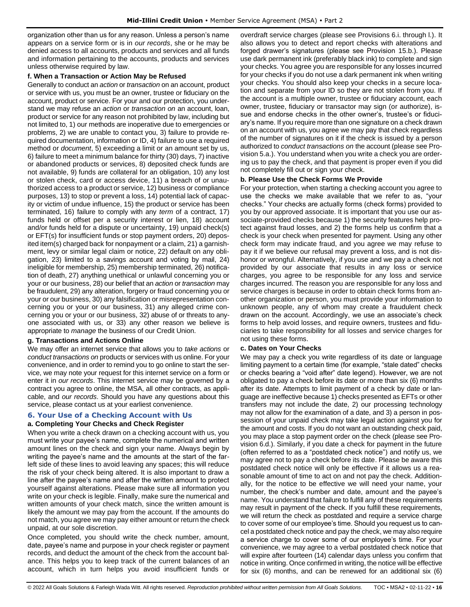organization other than us for any reason. Unless a person's name appears on a service form or is in *our records*, she or he may be denied access to all accounts, products and services and all funds and information pertaining to the accounts, products and services unless otherwise required by law.

#### **f. When a Transaction or Action May be Refused**

Generally to conduct an *action* or *transaction* on an account, product or service with us, you must be an owner, trustee or fiduciary on the account, product or service. For your and our protection, you understand we may refuse an *action* or *transaction on* an account, loan, product or service for any reason not prohibited by law, including but not limited to, 1) our methods are inoperative due to emergencies or problems, 2) we are unable to contact you, 3) failure to provide required documentation, information or ID, 4) failure to use a required method or *document*, 5) exceeding a limit or an amount set by us, 6) failure to meet a minimum balance for thirty (30) days, 7) inactive or abandoned products or services, 8) deposited check funds are not available, 9) funds are collateral for an obligation, 10) any lost or stolen check, card or access device, 11) a breach of or unauthorized access to a product or service, 12) business or compliance purposes, 13) to stop or prevent a loss, 14) potential lack of capacity or victim of undue influence, 15) the product or service has been terminated, 16) failure to comply with any *term* of a contract, 17) funds held or offset per a security interest or lien, 18) account and/or funds held for a dispute or uncertainty, 19) unpaid check(s) or EFT(s) for insufficient funds or stop payment orders, 20) deposited item(s) charged back for nonpayment or a claim, 21) a garnishment, levy or similar legal claim or notice, 22) default on any obligation, 23) limited to a savings account and voting by mail, 24) ineligible for membership, 25) membership terminated, 26) notification of death, 27) anything unethical or unlawful concerning you or your or our business, 28) our belief that an *action* or *transaction* may be fraudulent, 29) any alteration, forgery or fraud concerning you or your or our business, 30) any falsification or misrepresentation concerning you or your or our business, 31) any alleged crime concerning you or your or our business, 32) abuse of or threats to anyone associated with us, or 33) any other reason we believe is appropriate to *manage* the business of our Credit Union.

## **g. Transactions and Actions Online**

We may offer an internet service that allows you to *take actions* or *conduct transactions on* products or services with us online. For your convenience, and in order to remind you to go online to start the service, we may note your request for this internet service on a form or enter it in *our records*. This internet service may be governed by a contract you agree to online, the MSA, all other contracts, as applicable, and *our records*. Should you have any questions about this service, please contact us at your earliest convenience.

## <span id="page-15-0"></span>**6. Your Use of a Checking Account with Us a. Completing Your Checks and Check Register**

When you write a check drawn on a checking account with us, you must write your payee's name, complete the numerical and written amount lines on the check and sign your name. Always begin by writing the payee's name and the amounts at the start of the farleft side of these lines to avoid leaving any spaces; this will reduce the risk of your check being altered. It is also important to draw a line after the payee's name and after the written amount to protect yourself against alterations. Please make sure all information you write on your check is legible. Finally, make sure the numerical and written amounts of your check match, since the written amount is likely the amount we may pay from the account. If the amounts do not match, you agree we may pay either amount or return the check unpaid, at our sole discretion.

Once completed, you should write the check number, amount, date, payee's name and purpose in your check register or payment records, and deduct the amount of the check from the account balance. This helps you to keep track of the current balances of an account, which in turn helps you avoid insufficient funds or

overdraft service charges (please see Provisions 6.i. through l.). It also allows you to detect and report checks with alterations and forged drawer's signatures (please see Provision 15.b.). Please use dark permanent ink (preferably black ink) to complete and sign your checks. You agree you are responsible for any losses incurred for your checks if you do not use a dark permanent ink when writing your checks. You should also keep your checks in a secure location and separate from your ID so they are not stolen from you. If the account is a multiple owner, trustee or fiduciary account, each owner, trustee, fiduciary or transactor may sign (or authorize), issue and endorse checks in the other owner's, trustee's or fiduciary's name. If you require more than one signature on a check drawn on an account with us, you agree we may pay that check regardless of the number of signatures on it if the check is issued by a person authorized to *conduct transactions on* the account (please see Provision 5.a.). You understand when you write a check you are ordering us to pay the check, and that payment is proper even if you did not completely fill out or sign your check.

## **b. Please Use the Check Forms We Provide**

For your protection, when starting a checking account you agree to use the checks we make available that we refer to as, "your checks." Your checks are actually forms (check forms) provided to you by our approved associate. It is important that you use our associate-provided checks because 1) the security features help protect against fraud losses, and 2) the forms help us confirm that a check is your check when presented for payment. Using any other check form may indicate fraud, and you agree we may refuse to pay it if we believe our refusal may prevent a loss, and is not dishonor or wrongful. Alternatively, if you use and we pay a check not provided by our associate that results in any loss or service charges, you agree to be responsible for any loss and service charges incurred. The reason you are responsible for any loss and service charges is because in order to obtain check forms from another organization or person, you must provide your information to unknown people, any of whom may create a fraudulent check drawn on the account. Accordingly, we use an associate's check forms to help avoid losses, and require owners, trustees and fiduciaries to take responsibility for all losses and service charges for not using these forms.

## **c. Dates on Your Checks**

We may pay a check you write regardless of its date or language limiting payment to a certain time (for example, "stale dated" checks or checks bearing a "void after" date legend). However, we are not obligated to pay a check before its date or more than six (6) months after its date. Attempts to limit payment of a check by date or language are ineffective because 1) checks presented as EFTs or other transfers may not include the date, 2) our processing technology may not allow for the examination of a date, and 3) a person in possession of your unpaid check may take legal action against you for the amount and costs. If you do not want an outstanding check paid, you may place a stop payment order on the check (please see Provision 6.d.). Similarly, if you date a check for payment in the future (often referred to as a "postdated check notice") and notify us, we may agree not to pay a check before its date. Please be aware this postdated check notice will only be effective if it allows us a reasonable amount of time to act on and not pay the check. Additionally, for the notice to be effective we will need your name, your number, the check's number and date, amount and the payee's name. You understand that failure to fulfill any of these requirements may result in payment of the check. If you fulfill these requirements, we will return the check as postdated and require a service charge to cover some of our employee's time. Should you request us to cancel a postdated check notice and pay the check, we may also require a service charge to cover some of our employee's time. For your convenience, we may agree to a verbal postdated check notice that will expire after fourteen (14) calendar days unless you confirm that notice in writing. Once confirmed in writing, the notice will be effective for six (6) months, and can be renewed for an additional six (6)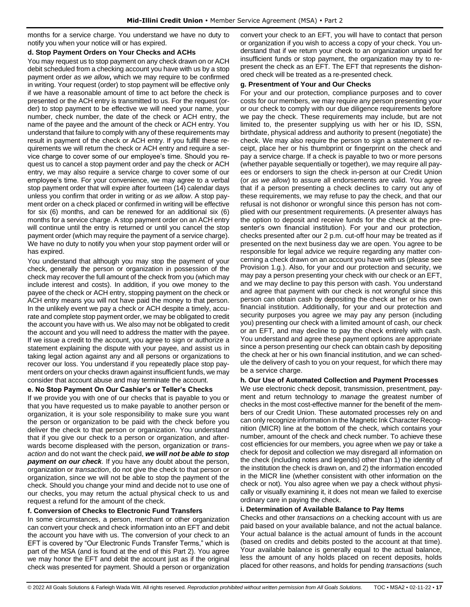months for a service charge. You understand we have no duty to notify you when your notice will or has expired.

#### **d. Stop Payment Orders on Your Checks and ACHs**

You may request us to stop payment on any check drawn on or ACH debit scheduled from a checking account you have with us by a stop payment order *as we allow***,** which we may require to be confirmed in writing. Your request (order) to stop payment will be effective only if we have a reasonable amount of time to act before the check is presented or the ACH entry is transmitted to us. For the request (order) to stop payment to be effective we will need your name, your number, check number, the date of the check or ACH entry, the name of the payee and the amount of the check or ACH entry. You understand that failure to comply with any of these requirements may result in payment of the check or ACH entry. If you fulfill these requirements we will return the check or ACH entry and require a service charge to cover some of our employee's time. Should you request us to cancel a stop payment order and pay the check or ACH entry, we may also require a service charge to cover some of our employee's time. For your convenience, we may agree to a verbal stop payment order that will expire after fourteen (14) calendar days unless you confirm that order in writing or *as we allow*. A stop payment order on a check placed or confirmed in writing will be effective for six (6) months, and can be renewed for an additional six (6) months for a service charge. A stop payment order on an ACH entry will continue until the entry is returned or until you cancel the stop payment order (which may require the payment of a service charge). We have no duty to notify you when your stop payment order will or has expired.

You understand that although you may stop the payment of your check, generally the person or organization in possession of the check may recover the full amount of the check from you (which may include interest and costs). In addition, if you owe money to the payee of the check or ACH entry, stopping payment on the check or ACH entry means you will not have paid the money to that person. In the unlikely event we pay a check or ACH despite a timely, accurate and complete stop payment order, we may be obligated to credit the account you have with us. We also may not be obligated to credit the account and you will need to address the matter with the payee. If we issue a credit to the account, you agree to sign or authorize a statement explaining the dispute with your payee, and assist us in taking legal action against any and all persons or organizations to recover our loss. You understand if you repeatedly place stop payment orders on your checks drawn against insufficient funds, we may consider that account abuse and may terminate the account.

## **e. No Stop Payment On Our Cashier's or Teller's Checks**

If we provide you with one of our checks that is payable to you or that you have requested us to make payable to another person or organization, it is your sole responsibility to make sure you want the person or organization to be paid with the check before you deliver the check to that person or organization. You understand that if you give our check to a person or organization, and afterwards become displeased with the person, organization or *transaction* and do not want the check paid, *we will not be able to stop payment on our check.* If you have any doubt about the person, organization or *transaction*, do not give the check to that person or organization, since we will not be able to stop the payment of the check. Should you change your mind and decide not to use one of our checks, you may return the actual physical check to us and request a refund for the amount of the check.

## **f. Conversion of Checks to Electronic Fund Transfers**

In some circumstances, a person, merchant or other organization can convert your check and check information into an EFT and debit the account you have with us. The conversion of your check to an EFT is covered by "Our Electronic Funds Transfer Terms," which is part of the MSA (and is found at the end of this Part 2). You agree we may honor the EFT and debit the account just as if the original check was presented for payment. Should a person or organization convert your check to an EFT, you will have to contact that person or organization if you wish to access a copy of your check. You understand that if we return your check to an organization unpaid for insufficient funds or stop payment, the organization may try to represent the check as an EFT. The EFT that represents the dishonored check will be treated as a re-presented check.

#### **g. Presentment of Your and Our Checks**

For your and our protection, compliance purposes and to cover costs for our members, we may require any person presenting your or our check to comply with our due diligence requirements before we pay the check. These requirements may include, but are not limited to, the presenter supplying us with her or his ID, SSN, birthdate, physical address and authority to present (negotiate) the check. We may also require the person to sign a statement of receipt, place her or his thumbprint or fingerprint on the check and pay a service charge. If a check is payable to two or more persons (whether payable sequentially or together), we may require all payees or endorsers to sign the check in-person at our Credit Union (or *as we allow*) to assure all endorsements are valid. You agree that if a person presenting a check declines to carry out any of these requirements, we may refuse to pay the check, and that our refusal is not dishonor or wrongful since this person has not complied with our presentment requirements. (A presenter always has the option to deposit and receive funds for the check at the presenter's own financial institution). For your and our protection, checks presented after our 2 p.m. cut-off hour may be treated as if presented on the next business day we are open. You agree to be responsible for legal advice we require regarding any matter concerning a check drawn on an account you have with us (please see Provision 1.g.). Also, for your and our protection and security, we may pay a person presenting your check with our check or an EFT, and we may decline to pay this person with cash. You understand and agree that payment with our check is not wrongful since this person can obtain cash by depositing the check at her or his own financial institution. Additionally, for your and our protection and security purposes you agree we may pay any person (including you) presenting our check with a limited amount of cash, our check or an EFT, and may decline to pay the check entirely with cash. You understand and agree these payment options are appropriate since a person presenting our check can obtain cash by depositing the check at her or his own financial institution, and we can schedule the delivery of cash to you on your request, for which there may be a service charge.

### **h. Our Use of Automated Collection and Payment Processes**

We use electronic check deposit, transmission, presentment, payment and return technology to *manage* the greatest number of checks in the most cost-effective manner for the benefit of the members of our Credit Union. These automated processes rely on and can only recognize information in the Magnetic Ink Character Recognition (MICR) line at the bottom of the check, which contains your number, amount of the check and check number. To achieve these cost efficiencies for our members, you agree when we pay or take a check for deposit and collection we may disregard all information on the check (including notes and legends) other than 1) the identity of the institution the check is drawn on, and 2) the information encoded in the MICR line (whether consistent with other information on the check or not). You also agree when we pay a check without physically or visually examining it, it does not mean we failed to exercise ordinary care in paying the check.

#### **i. Determination of Available Balance to Pay Items**

Checks and other *transactions on* a checking account with us are paid based on your available balance, and not the actual balance. Your actual balance is the actual amount of funds in the account (based on credits and debits posted to the account at that time). Your available balance is generally equal to the actual balance, less the amount of any holds placed on recent deposits, holds placed for other reasons, and holds for pending *transactions* (such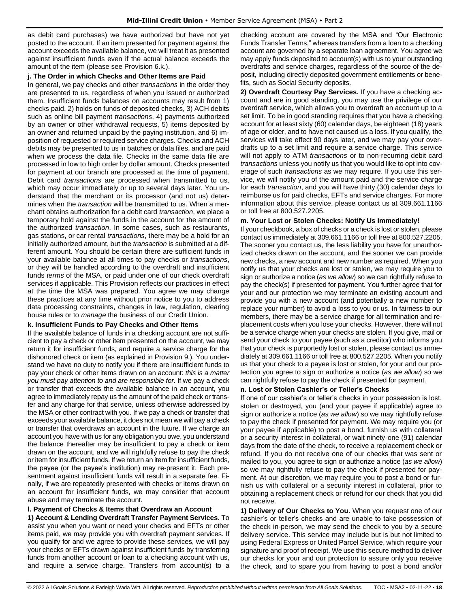as debit card purchases) we have authorized but have not yet posted to the account. If an item presented for payment against the account exceeds the available balance, we will treat it as presented against insufficient funds even if the actual balance exceeds the amount of the item (please see Provision 6.k.).

#### **j. The Order in which Checks and Other Items are Paid**

In general, we pay checks and other *transactions* in the order they are presented to us, regardless of when you issued or authorized them. Insufficient funds balances on accounts may result from 1) checks paid, 2) holds on funds of deposited checks, 3) ACH debits such as online bill payment *transactions*, 4) payments authorized by an owner or other withdrawal requests, 5) items deposited by an owner and returned unpaid by the paying institution, and 6) imposition of requested or required service charges. Checks and ACH debits may be presented to us in batches or data files, and are paid when we process the data file. Checks in the same data file are processed in low to high order by dollar amount. Checks presented for payment at our branch are processed at the time of payment. Debit card *transactions* are processed when transmitted to us, which may occur immediately or up to several days later. You understand that the merchant or its processor (and not us) determines when the *transaction* will be transmitted to us. When a merchant obtains authorization for a debit card *transaction*, we place a temporary hold against the funds in the account for the amount of the authorized *transaction*. In some cases, such as restaurants, gas stations, or car rental *transactions*, there may be a hold for an initially authorized amount, but the *transaction* is submitted at a different amount. You should be certain there are sufficient funds in your available balance at all times to pay checks or *transactions*, or they will be handled according to the overdraft and insufficient funds *terms* of the MSA, or paid under one of our check overdraft services if applicable. This Provision reflects our practices in effect at the time the MSA was prepared. You agree we may change these practices at any time without prior notice to you to address data processing constraints, changes in law, regulation, clearing house rules or to *manage* the business of our Credit Union.

## **k. Insufficient Funds to Pay Checks and Other Items**

If the available balance of funds in a checking account are not sufficient to pay a check or other item presented on the account, we may return it for insufficient funds, and require a service charge for the dishonored check or item (as explained in Provision 9.). You understand we have no duty to notify you if there are insufficient funds to pay your check or other items drawn on an account: *this is a matter you must pay attention to and are responsible for*. If we pay a check or transfer that exceeds the available balance in an account, you agree to immediately repay us the amount of the paid check or transfer and any charge for that service, unless otherwise addressed by the MSA or other contract with you. If we pay a check or transfer that exceeds your available balance, it does not mean we will pay a check or transfer that overdraws an account in the future. If we charge an account you have with us for any obligation you owe, you understand the balance thereafter may be insufficient to pay a check or item drawn on the account, and we will rightfully refuse to pay the check or item for insufficient funds. If we return an item for insufficient funds, the payee (or the payee's institution) may re-present it. Each presentment against insufficient funds will result in a separate fee. Finally, if we are repeatedly presented with checks or items drawn on an account for insufficient funds, we may consider that account abuse and may terminate the account.

## **l. Payment of Checks & Items that Overdraw an Account**

**1) Account & Lending Overdraft Transfer Payment Services.** To assist you when you want or need your checks and EFTs or other items paid, we may provide you with overdraft payment services. If you qualify for and we agree to provide these services, we will pay your checks or EFTs drawn against insufficient funds by transferring funds from another account or loan to a checking account with us, and require a service charge. Transfers from account(s) to a checking account are covered by the MSA and "Our Electronic Funds Transfer Terms," whereas transfers from a loan to a checking account are governed by a separate loan agreement. You agree we may apply funds deposited to account(s) with us to your outstanding overdrafts and service charges, regardless of the source of the deposit, including directly deposited government entitlements or benefits, such as Social Security deposits.

**2) Overdraft Courtesy Pay Services.** If you have a checking account and are in good standing, you may use the privilege of our overdraft service, which allows you to overdraft an account up to a set limit. To be in good standing requires that you have a checking account for at least sixty (60) calendar days, be eighteen (18) years of age or older, and to have not caused us a loss. If you qualify, the services will take effect 90 days later, and we may pay your overdrafts up to a set limit and require a service charge. This service will not apply to ATM *transactions* or to non-recurring debit card *transactions* unless you notify us that you would like to opt into coverage of such *transactions* as we may require. If you use this service, we will notify you of the amount paid and the service charge for each *transaction*, and you will have thirty (30) calendar days to reimburse us for paid checks, EFTs and service charges. For more information about this service, please contact us at 309.661.1166 or toll free at 800.527.2205.

#### **m. Your Lost or Stolen Checks: Notify Us Immediately!**

If your checkbook, a box of checks or a check is lost or stolen, please contact us immediately at 309.661.1166 or toll free at 800.527.2205. The sooner you contact us, the less liability you have for unauthorized checks drawn on the account, and the sooner we can provide new checks, a new account and new number as required. When you notify us that your checks are lost or stolen, we may require you to sign or authorize a notice (*as we allow*) so we can rightfully refuse to pay the check(s) if presented for payment. You further agree that for your and our protection we may terminate an existing account and provide you with a new account (and potentially a new number to replace your number) to avoid a loss to you or us. In fairness to our members, there may be a service charge for all termination and replacement costs when you lose your checks. However, there will not be a service charge when your checks are stolen. If you give, mail or send your check to your payee (such as a creditor) who informs you that your check is purportedly lost or stolen, please contact us immediately at 309.661.1166 or toll free at 800.527.2205. When you notify us that your check to a payee is lost or stolen, for your and our protection you agree to sign or authorize a notice (*as we allow*) so we can rightfully refuse to pay the check if presented for payment.

## **n. Lost or Stolen Cashier's or Teller's Checks**

If one of our cashier's or teller's checks in your possession is lost, stolen or destroyed, you (and your payee if applicable) agree to sign or authorize a notice (*as we allow*) so we may rightfully refuse to pay the check if presented for payment. We may require you (or your payee if applicable) to post a bond, furnish us with collateral or a security interest in collateral, or wait ninety-one (91) calendar days from the date of the check, to receive a replacement check or refund. If you do not receive one of our checks that was sent or mailed to you, you agree to sign or authorize a notice (*as we allow*) so we may rightfully refuse to pay the check if presented for payment. At our discretion, we may require you to post a bond or furnish us with collateral or a security interest in collateral, prior to obtaining a replacement check or refund for our check that you did not receive.

**1) Delivery of Our Checks to You.** When you request one of our cashier's or teller's checks and are unable to take possession of the check in-person, we may send the check to you by a secure delivery service. This service may include but is but not limited to using Federal Express or United Parcel Service, which require your signature and proof of receipt. We use this secure method to deliver our checks for your and our protection to assure only you receive the check, and to spare you from having to post a bond and/or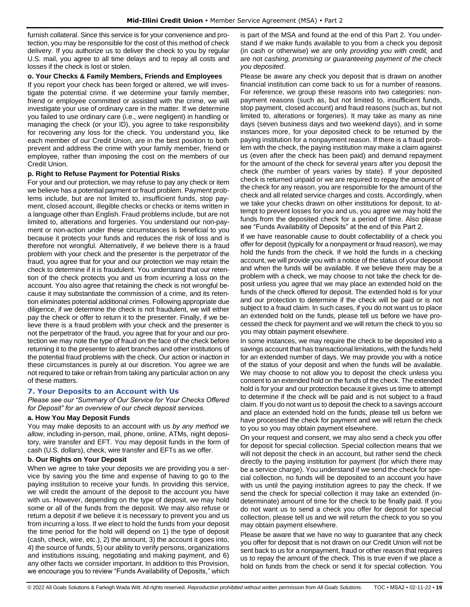furnish collateral. Since this service is for your convenience and protection, you may be responsible for the cost of this method of check delivery. If you authorize us to deliver the check to you by regular U.S. mail, you agree to all time delays and to repay all costs and losses if the check is lost or stolen.

#### **o. Your Checks & Family Members, Friends and Employees**

If you report your check has been forged or altered, we will investigate the potential crime. If we determine your family member, friend or employee committed or assisted with the crime, we will investigate your use of ordinary care in the matter. If we determine you failed to use ordinary care (i.e., were negligent) in handling or managing the check (or your ID), you agree to take responsibility for recovering any loss for the check. You understand you, like each member of our Credit Union, are in the best position to both prevent and address the crime with your family member, friend or employee, rather than imposing the cost on the members of our Credit Union.

#### **p. Right to Refuse Payment for Potential Risks**

For your and our protection, we may refuse to pay any check or item we believe has a potential payment or fraud problem. Payment problems include, but are not limited to, insufficient funds, stop payment, closed account, illegible checks or checks or items written in a language other than English. Fraud problems include, but are not limited to, alterations and forgeries. You understand our non-payment or non-action under these circumstances is beneficial to you because it protects your funds and reduces the risk of loss and is therefore not wrongful. Alternatively, if we believe there is a fraud problem with your check and the presenter is the perpetrator of the fraud, you agree that for your and our protection we may retain the check to determine if it is fraudulent. You understand that our retention of the check protects you and us from incurring a loss on the account. You also agree that retaining the check is not wrongful because it may substantiate the commission of a crime, and its retention eliminates potential additional crimes. Following appropriate due diligence, if we determine the check is not fraudulent, we will either pay the check or offer to return it to the presenter. Finally, if we believe there is a fraud problem with your check and the presenter is not the perpetrator of the fraud, you agree that for your and our protection we may note the type of fraud on the face of the check before returning it to the presenter to alert branches and other institutions of the potential fraud problems with the check. Our action or inaction in these circumstances is purely at our discretion. You agree we are not required to take or refrain from taking any particular action on any of these matters.

## <span id="page-18-0"></span>**7. Your Deposits to an Account with Us**

*Please see our "Summary of Our Service for Your Checks Offered for Deposit" for an overview of our check deposit services.*

#### **a. How You May Deposit Funds**

You may make deposits to an account with us *by any method we allow*, including in-person, mail, phone, online, ATMs, night depository, wire transfer and EFT. You may deposit funds in the form of cash (U.S. dollars), check, wire transfer and EFTs as we offer.

#### **b. Our Rights on Your Deposit**

When we agree to take your deposits we are providing you a service by saving you the time and expense of having to go to the paying institution to receive your funds. In providing this service, we will credit the amount of the deposit to the account you have with us. However, depending on the type of deposit, we may hold some or all of the funds from the deposit. We may also refuse or return a deposit if we believe it is necessary to prevent you and us from incurring a loss. If we elect to hold the funds from your deposit the time period for the hold will depend on 1) the type of deposit (cash, check, wire, etc.), 2) the amount, 3) the account it goes into, 4) the source of funds, 5) our ability to verify persons, organizations and institutions issuing, negotiating and making payment, and 6) any other facts we consider important. In addition to this Provision, we encourage you to review "Funds Availability of Deposits," which is part of the MSA and found at the end of this Part 2. You understand if we make funds available to you from a check you deposit (in cash or otherwise) we are only *providing you with credit,* and are not *cashing, promising or guaranteeing payment of the check you deposited*.

Please be aware any check you deposit that is drawn on another financial institution can come back to us for a number of reasons. For reference, we group these reasons into two categories: nonpayment reasons (such as, but not limited to, insufficient funds, stop payment, closed account) and fraud reasons (such as, but not limited to, alterations or forgeries). It may take as many as nine days (seven business days and two weekend days), and in some instances more, for your deposited check to be returned by the paying institution for a nonpayment reason. If there is a fraud problem with the check, the paying institution may make a claim against us (even after the check has been paid) and demand repayment for the amount of the check for several years after you deposit the check (the number of years varies by state). If your deposited check is returned unpaid or we are required to repay the amount of the check for any reason, you are responsible for the amount of the check and all related service charges and costs. Accordingly, when we take your checks drawn on other institutions for deposit, to attempt to prevent losses for you and us, you agree we may hold the funds from the deposited check for a period of time. Also please see "Funds Availability of Deposits" at the end of this Part 2.

If we have reasonable cause to doubt collectability of a check you offer for deposit (typically for a nonpayment or fraud reason), we may hold the funds from the check. If we hold the funds in a checking account, we will provide you with a notice of the status of your deposit and when the funds will be available. If we believe there may be a problem with a check, we may choose to not take the check for deposit unless you agree that we may place an extended hold on the funds of the check offered for deposit. The extended hold is for your and our protection to determine if the check will be paid or is not subject to a fraud claim. In such cases, if you do not want us to place an extended hold on the funds, please tell us before we have processed the check for payment and we will return the check to you so you may obtain payment elsewhere.

In some instances, we may require the check to be deposited into a savings account that has transactional limitations, with the funds held for an extended number of days. We may provide you with a notice of the status of your deposit and when the funds will be available. We may choose to not allow you to deposit the check unless you consent to an extended hold on the funds of the check. The extended hold is for your and our protection because it gives us time to attempt to determine if the check will be paid and is not subject to a fraud claim. If you do not want us to deposit the check to a savings account and place an extended hold on the funds, please tell us before we have processed the check for payment and we will return the check to you so you may obtain payment elsewhere.

On your request and consent, we may also send a check you offer for deposit for special collection. Special collection means that we will not deposit the check in an account, but rather send the check directly to the paying institution for payment (for which there may be a service charge). You understand if we send the check for special collection, no funds will be deposited to an account you have with us until the paying institution agrees to pay the check. If we send the check for special collection it may take an extended (indeterminate) amount of time for the check to be finally paid. If you do not want us to send a check you offer for deposit for special collection, please tell us and we will return the check to you so you may obtain payment elsewhere.

Please be aware that we have no way to guarantee that any check you offer for deposit that is not drawn on our Credit Union will not be sent back to us for a nonpayment, fraud or other reason that requires us to repay the amount of the check. This is true even if we place a hold on funds from the check or send it for special collection. You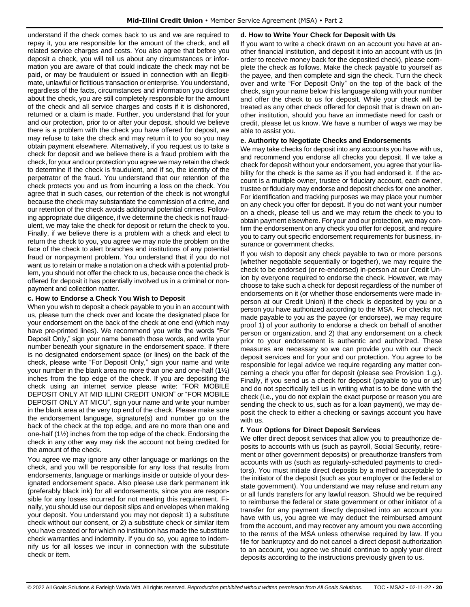understand if the check comes back to us and we are required to repay it, you are responsible for the amount of the check, and all related service charges and costs. You also agree that before you deposit a check, you will tell us about any circumstances or information you are aware of that could indicate the check may not be paid, or may be fraudulent or issued in connection with an illegitimate, unlawful or fictitious transaction or enterprise. You understand, regardless of the facts, circumstances and information you disclose about the check, you are still completely responsible for the amount of the check and all service charges and costs if it is dishonored, returned or a claim is made. Further, you understand that for your and our protection, prior to or after your deposit, should we believe there is a problem with the check you have offered for deposit, we may refuse to take the check and may return it to you so you may obtain payment elsewhere. Alternatively, if you request us to take a check for deposit and we believe there is a fraud problem with the check, for your and our protection you agree we may retain the check to determine if the check is fraudulent, and if so, the identity of the perpetrator of the fraud. You understand that our retention of the check protects you and us from incurring a loss on the check. You agree that in such cases, our retention of the check is not wrongful because the check may substantiate the commission of a crime, and our retention of the check avoids additional potential crimes. Following appropriate due diligence, if we determine the check is not fraudulent, we may take the check for deposit or return the check to you. Finally, if we believe there is a problem with a check and elect to return the check to you, you agree we may note the problem on the face of the check to alert branches and institutions of any potential fraud or nonpayment problem. You understand that if you do not want us to retain or make a notation on a check with a potential problem, you should not offer the check to us, because once the check is offered for deposit it has potentially involved us in a criminal or nonpayment and collection matter.

#### **c. How to Endorse a Check You Wish to Deposit**

When you wish to deposit a check payable to you in an account with us, please turn the check over and locate the designated place for your endorsement on the back of the check at one end (which may have pre-printed lines). We recommend you write the words "For Deposit Only," sign your name beneath those words, and write your number beneath your signature in the endorsement space. If there is no designated endorsement space (or lines) on the back of the check, please write "For Deposit Only," sign your name and write your number in the blank area no more than one and one-half (1½) inches from the top edge of the check. If you are depositing the check using an internet service please write: "FOR MOBILE DEPOSIT ONLY AT MID ILLINI CREDIT UNION" or "FOR MOBILE DEPOSIT ONLY AT MICU", sign your name and write your number in the blank area at the very top end of the check. Please make sure the endorsement language, signature(s) and number go on the back of the check at the top edge, and are no more than one and one-half (1½) inches from the top edge of the check. Endorsing the check in any other way may risk the account not being credited for the amount of the check.

You agree we may ignore any other language or markings on the check, and you will be responsible for any loss that results from endorsements, language or markings inside or outside of your designated endorsement space. Also please use dark permanent ink (preferably black ink) for all endorsements, since you are responsible for any losses incurred for not meeting this requirement. Finally, you should use our deposit slips and envelopes when making your deposit. You understand you may not deposit 1) a substitute check without our consent, or 2) a substitute check or similar item you have created or for which no institution has made the substitute check warranties and indemnity. If you do so, you agree to indemnify us for all losses we incur in connection with the substitute check or item.

#### **d. How to Write Your Check for Deposit with Us**

If you want to write a check drawn on an account you have at another financial institution, and deposit it into an account with us (in order to receive money back for the deposited check), please complete the check as follows. Make the check payable to yourself as the payee, and then complete and sign the check. Turn the check over and write "For Deposit Only" on the top of the back of the check, sign your name below this language along with your number and offer the check to us for deposit. While your check will be treated as any other check offered for deposit that is drawn on another institution, should you have an immediate need for cash or credit, please let us know. We have a number of ways we may be able to assist you.

#### **e. Authority to Negotiate Checks and Endorsements**

We may take checks for deposit into any accounts you have with us, and recommend you endorse all checks you deposit. If we take a check for deposit without your endorsement, you agree that your liability for the check is the same as if you had endorsed it. If the account is a multiple owner, trustee or fiduciary account, each owner, trustee or fiduciary may endorse and deposit checks for one another. For identification and tracking purposes we may place your number on any check you offer for deposit. If you do not want your number on a check, please tell us and we may return the check to you to obtain payment elsewhere. For your and our protection, we may confirm the endorsement on any check you offer for deposit, and require you to carry out specific endorsement requirements for business, insurance or government checks.

If you wish to deposit any check payable to two or more persons (whether negotiable sequentially or together), we may require the check to be endorsed (or re-endorsed) in-person at our Credit Union by everyone required to endorse the check. However, we may choose to take such a check for deposit regardless of the number of endorsements on it (or whether those endorsements were made inperson at our Credit Union) if the check is deposited by you or a person you have authorized according to the MSA. For checks not made payable to you as the payee (or endorsee), we may require proof 1) of your authority to endorse a check on behalf of another person or organization, and 2) that any endorsement on a check prior to your endorsement is authentic and authorized. These measures are necessary so we can provide you with our check deposit services and for your and our protection. You agree to be responsible for legal advice we require regarding any matter concerning a check you offer for deposit (please see Provision 1.g.). Finally, if you send us a check for deposit (payable to you or us) and do not specifically tell us in writing what is to be done with the check (i.e., you do not explain the exact purpose or reason you are sending the check to us, such as for a loan payment), we may deposit the check to either a checking or savings account you have with us.

## **f. Your Options for Direct Deposit Services**

We offer direct deposit services that allow you to preauthorize deposits to accounts with us (such as payroll, Social Security, retirement or other government deposits) or preauthorize transfers from accounts with us (such as regularly-scheduled payments to creditors). You must initiate direct deposits by a method acceptable to the initiator of the deposit (such as your employer or the federal or state government). You understand we may refuse and return any or all funds transfers for any lawful reason. Should we be required to reimburse the federal or state government or other initiator of a transfer for any payment directly deposited into an account you have with us, you agree we may deduct the reimbursed amount from the account, and may recover any amount you owe according to the *terms* of the MSA unless otherwise required by law. If you file for bankruptcy and do not cancel a direct deposit authorization to an account, you agree we should continue to apply your direct deposits according to the instructions previously given to us.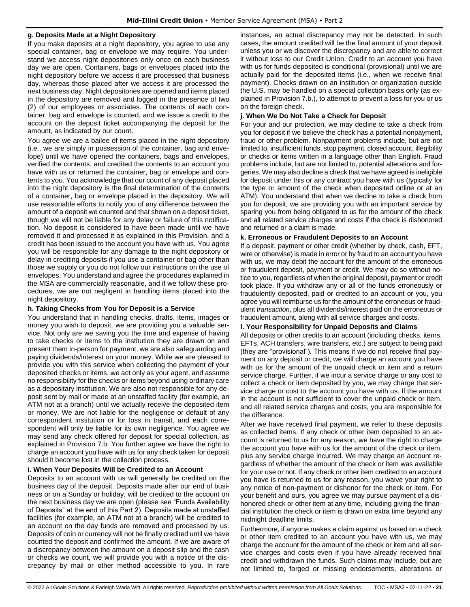#### **g. Deposits Made at a Night Depository**

If you make deposits at a night depository, you agree to use any special container, bag or envelope we may require. You understand we access night depositories only once on each business day we are open. Containers, bags or envelopes placed into the night depository before we access it are processed that business day, whereas those placed after we access it are processed the next business day. Night depositories are opened and items placed in the depository are removed and logged in the presence of two (2) of our employees or associates. The contents of each container, bag and envelope is counted, and we issue a credit to the account on the deposit ticket accompanying the deposit for the amount, as indicated by our count.

You agree we are a bailee of items placed in the night depository (i.e., we are simply in possession of the container, bag and envelope) until we have opened the containers, bags and envelopes, verified the contents, and credited the contents to an account you have with us or returned the container, bag or envelope and contents to you. You acknowledge that our count of any deposit placed into the night depository is the final determination of the contents of a container, bag or envelope placed in the depository. We will use reasonable efforts to notify you of any difference between the amount of a deposit we counted and that shown on a deposit ticket, though we will not be liable for any delay or failure of this notification. No deposit is considered to have been made until we have removed it and processed it as explained in this Provision, and a credit has been issued to the account you have with us. You agree you will be responsible for any damage to the night depository or delay in crediting deposits if you use a container or bag other than those we supply or you do not follow our instructions on the use of envelopes. You understand and agree the procedures explained in the MSA are commercially reasonable, and if we follow these procedures, we are not negligent in handling items placed into the night depository.

## **h. Taking Checks from You for Deposit is a Service**

You understand that in handling checks, drafts, items, images or money you wish to deposit, we are providing you a valuable service. Not only are we saving you the time and expense of having to take checks or items to the institution they are drawn on and present them in-person for payment, we are also safeguarding and paying dividends/interest on your money. While we are pleased to provide you with this service when collecting the payment of your deposited checks or items, we act only as your agent, and assume no responsibility for the checks or items beyond using ordinary care as a depositary institution. We are also not responsible for any deposit sent by mail or made at an unstaffed facility (for example, an ATM not at a branch) until we actually receive the deposited item or money. We are not liable for the negligence or default of any correspondent institution or for loss in transit, and each correspondent will only be liable for its own negligence. You agree we may send any check offered for deposit for special collection, as explained in Provision 7.b. You further agree we have the right to charge an account you have with us for any check taken for deposit should it become lost in the collection process.

## **i. When Your Deposits Will be Credited to an Account**

Deposits to an account with us will generally be credited on the business day of the deposit. Deposits made after our end of business or on a Sunday or holiday, will be credited to the account on the next business day we are open (please see "Funds Availability of Deposits" at the end of this Part 2). Deposits made at unstaffed facilities (for example, an ATM not at a branch) will be credited to an account on the day funds are removed and processed by us. Deposits of coin or currency will not be finally credited until we have counted the deposit and confirmed the amount. If we are aware of a discrepancy between the amount on a deposit slip and the cash or checks we count, we will provide you with a notice of the discrepancy by mail or other method accessible to you. In rare

instances, an actual discrepancy may not be detected. In such cases, the amount credited will be the final amount of your deposit unless you or we discover the discrepancy and are able to correct it without loss to our Credit Union. Credit to an account you have with us for funds deposited is conditional (provisional) until we are actually paid for the deposited items (i.e., when we receive final payment). Checks drawn on an institution or organization outside the U.S. may be handled on a special collection basis only (as explained in Provision 7.b.), to attempt to prevent a loss for you or us on the foreign check.

#### **j. When We Do Not Take a Check for Deposit**

For your and our protection, we may decline to take a check from you for deposit if we believe the check has a potential nonpayment, fraud or other problem. Nonpayment problems include, but are not limited to, insufficient funds, stop payment, closed account, illegibility or checks or items written in a language other than English. Fraud problems include, but are not limited to, potential alterations and forgeries. We may also decline a check that we have agreed is ineligible for deposit under this or any contract you have with us (typically for the type or amount of the check when deposited online or at an ATM). You understand that when we decline to take a check from you for deposit, we are providing you with an important service by sparing you from being obligated to us for the amount of the check and all related service charges and costs if the check is dishonored and returned or a claim is made.

#### **k. Erroneous or Fraudulent Deposits to an Account**

If a deposit, payment or other credit (whether by check, cash, EFT, wire or otherwise) is made in error or by fraud to an account you have with us, we may debit the account for the amount of the erroneous or fraudulent deposit, payment or credit. We may do so without notice to you, regardless of when the original deposit, payment or credit took place. If you withdraw any or all of the funds erroneously or fraudulently deposited, paid or credited to an account or you, you agree you will reimburse us for the amount of the erroneous or fraudulent *transaction*, plus all dividends/interest paid on the erroneous or fraudulent amount, along with all service charges and costs.

#### **l. Your Responsibility for Unpaid Deposits and Claims**

All deposits or other credits to an account (including checks, items, EFTs, ACH transfers, wire transfers, etc.) are subject to being paid (they are "provisional"). This means if we do not receive final payment on any deposit or credit, we will charge an account you have with us for the amount of the unpaid check or item and a return service charge. Further, if we incur a service charge or any cost to collect a check or item deposited by you, we may charge that service charge or cost to the account you have with us. If the amount in the account is not sufficient to cover the unpaid check or item, and all related service charges and costs, you are responsible for the difference.

After we have received final payment, we refer to these deposits as collected items. If any check or other item deposited to an account is returned to us for any reason, we have the right to charge the account you have with us for the amount of the check or item, plus any service charge incurred. We may charge an account regardless of whether the amount of the check or item was available for your use or not. If any check or other item credited to an account you have is returned to us for any reason, you waive your right to any notice of non-payment or dishonor for the check or item. For your benefit and ours, you agree we may pursue payment of a dishonored check or other item at any time, including giving the financial institution the check or item is drawn on extra time beyond any midnight deadline limits.

Furthermore, if anyone makes a claim against us based on a check or other item credited to an account you have with us, we may charge the account for the amount of the check or item and all service charges and costs even if you have already received final credit and withdrawn the funds. Such claims may include, but are not limited to, forged or missing endorsements, alterations or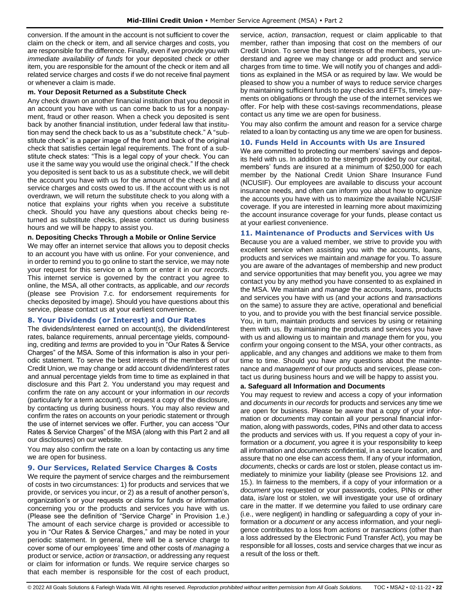conversion. If the amount in the account is not sufficient to cover the claim on the check or item, and all service charges and costs, you are responsible for the difference. Finally, even if we provide you with *immediate availability of funds* for your deposited check or other item, you are responsible for the amount of the check or item and all related service charges and costs if we do not receive final payment or whenever a claim is made.

#### **m. Your Deposit Returned as a Substitute Check**

Any check drawn on another financial institution that you deposit in an account you have with us can come back to us for a nonpayment, fraud or other reason. When a check you deposited is sent back by another financial institution, under federal law that institution may send the check back to us as a "substitute check." A "substitute check" is a paper image of the front and back of the original check that satisfies certain legal requirements. The front of a substitute check states: "This is a legal copy of your check. You can use it the same way you would use the original check." If the check you deposited is sent back to us as a substitute check, we will debit the account you have with us for the amount of the check and all service charges and costs owed to us. If the account with us is not overdrawn, we will return the substitute check to you along with a notice that explains your rights when you receive a substitute check. Should you have any questions about checks being returned as substitute checks, please contact us during business hours and we will be happy to assist you.

#### **n. Depositing Checks Through a Mobile or Online Service**

We may offer an internet service that allows you to deposit checks to an account you have with us online. For your convenience, and in order to remind you to go online to start the service, we may note your request for this service on a form or enter it in *our records*. This internet service is governed by the contract you agree to online, the MSA, all other contracts, as applicable, and *our records* (please see Provision 7.c. for endorsement requirements for checks deposited by image). Should you have questions about this service, please contact us at your earliest convenience.

## <span id="page-21-0"></span>**8. Your Dividends (or Interest) and Our Rates**

The dividends/interest earned on account(s), the dividend/interest rates, balance requirements, annual percentage yields, compounding, crediting and *terms* are provided to you in "Our Rates & Service Charges" of the MSA. Some of this information is also in your periodic statement. To serve the best interests of the members of our Credit Union, we may change or add account dividend/interest rates and annual percentage yields from time to time as explained in that disclosure and this Part 2. You understand you may request and confirm the rate on any account or your information in *our records* (particularly for a term account), or request a copy of the disclosure, by contacting us during business hours. You may also review and confirm the rates on accounts on your periodic statement or through the use of internet services we offer. Further, you can access "Our Rates & Service Charges" of the MSA (along with this Part 2 and all our disclosures) on our website.

You may also confirm the rate on a loan by contacting us any time we are open for business.

## <span id="page-21-1"></span>**9. Our Services, Related Service Charges & Costs**

We require the payment of service charges and the reimbursement of costs in two circumstances: 1) for products and services that we provide, or services you incur, or 2) as a result of another person's, organization's or your requests or claims for funds or information concerning you or the products and services you have with us. (Please see the definition of "Service Charge" in Provision 1.e.) The amount of each service charge is provided or accessible to you in "Our Rates & Service Charges," and may be noted in your periodic statement. In general, there will be a service charge to cover some of our employees' time and other costs of *managing* a product or service, *action* or *transaction*, or addressing any request or claim for information or funds. We require service charges so that each member is responsible for the cost of each product,

service, *action*, *transaction*, request or claim applicable to that member, rather than imposing that cost on the members of our Credit Union. To serve the best interests of the members, you understand and agree we may change or add product and service charges from time to time. We will notify you of changes and additions as explained in the MSA or as required by law. We would be pleased to show you a number of ways to reduce service charges by maintaining sufficient funds to pay checks and EFTs, timely payments on obligations or through the use of the internet services we offer. For help with these cost-savings recommendations, please contact us any time we are open for business.

You may also confirm the amount and reason for a service charge related to a loan by contacting us any time we are open for business.

### <span id="page-21-2"></span>**10. Funds Held in Accounts with Us are Insured**

We are committed to protecting our members' savings and deposits held with us. In addition to the strength provided by our capital, members' funds are insured at a minimum of \$250,000 for each member by the National Credit Union Share Insurance Fund (NCUSIF). Our employees are available to discuss your account insurance needs, and often can inform you about how to organize the accounts you have with us to maximize the available NCUSIF coverage. If you are interested in learning more about maximizing the account insurance coverage for your funds, please contact us at your earliest convenience.

## <span id="page-21-3"></span>**11. Maintenance of Products and Services with Us**

Because you are a valued member, we strive to provide you with excellent service when assisting you with the accounts, loans, products and services we maintain and *manage* for you. To assure you are aware of the advantages of membership and new product and service opportunities that may benefit you, you agree we may contact you by any method you have consented to as explained in the MSA. We maintain and *manage* the accounts, loans, products and services you have with us (and your *actions* and *transactions* on the same) to assure they are active, operational and beneficial to you, and to provide you with the best financial service possible. You, in turn, maintain products and services by using or retaining them with us. By maintaining the products and services you have with us and allowing us to maintain and *manage* them for you, you confirm your ongoing consent to the MSA, your other contracts, as applicable, and any changes and additions we make to them from time to time. Should you have any questions about the maintenance and *management* of our products and services, please contact us during business hours and we will be happy to assist you.

#### **a. Safeguard all Information and Documents**

You may request to review and access a copy of your information and *documents* in *our records* for products and services any time we are open for business. Please be aware that a copy of your information or *documents* may contain all your personal financial information, along with passwords, codes, PINs and other data to access the products and services with us. If you request a copy of your information or a *document*, you agree it is your responsibility to keep all information and *documents* confidential, in a secure location, and assure that no one else can access them. If any of your information, *documents*, checks or cards are lost or stolen, please contact us immediately to minimize your liability (please see Provisions 12. and 15.). In fairness to the members, if a copy of your information or a *document* you requested or your passwords, codes, PINs or other data, is/are lost or stolen, we will investigate your use of ordinary care in the matter. If we determine you failed to use ordinary care (i.e., were negligent) in handling or safeguarding a copy of your information or a *document* or any access information, and your negligence contributes to a loss from *actions* or *transactions* (other than a loss addressed by the Electronic Fund Transfer Act), you may be responsible for all losses, costs and service charges that we incur as a result of the loss or theft.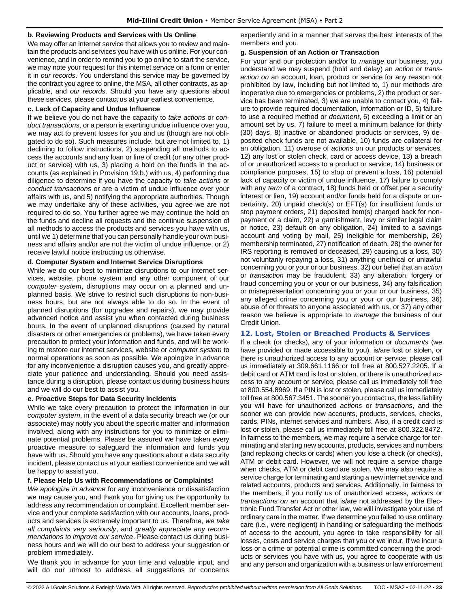#### **b. Reviewing Products and Services with Us Online**

We may offer an internet service that allows you to review and maintain the products and services you have with us online. For your convenience, and in order to remind you to go online to start the service, we may note your request for this internet service on a form or enter it in *our records*. You understand this service may be governed by the contract you agree to online, the MSA, all other contracts, as applicable, and *our records*. Should you have any questions about these services, please contact us at your earliest convenience.

#### **c. Lack of Capacity and Undue Influence**

If we believe you do not have the capacity to *take actions* or *conduct transactions*, or a person is exerting undue influence over you, we may act to prevent losses for you and us (though are not obligated to do so). Such measures include, but are not limited to, 1) declining to follow instructions, 2) suspending all methods to access the accounts and any loan or line of credit (or any other product or service) with us, 3) placing a hold on the funds in the accounts (as explained in Provision 19.b.) with us, 4) performing due diligence to determine if you have the capacity to *take actions* or *conduct transactions* or are a victim of undue influence over your affairs with us, and 5) notifying the appropriate authorities. Though we may undertake any of these activities, you agree we are not required to do so. You further agree we may continue the hold on the funds and decline all requests and the continue suspension of all methods to access the products and services you have with us, until we 1) determine that you can personally handle your own business and affairs and/or are not the victim of undue influence, or 2) receive lawful notice instructing us otherwise.

#### **d. Computer System and Internet Service Disruptions**

While we do our best to minimize disruptions to our internet services, website, phone system and any other component of our *computer system*, disruptions may occur on a planned and unplanned basis. We strive to restrict such disruptions to non-business hours, but are not always able to do so. In the event of planned disruptions (for upgrades and repairs), we may provide advanced notice and assist you when contacted during business hours. In the event of unplanned disruptions (caused by natural disasters or other emergencies or problems), we have taken every precaution to protect your information and funds, and will be working to restore our internet services, website or *computer system* to normal operations as soon as possible. We apologize in advance for any inconvenience a disruption causes you, and greatly appreciate your patience and understanding. Should you need assistance during a disruption, please contact us during business hours and we will do our best to assist you.

#### **e. Proactive Steps for Data Security Incidents**

While we take every precaution to protect the information in our *computer system*, in the event of a data security breach we (or our associate) may notify you about the specific matter and information involved, along with any instructions for you to minimize or eliminate potential problems. Please be assured we have taken every proactive measure to safeguard the information and funds you have with us. Should you have any questions about a data security incident, please contact us at your earliest convenience and we will be happy to assist you.

#### **f. Please Help Us with Recommendations or Complaints!**

*We apologize in advance* for any inconvenience or dissatisfaction we may cause you, and thank you for giving us the opportunity to address any recommendation or complaint. Excellent member service and your complete satisfaction with our accounts, loans, products and services is extremely important to us. Therefore, *we take all complaints very seriously*, and *greatly appreciate any recommendations to improve our service*. Please contact us during business hours and we will do our best to address your suggestion or problem immediately.

We thank you in advance for your time and valuable input, and will do our utmost to address all suggestions or concerns expediently and in a manner that serves the best interests of the members and you.

#### **g. Suspension of an Action or Transaction**

For your and our protection and/or to *manage* our business, you understand we may suspend (hold and delay) an *action* or *transaction on* an account, loan, product or service for any reason not prohibited by law, including but not limited to, 1) our methods are inoperative due to emergencies or problems, 2) the product or service has been terminated, 3) we are unable to contact you, 4) failure to provide required documentation, information or ID, 5) failure to use a required method or *document*, 6) exceeding a limit or an amount set by us, 7) failure to meet a minimum balance for thirty (30) days, 8) inactive or abandoned products or services, 9) deposited check funds are not available, 10) funds are collateral for an obligation, 11) overuse of *actions* on our products or services, 12) any lost or stolen check, card or access device, 13) a breach of or unauthorized access to a product or service, 14) business or compliance purposes, 15) to stop or prevent a loss, 16) potential lack of capacity or victim of undue influence, 17) failure to comply with any *term* of a contract, 18) funds held or offset per a security interest or lien, 19) account and/or funds held for a dispute or uncertainty, 20) unpaid check(s) or EFT(s) for insufficient funds or stop payment orders, 21) deposited item(s) charged back for nonpayment or a claim, 22) a garnishment, levy or similar legal claim or notice, 23) default on any obligation, 24) limited to a savings account and voting by mail, 25) ineligible for membership, 26) membership terminated, 27) notification of death, 28) the owner for IRS reporting is removed or deceased, 29) causing us a loss, 30) not voluntarily repaying a loss, 31) anything unethical or unlawful concerning you or your or our business, 32) our belief that an *action* or *transaction* may be fraudulent, 33) any alteration, forgery or fraud concerning you or your or our business, 34) any falsification or misrepresentation concerning you or your or our business, 35) any alleged crime concerning you or your or our business, 36) abuse of or threats to anyone associated with us, or 37) any other reason we believe is appropriate to *manage* the business of our Credit Union.

## <span id="page-22-0"></span>**12. Lost, Stolen or Breached Products & Services**

If a check (or checks), any of your information or *documents* (we have provided or made accessible to you), is/are lost or stolen, or there is unauthorized access to any account or service, please call us immediately at 309.661.1166 or toll free at 800.527.2205. If a debit card or ATM card is lost or stolen, or there is unauthorized access to any account or service, please call us immediately toll free at 800.554.8969. If a PIN is lost or stolen, please call us immediately toll free at 800.567.3451. The sooner you contact us, the less liability you will have for unauthorized *actions* or *transactions*, and the sooner we can provide new accounts, products, services, checks, cards, PINs, internet services and numbers. Also, if a credit card is lost or stolen, please call us immediately toll free at 800.322.8472. In fairness to the members, we may require a service charge for terminating and starting new accounts, products, services and numbers (and replacing checks or cards) when you lose a check (or checks), ATM or debit card. However, we will not require a service charge when checks, ATM or debit card are stolen. We may also require a service charge for terminating and starting a new internet service and related accounts, products and services. Additionally, in fairness to the members, if you notify us of unauthorized access, *actions* or *transactions on* an account that is/are not addressed by the Electronic Fund Transfer Act or other law, we will investigate your use of ordinary care in the matter. If we determine you failed to use ordinary care (i.e., were negligent) in handling or safeguarding the methods of access to the account, you agree to take responsibility for all losses, costs and service charges that you or we incur. If we incur a loss or a crime or potential crime is committed concerning the products or services you have with us, you agree to cooperate with us and any person and organization with a business or law enforcement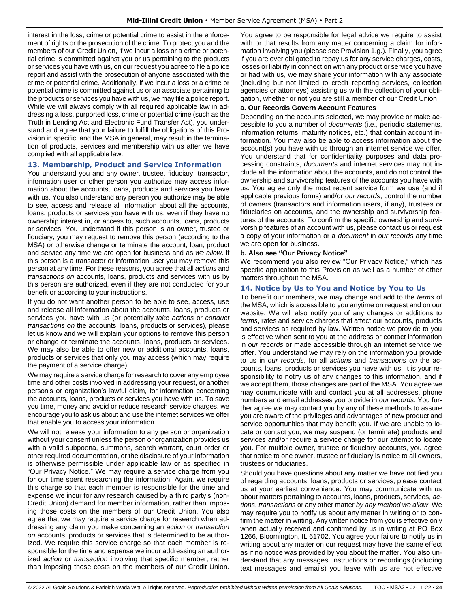interest in the loss, crime or potential crime to assist in the enforcement of rights or the prosecution of the crime. To protect you and the members of our Credit Union, if we incur a loss or a crime or potential crime is committed against you or us pertaining to the products or services you have with us, on our request you agree to file a police report and assist with the prosecution of anyone associated with the crime or potential crime. Additionally, if we incur a loss or a crime or potential crime is committed against us or an associate pertaining to the products or services you have with us, we may file a police report. While we will always comply with all required applicable law in addressing a loss, purported loss, crime or potential crime (such as the Truth in Lending Act and Electronic Fund Transfer Act), you understand and agree that your failure to fulfill the obligations of this Provision in specific, and the MSA in general, may result in the termination of products, services and membership with us after we have complied with all applicable law.

#### <span id="page-23-0"></span>**13. Membership, Product and Service Information**

You understand you and any owner, trustee, fiduciary, transactor, information user or other person you authorize may access information about the accounts, loans, products and services you have with us. You also understand any person you authorize may be able to see, access and release all information about all the accounts, loans, products or services you have with us, even if they have no ownership interest in, or access to, such accounts, loans, products or services. You understand if this person is an owner, trustee or fiduciary**,** you may request to remove this person (according to the MSA) or otherwise change or terminate the account, loan, product and service any time we are open for business and as *we allow*. If this person is a transactor or information user you may remove this person at any time. For these reasons, you agree that all *actions* and *transactions on* accounts, loans, products and services with us by this person are authorized, even if they are not conducted for your benefit or according to your instructions.

If you do not want another person to be able to see, access, use and release all information about the accounts, loans, products or services you have with us (or potentially *take actions* or *conduct transactions on* the accounts, loans, products or services), please let us know and we will explain your options to remove this person or change or terminate the accounts, loans, products or services. We may also be able to offer new or additional accounts, loans, products or services that only you may access (which may require the payment of a service charge).

We may require a service charge for research to cover any employee time and other costs involved in addressing your request, or another person's or organization's lawful claim, for information concerning the accounts, loans, products or services you have with us. To save you time, money and avoid or reduce research service charges, we encourage you to ask us about and use the internet services we offer that enable you to access your information.

We will not release your information to any person or organization without your consent unless the person or organization provides us with a valid subpoena, summons, search warrant, court order or other required documentation, or the disclosure of your information is otherwise permissible under applicable law or as specified in "Our Privacy Notice." We may require a service charge from you for our time spent researching the information. Again, we require this charge so that each member is responsible for the time and expense we incur for any research caused by a third party's (non-Credit Union) demand for member information, rather than imposing those costs on the members of our Credit Union. You also agree that we may require a service charge for research when addressing any claim you make concerning an *action* or *transaction on* accounts, products or services that is determined to be authorized. We require this service charge so that each member is responsible for the time and expense we incur addressing an authorized *action* or *transaction* involving that specific member, rather than imposing those costs on the members of our Credit Union.

You agree to be responsible for legal advice we require to assist with or that results from any matter concerning a claim for information involving you (please see Provision 1.g.). Finally, you agree if you are ever obligated to repay us for any service charges, costs, losses or liability in connection with any product or service you have or had with us, we may share your information with any associate (including but not limited to credit reporting services, collection agencies or attorneys) assisting us with the collection of your obligation, whether or not you are still a member of our Credit Union.

#### **a. Our Records Govern Account Features**

Depending on the accounts selected, we may provide or make accessible to you a number of *documents* (i.e., periodic statements, information returns, maturity notices, etc.) that contain account information. You may also be able to access information about the account(s) you have with us through an internet service we offer. You understand that for confidentiality purposes and data processing constraints, *documents* and internet services may not include all the information about the accounts, and do not control the ownership and survivorship features of the accounts you have with us. You agree only the most recent service form we use (and if applicable previous forms) and/or *our records*, control the number of owners (transactors and information users, if any), trustees or fiduciaries on accounts, and the ownership and survivorship features of the accounts. To confirm the specific ownership and survivorship features of an account with us, please contact us or request a copy of your information or a *document* in *our records* any time we are open for business.

#### **b. Also see "Our Privacy Notice"**

We recommend you also review "Our Privacy Notice," which has specific application to this Provision as well as a number of other matters throughout the MSA.

## <span id="page-23-1"></span>**14. Notice by Us to You and Notice by You to Us**

To benefit our members, we may change and add to the *terms* of the MSA, which is accessible to you anytime on request and on our website. We will also notify you of any changes or additions to *terms*, rates and service charges that affect our accounts, products and services as required by law. Written notice we provide to you is effective when sent to you at the address or contact information in *our records* or made accessible through an internet service we offer. You understand we may rely on the information you provide to us in *our records*, for all *actions* and *transactions on* the accounts, loans, products or services you have with us. It is your responsibility to notify us of any changes to this information, and if we accept them, those changes are part of the MSA. You agree we may communicate with and contact you at all addresses, phone numbers and email addresses you provide in *our records*. You further agree we may contact you by any of these methods to assure you are aware of the privileges and advantages of new product and service opportunities that may benefit you. If we are unable to locate or contact you, we may suspend (or terminate) products and services and/or require a service charge for our attempt to locate you. For multiple owner, trustee or fiduciary accounts, you agree that notice to one owner, trustee or fiduciary is notice to all owners, trustees or fiduciaries.

Should you have questions about any matter we have notified you of regarding accounts, loans, products or services, please contact us at your earliest convenience. You may communicate with us about matters pertaining to accounts, loans, products, services, *actions*, *transactions* or any other matter *by any method we allow*. We may require you to notify us about any matter in writing or to confirm the matter in writing. Any written notice from you is effective only when actually received and confirmed by us in writing at PO Box 1266, Bloomington, IL 61702. You agree your failure to notify us in writing about any matter on our request may have the same effect as if no notice was provided by you about the matter. You also understand that any messages, instructions or recordings (including text messages and emails) you leave with us are not effective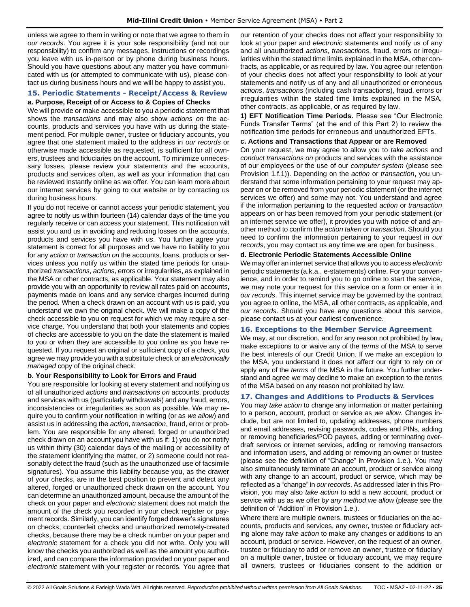unless we agree to them in writing or note that we agree to them in *our records*. You agree it is your sole responsibility (and not our responsibility) to confirm any messages, instructions or recordings you leave with us in-person or by phone during business hours. Should you have questions about any matter you have communicated with us (or attempted to communicate with us), please contact us during business hours and we will be happy to assist you.

## <span id="page-24-0"></span>**15. Periodic Statements - Receipt/Access & Review a. Purpose, Receipt of or Access to & Copies of Checks**

We will provide or make accessible to you a periodic statement that shows the *transactions* and may also show *actions on* the accounts, products and services you have with us during the statement period. For multiple owner, trustee or fiduciary accounts, you agree that one statement mailed to the address in *our records* or otherwise made accessible as requested, is sufficient for all owners, trustees and fiduciaries on the account. To minimize unnecessary losses, please review your statements and the accounts, products and services often, as well as your information that can be reviewed instantly online as we offer. You can learn more about our internet services by going to our website or by contacting us during business hours.

If you do not receive or cannot access your periodic statement, you agree to notify us within fourteen (14) calendar days of the time you regularly receive or can access your statement. This notification will assist you and us in avoiding and reducing losses on the accounts, products and services you have with us. You further agree your statement is correct for all purposes and we have no liability to you for any *action* or *transaction on* the accounts, loans, products or services unless you notify us within the stated time periods for unauthorized *transactions*, *actions*, errors or irregularities, as explained in the MSA or other contracts, as applicable. Your statement may also provide you with an opportunity to review all rates paid on accounts**,** payments made on loans and any service charges incurred during the period. When a check drawn on an account with us is paid, you understand we own the original check. We will make a copy of the check accessible to you on request for which we may require a service charge. You understand that both your statements and copies of checks are accessible to you on the date the statement is mailed to you or when they are accessible to you online as you have requested. If you request an original or sufficient copy of a check, you agree we may provide you with a substitute check or an *electronically managed* copy of the original check.

## **b. Your Responsibility to Look for Errors and Fraud**

You are responsible for looking at every statement and notifying us of all unauthorized *actions* and *transactions on* accounts, products and services with us (particularly withdrawals) and any fraud, errors, inconsistencies or irregularities as soon as possible. We may require you to confirm your notification in writing (or as *we allow*) and assist us in addressing the *action*, *transaction*, fraud, error or problem. You are responsible for any altered, forged or unauthorized check drawn on an account you have with us if: 1) you do not notify us within thirty (30) calendar days of the mailing or accessibility of the statement identifying the matter, or 2) someone could not reasonably detect the fraud (such as the unauthorized use of facsimile signatures). You assume this liability because you, as the drawer of your checks, are in the best position to prevent and detect any altered, forged or unauthorized check drawn on the account. You can determine an unauthorized amount, because the amount of the check on your paper and *electronic* statement does not match the amount of the check you recorded in your check register or payment records. Similarly, you can identify forged drawer's signatures on checks, counterfeit checks and unauthorized remotely-created checks, because there may be a check number on your paper and *electronic* statement for a check you did not write. Only you will know the checks you authorized as well as the amount you authorized, and can compare the information provided on your paper and *electronic* statement with your register or records. You agree that our retention of your checks does not affect your responsibility to look at your paper and *electronic* statements and notify us of any and all unauthorized *actions*, *transactions*, fraud, errors or irregularities within the stated time limits explained in the MSA, other contracts, as applicable, or as required by law. You agree our retention of your checks does not affect your responsibility to look at your statements and notify us of any and all unauthorized or erroneous *actions*, *transactions* (including cash transactions), fraud, errors or irregularities within the stated time limits explained in the MSA, other contracts, as applicable, or as required by law.

**1) EFT Notification Time Periods.** Please see "Our Electronic Funds Transfer Terms" (at the end of this Part 2) to review the notification time periods for erroneous and unauthorized EFTs.

## **c. Actions and Transactions that Appear or are Removed**

On your request, we may agree to allow you to *take actions* and *conduct transactions on* products and services with the assistance of our employees or the use of our *computer system* (please see Provision 1.f.1)). Depending on the *action* or *transaction*, you understand that some information pertaining to your request may appear on or be removed from your periodic statement (or the internet services we offer) and some may not. You understand and agree if the information pertaining to the requested *action* or *transaction* appears on or has been removed from your periodic statement (or an internet service we offer), it provides you with notice of and another method to confirm the *action taken* or *transaction*. Should you need to confirm the information pertaining to your request in *our records*, you may contact us any time we are open for business.

#### **d. Electronic Periodic Statements Accessible Online**

We may offer an internet service that allows you to access *electronic* periodic statements (a.k.a., e-statements) online. For your convenience, and in order to remind you to go online to start the service, we may note your request for this service on a form or enter it in *our records*. This internet service may be governed by the contract you agree to online, the MSA, all other contracts, as applicable, and *our records*. Should you have any questions about this service, please contact us at your earliest convenience.

## <span id="page-24-1"></span>**16. Exceptions to the Member Service Agreement**

We may, at our discretion, and for any reason not prohibited by law, make exceptions to or waive any of the *terms* of the MSA to serve the best interests of our Credit Union. If we make an exception to the MSA, you understand it does not affect our right to rely on or apply any of the *terms* of the MSA in the future. You further understand and agree we may decline to make an exception to the *terms* of the MSA based on any reason not prohibited by law.

## <span id="page-24-2"></span>**17. Changes and Additions to Products & Services**

You may *take action* to change any information or matter pertaining to a person, account, product or service as *we allow*. Changes include, but are not limited to, updating addresses, phone numbers and email addresses, revising passwords, codes and PINs, adding or removing beneficiaries/POD payees, adding or terminating overdraft services or internet services, adding or removing transactors and information users, and adding or removing an owner or trustee (please see the definition of "Change" in Provision 1.e.). You may also simultaneously terminate an account, product or service along with any change to an account, product or service, which may be reflected as a "change" in *our records*. As addressed later in this Provision, you may also *take action* to add a new account, product or service with us as we offer *by any method we allow* (please see the definition of "Addition" in Provision 1.e.).

Where there are multiple owners, trustees or fiduciaries on the accounts, products and services, any owner, trustee or fiduciary acting alone may *take action* to make any changes or additions to an account, product or service. However, on the request of an owner, trustee or fiduciary to add or remove an owner, trustee or fiduciary on a multiple owner, trustee or fiduciary account, we may require all owners, trustees or fiduciaries consent to the addition or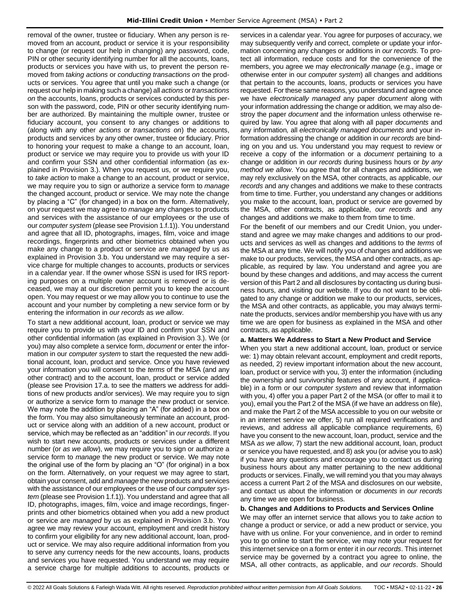removal of the owner, trustee or fiduciary. When any person is removed from an account, product or service it is your responsibility to change (or request our help in changing) any password, code, PIN or other security identifying number for all the accounts, loans, products or services you have with us, to prevent the person removed from *taking actions* or *conducting transactions on* the products or services. You agree that until you make such a change (or request our help in making such a change) all *actions* or *transactions on* the accounts, loans, products or services conducted by this person with the password, code, PIN or other security identifying number are authorized. By maintaining the multiple owner, trustee or fiduciary account, you consent to any changes or additions to (along with any other *actions* or *transactions on*) the accounts, products and services by any other owner, trustee or fiduciary. Prior to honoring your request to make a change to an account, loan, product or service we may require you to provide us with your ID and confirm your SSN and other confidential information (as explained in Provision 3.). When you request us, or we require you, to *take action* to make a change to an account, product or service, we may require you to sign or authorize a service form to *manage* the changed account, product or service. We may note the change by placing a "C" (for changed) in a box on the form. Alternatively, on your request we may agree to *manage* any changes to products and services with the assistance of our employees or the use of our *computer system* (please see Provision 1.f.1)). You understand and agree that all ID, photographs, images, film, voice and image recordings, fingerprints and other biometrics obtained when you make any change to a product or service are *managed* by us as explained in Provision 3.b. You understand we may require a service charge for multiple changes to accounts, products or services in a calendar year. If the owner whose SSN is used for IRS reporting purposes on a multiple owner account is removed or is deceased, we may at our discretion permit you to keep the account open. You may request or we may allow you to continue to use the account and your number by completing a new service form or by entering the information in *our records* as *we allow*.

To start a new additional account, loan, product or service we may require you to provide us with your ID and confirm your SSN and other confidential information (as explained in Provision 3.). We (or you) may also complete a service form, *document* or enter the information in our *computer system* to start the requested the new additional account, loan, product and service. Once you have reviewed your information you will consent to the *terms* of the MSA (and any other contract) and to the account, loan, product or service added (please see Provision 17.a. to see the matters we address for additions of new products and/or services). We may require you to sign or authorize a service form to *manage* the new product or service. We may note the addition by placing an "A" (for added) in a box on the form. You may also simultaneously terminate an account, product or service along with an addition of a new account, product or service, which may be reflected as an "addition" in *our records*. If you wish to start new accounts, products or services under a different number (or *as we allow*), we may require you to sign or authorize a service form to *manage* the new product or service. We may note the original use of the form by placing an "O" (for original) in a box on the form. Alternatively, on your request we may agree to start, obtain your consent, add and *manage* the new products and services with the assistance of our employees or the use of our *computer system* (please see Provision 1.f.1)). You understand and agree that all ID, photographs, images, film, voice and image recordings, fingerprints and other biometrics obtained when you add a new product or service are *managed* by us as explained in Provision 3.b. You agree we may review your account, employment and credit history to confirm your eligibility for any new additional account, loan, product or service. We may also require additional information from you to serve any currency needs for the new accounts, loans, products and services you have requested. You understand we may require a service charge for multiple additions to accounts, products or

services in a calendar year. You agree for purposes of accuracy, we may subsequently verify and correct, complete or update your information concerning any changes or additions in *our records*. To protect all information, reduce costs and for the convenience of the members, you agree we may *electronically manage* (e.g., image or otherwise enter in our *computer system*) all changes and additions that pertain to the accounts, loans, products or services you have requested. For these same reasons, you understand and agree once we have *electronically managed* any paper *document* along with your information addressing the change or addition*,* we may also destroy the paper *document* and the information unless otherwise required by law. You agree that along with all paper *documents* and any information*,* all *electronically managed documents* and your information addressing the change or addition in *our records* are binding on you and us. You understand you may request to review or receive a copy of the information or a *document* pertaining to a change or addition in *our records* during business hours or *by any method we allow*. You agree that for all changes and additions, we may rely exclusively on the MSA, other contracts, as applicable, *our records* and any changes and additions we make to these contracts from time to time. Further, you understand any changes or additions you make to the account, loan, product or service are governed by the MSA, other contracts, as applicable, *our records* and any changes and additions we make to them from time to time.

For the benefit of our members and our Credit Union, you understand and agree we may make changes and additions to our products and services as well as changes and additions to the *terms* of the MSA at any time. We will notify you of changes and additions we make to our products, services, the MSA and other contracts, as applicable, as required by law. You understand and agree you are bound by these changes and additions, and may access the current version of this Part 2 and all disclosures by contacting us during business hours, and visiting our website. If you do not want to be obligated to any change or addition we make to our products, services, the MSA and other contracts, as applicable, you may always terminate the products, services and/or membership you have with us any time we are open for business as explained in the MSA and other contracts, as applicable.

## **a. Matters We Address to Start a New Product and Service**

When you start a new additional account, loan, product or service we: 1) may obtain relevant account, employment and credit reports, as needed, 2) review important information about the new account, loan, product or service with you, 3) enter the information (including the ownership and survivorship features of any account, if applicable) in a form or our *computer system* and review that information with you, 4) offer you a paper Part 2 of the MSA (or offer to mail it to you), email you the Part 2 of the MSA (if we have an address on file), and make the Part 2 of the MSA accessible to you on our website or in an internet service we offer, 5) run all required verifications and reviews, and address all applicable compliance requirements, 6) have you consent to the new account, loan, product, service and the MSA *as we allow*, 7) start the new additional account, loan, product or service you have requested, and 8) ask you (or advise you to ask) if you have any questions and encourage you to contact us during business hours about any matter pertaining to the new additional products or services. Finally, we will remind you that you may always access a current Part 2 of the MSA and disclosures on our website, and contact us about the information or *documents* in *our records* any time we are open for business.

## **b. Changes and Additions to Products and Services Online**

We may offer an internet service that allows you to *take action* to change a product or service, or add a new product or service, you have with us online. For your convenience, and in order to remind you to go online to start the service, we may note your request for this internet service on a form or enter it in *our records*. This internet service may be governed by a contract you agree to online, the MSA, all other contracts, as applicable, and *our records*. Should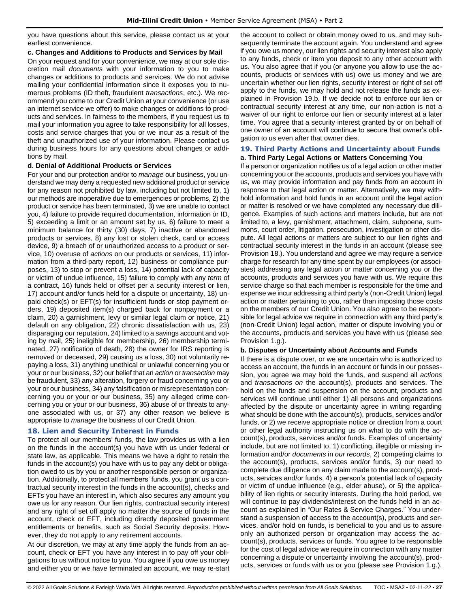you have questions about this service, please contact us at your earliest convenience.

### **c. Changes and Additions to Products and Services by Mail**

On your request and for your convenience, we may at our sole discretion mail *documents* with your information to you to make changes or additions to products and services. We do not advise mailing your confidential information since it exposes you to numerous problems (ID theft, fraudulent *transactions*, etc.). We recommend you come to our Credit Union at your convenience (or use an internet service we offer) to make changes or additions to products and services. In fairness to the members, if you request us to mail your information you agree to take responsibility for all losses, costs and service charges that you or we incur as a result of the theft and unauthorized use of your information. Please contact us during business hours for any questions about changes or additions by mail.

## **d. Denial of Additional Products or Services**

For your and our protection and/or to *manage* our business, you understand we may deny a requested new additional product or service for any reason not prohibited by law, including but not limited to, 1) our methods are inoperative due to emergencies or problems, 2) the product or service has been terminated, 3) we are unable to contact you, 4) failure to provide required documentation, information or ID, 5) exceeding a limit or an amount set by us, 6) failure to meet a minimum balance for thirty (30) days, 7) inactive or abandoned products or services, 8) any lost or stolen check, card or access device, 9) a breach of or unauthorized access to a product or service, 10) overuse of *actions* on our products or services, 11) information from a third-party report, 12) business or compliance purposes, 13) to stop or prevent a loss, 14) potential lack of capacity or victim of undue influence, 15) failure to comply with any *term* of a contract, 16) funds held or offset per a security interest or lien, 17) account and/or funds held for a dispute or uncertainty, 18) unpaid check(s) or EFT(s) for insufficient funds or stop payment orders, 19) deposited item(s) charged back for nonpayment or a claim, 20) a garnishment, levy or similar legal claim or notice, 21) default on any obligation, 22) chronic dissatisfaction with us, 23) disparaging our reputation, 24) limited to a savings account and voting by mail, 25) ineligible for membership, 26) membership terminated, 27) notification of death, 28) the owner for IRS reporting is removed or deceased, 29) causing us a loss, 30) not voluntarily repaying a loss, 31) anything unethical or unlawful concerning you or your or our business, 32) our belief that an *action* or *transaction* may be fraudulent, 33) any alteration, forgery or fraud concerning you or your or our business, 34) any falsification or misrepresentation concerning you or your or our business, 35) any alleged crime concerning you or your or our business, 36) abuse of or threats to anyone associated with us, or 37) any other reason we believe is appropriate to *manage* the business of our Credit Union.

## <span id="page-26-0"></span>**18. Lien and Security Interest in Funds**

To protect all our members' funds, the law provides us with a lien on the funds in the account(s) you have with us under federal or state law, as applicable. This means we have a right to retain the funds in the account(s) you have with us to pay any debt or obligation owed to us by you or another responsible person or organization. Additionally, to protect all members' funds, you grant us a contractual security interest in the funds in the account(s), checks and EFTs you have an interest in, which also secures any amount you owe us for any reason. Our lien rights, contractual security interest and any right of set off apply no matter the source of funds in the account, check or EFT, including directly deposited government entitlements or benefits, such as Social Security deposits. However, they do not apply to any retirement accounts.

At our discretion, we may at any time apply the funds from an account, check or EFT you have any interest in to pay off your obligations to us without notice to you. You agree if you owe us money and either you or we have terminated an account, we may re-start the account to collect or obtain money owed to us, and may subsequently terminate the account again. You understand and agree if you owe us money, our lien rights and security interest also apply to any funds, check or item you deposit to any other account with us. You also agree that if you (or anyone you allow to use the accounts, products or services with us) owe us money and we are uncertain whether our lien rights, security interest or right of set off apply to the funds, we may hold and not release the funds as explained in Provision 19.b. If we decide not to enforce our lien or contractual security interest at any time, our non-action is not a waiver of our right to enforce our lien or security interest at a later time. You agree that a security interest granted by or on behalf of one owner of an account will continue to secure that owner's obligation to us even after that owner dies.

#### <span id="page-26-1"></span>**19. Third Party Actions and Uncertainty about Funds a. Third Party Legal Actions or Matters Concerning You**

If a person or organization notifies us of a legal action or other matter concerning you or the accounts, products and services you have with us, we may provide information and pay funds from an account in response to that legal action or matter. Alternatively, we may withhold information and hold funds in an account until the legal action or matter is resolved or we have completed any necessary due diligence. Examples of such actions and matters include, but are not limited to, a levy, garnishment, attachment, claim, subpoena, summons, court order, litigation, prosecution, investigation or other dispute. All legal actions or matters are subject to our lien rights and contractual security interest in the funds in an account (please see Provision 18.). You understand and agree we may require a service charge for research for any time spent by our employees (or associates) addressing any legal action or matter concerning you or the accounts, products and services you have with us. We require this service charge so that each member is responsible for the time and expense we incur addressing a third party's (non-Credit Union) legal action or matter pertaining to you, rather than imposing those costs on the members of our Credit Union. You also agree to be responsible for legal advice we require in connection with any third party's (non-Credit Union) legal action, matter or dispute involving you or the accounts, products and services you have with us (please see Provision 1.g.).

## **b. Disputes or Uncertainty about Accounts and Funds**

If there is a dispute over, or we are uncertain who is authorized to access an account, the funds in an account or funds in our possession, you agree we may hold the funds, and suspend all *actions* and *transactions on* the account(s), products and services. The hold on the funds and suspension on the account, products and services will continue until either 1) all persons and organizations affected by the dispute or uncertainty agree in writing regarding what should be done with the account(s), products, services and/or funds, or 2) we receive appropriate notice or direction from a court or other legal authority instructing us on what to do with the account(s), products, services and/or funds. Examples of uncertainty include, but are not limited to, 1) conflicting, illegible or missing information and/or *documents* in *our records*, 2) competing claims to the account(s), products, services and/or funds, 3) our need to complete due diligence on any claim made to the account(s), products, services and/or funds, 4) a person's potential lack of capacity or victim of undue influence (e.g., elder abuse), or 5) the applicability of lien rights or security interests. During the hold period, we will continue to pay dividends/interest on the funds held in an account as explained in "Our Rates & Service Charges." You understand a suspension of access to the account(s), products and services, and/or hold on funds, is beneficial to you and us to assure only an authorized person or organization may access the account(s), products, services or funds. You agree to be responsible for the cost of legal advice we require in connection with any matter concerning a dispute or uncertainty involving the account(s), products, services or funds with us or you (please see Provision 1.g.).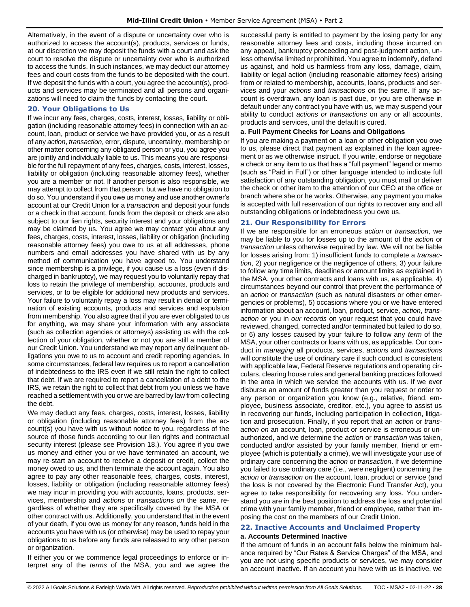Alternatively, in the event of a dispute or uncertainty over who is authorized to access the account(s), products, services or funds, at our discretion we may deposit the funds with a court and ask the court to resolve the dispute or uncertainty over who is authorized to access the funds. In such instances, we may deduct our attorney fees and court costs from the funds to be deposited with the court. If we deposit the funds with a court, you agree the account(s), products and services may be terminated and all persons and organizations will need to claim the funds by contacting the court.

## <span id="page-27-0"></span>**20. Your Obligations to Us**

If we incur any fees, charges, costs, interest, losses, liability or obligation (including reasonable attorney fees) in connection with an account, loan, product or service we have provided you, or as a result of any *action*, *transaction*, error, dispute, uncertainty, membership or other matter concerning any obligated person or you, you agree you are jointly and individually liable to us. This means you are responsible for the full repayment of any fees, charges, costs, interest, losses, liability or obligation (including reasonable attorney fees), whether you are a member or not. If another person is also responsible, we may attempt to collect from that person, but we have no obligation to do so. You understand if you owe us money and use another owner's account at our Credit Union for a *transaction* and deposit your funds or a check in that account, funds from the deposit or check are also subject to our lien rights, security interest and your obligations and may be claimed by us. You agree we may contact you about any fees, charges, costs, interest, losses, liability or obligation (including reasonable attorney fees) you owe to us at all addresses, phone numbers and email addresses you have shared with us by any method of communication you have agreed to. You understand since membership is a privilege, if you cause us a loss (even if discharged in bankruptcy), we may request you to voluntarily repay that loss to retain the privilege of membership, accounts, products and services, or to be eligible for additional new products and services. Your failure to voluntarily repay a loss may result in denial or termination of existing accounts, products and services and expulsion from membership. You also agree that if you are ever obligated to us for anything, we may share your information with any associate (such as collection agencies or attorneys) assisting us with the collection of your obligation, whether or not you are still a member of our Credit Union. You understand we may report any delinquent obligations you owe to us to account and credit reporting agencies. In some circumstances, federal law requires us to report a cancellation of indebtedness to the IRS even if we still retain the right to collect that debt. If we are required to report a cancellation of a debt to the IRS, we retain the right to collect that debt from you unless we have reached a settlement with you or we are barred by law from collecting the debt.

We may deduct any fees, charges, costs, interest, losses, liability or obligation (including reasonable attorney fees) from the account(s) you have with us without notice to you, regardless of the source of those funds according to our lien rights and contractual security interest (please see Provision 18.). You agree if you owe us money and either you or we have terminated an account, we may re-start an account to receive a deposit or credit, collect the money owed to us, and then terminate the account again. You also agree to pay any other reasonable fees, charges, costs, interest, losses, liability or obligation (including reasonable attorney fees) we may incur in providing you with accounts, loans, products, services, membership and *action*s or *transaction*s *on* the same, regardless of whether they are specifically covered by the MSA or other contract with us. Additionally, you understand that in the event of your death, if you owe us money for any reason, funds held in the accounts you have with us (or otherwise) may be used to repay your obligations to us before any funds are released to any other person or organization.

If either you or we commence legal proceedings to enforce or interpret any of the *terms* of the MSA, you and we agree the successful party is entitled to payment by the losing party for any reasonable attorney fees and costs, including those incurred on any appeal, bankruptcy proceeding and post-judgment action, unless otherwise limited or prohibited. You agree to indemnify, defend us against, and hold us harmless from any loss, damage, claim, liability or legal action (including reasonable attorney fees) arising from or related to membership, accounts, loans, products and services and your *actions* and *transactions on* the same. If any account is overdrawn, any loan is past due, or you are otherwise in default under any contract you have with us, we may suspend your ability to conduct *actions or transactions* on any or all accounts, products and services, until the default is cured.

## **a. Full Payment Checks for Loans and Obligations**

If you are making a payment on a loan or other obligation you owe to us, please direct that payment as explained in the loan agreement or as we otherwise instruct. If you write, endorse or negotiate a check or any item to us that has a "full payment" legend or memo (such as "Paid in Full") or other language intended to indicate full satisfaction of any outstanding obligation, you must mail or deliver the check or other item to the attention of our CEO at the office or branch where she or he works. Otherwise, any payment you make is accepted with full reservation of our rights to recover any and all outstanding obligations or indebtedness you owe us.

## <span id="page-27-1"></span>**21. Our Responsibility for Errors**

If we are responsible for an erroneous *action* or *transaction*, we may be liable to you for losses up to the amount of the *action* or *transaction* unless otherwise required by law. We will not be liable for losses arising from: 1) insufficient funds to complete a *transaction*, 2) your negligence or the negligence of others, 3) your failure to follow any time limits, deadlines or amount limits as explained in the MSA, your other contracts and loans with us, as applicable, 4) circumstances beyond our control that prevent the performance of an *action* or *transaction* (such as natural disasters or other emergencies or problems), 5) occasions where you or we have entered information about an account, loan, product, service, *action*, *transaction* or you in *our records* on your request that you could have reviewed, changed, corrected and/or terminated but failed to do so, or 6) any losses caused by your failure to follow any *term* of the MSA, your other contracts or loans with us, as applicable. Our conduct in *managing* all products, services, *actions* and *transactions* will constitute the use of ordinary care if such conduct is consistent with applicable law, Federal Reserve regulations and operating circulars, clearing house rules and general banking practices followed in the area in which we service the accounts with us. If we ever disburse an amount of funds greater than you request or order to any person or organization you know (e.g., relative, friend, employee, business associate, creditor, etc.), you agree to assist us in recovering our funds, including participation in collection, litigation and prosecution. Finally, if you report that an *action* or *transaction on* an account, loan, product or service is erroneous or unauthorized, and we determine the *action* or *transaction* was taken, conducted and/or assisted by your family member, friend or employee (which is potentially a crime), we will investigate your use of ordinary care concerning the *action* or *transaction*. If we determine you failed to use ordinary care (i.e., were negligent) concerning the *action* or *transaction on* the account, loan, product or service (and the loss is not covered by the Electronic Fund Transfer Act), you agree to take responsibility for recovering any loss. You understand you are in the best position to address the loss and potential crime with your family member, friend or employee, rather than imposing the cost on the members of our Credit Union.

#### <span id="page-27-2"></span>**22. Inactive Accounts and Unclaimed Property a. Accounts Determined Inactive**

If the amount of funds in an account falls below the minimum balance required by "Our Rates & Service Charges" of the MSA, and you are not using specific products or services, we may consider an account inactive. If an account you have with us is inactive, we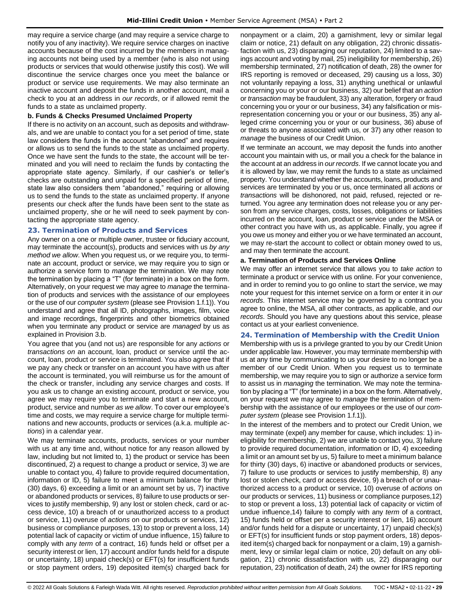may require a service charge (and may require a service charge to notify you of any inactivity). We require service charges on inactive accounts because of the cost incurred by the members in managing accounts not being used by a member (who is also not using products or services that would otherwise justify this cost). We will discontinue the service charges once you meet the balance or product or service use requirements. We may also terminate an inactive account and deposit the funds in another account, mail a check to you at an address in *our records*, or if allowed remit the funds to a state as unclaimed property.

### **b. Funds & Checks Presumed Unclaimed Property**

If there is no activity on an account, such as deposits and withdrawals, and we are unable to contact you for a set period of time, state law considers the funds in the account "abandoned" and requires or allows us to send the funds to the state as unclaimed property. Once we have sent the funds to the state, the account will be terminated and you will need to reclaim the funds by contacting the appropriate state agency. Similarly, if our cashier's or teller's checks are outstanding and unpaid for a specified period of time, state law also considers them "abandoned," requiring or allowing us to send the funds to the state as unclaimed property. If anyone presents our check after the funds have been sent to the state as unclaimed property, she or he will need to seek payment by contacting the appropriate state agency.

#### <span id="page-28-0"></span>**23. Termination of Products and Services**

Any owner on a one or multiple owner, trustee or fiduciary account, may terminate the account(s), products and services with us *by any method we allow*. When you request us, or we require you, to terminate an account, product or service, we may require you to sign or authorize a service form to *manage* the termination. We may note the termination by placing a "T" (for terminate) in a box on the form. Alternatively, on your request we may agree to *manage* the termination of products and services with the assistance of our employees or the use of our *computer system* (please see Provision 1.f.1)). You understand and agree that all ID, photographs, images, film, voice and image recordings, fingerprints and other biometrics obtained when you terminate any product or service are *managed* by us as explained in Provision 3.b.

You agree that you (and not us) are responsible for any *actions* or *transactions on* an account, loan, product or service until the account, loan, product or service is terminated. You also agree that if we pay any check or transfer on an account you have with us after the account is terminated, you will reimburse us for the amount of the check or transfer, including any service charges and costs. If you ask us to change an existing account, product or service, you agree we may require you to terminate and start a new account, product, service and number *as we allow*. To cover our employee's time and costs, we may require a service charge for multiple terminations and new accounts, products or services (a.k.a. multiple *actions*) in a calendar year.

We may terminate accounts, products, services or your number with us at any time and, without notice for any reason allowed by law, including but not limited to, 1) the product or service has been discontinued, 2) a request to change a product or service, 3) we are unable to contact you, 4) failure to provide required documentation, information or ID, 5) failure to meet a minimum balance for thirty (30) days, 6) exceeding a limit or an amount set by us, 7) inactive or abandoned products or services, 8) failure to use products or services to justify membership, 9) any lost or stolen check, card or access device, 10) a breach of or unauthorized access to a product or service, 11) overuse of *actions* on our products or services, 12) business or compliance purposes, 13) to stop or prevent a loss, 14) potential lack of capacity or victim of undue influence, 15) failure to comply with any *term* of a contract, 16) funds held or offset per a security interest or lien, 17) account and/or funds held for a dispute or uncertainty, 18) unpaid check(s) or EFT(s) for insufficient funds or stop payment orders, 19) deposited item(s) charged back for

nonpayment or a claim, 20) a garnishment, levy or similar legal claim or notice, 21) default on any obligation, 22) chronic dissatisfaction with us, 23) disparaging our reputation, 24) limited to a savings account and voting by mail, 25) ineligibility for membership, 26) membership terminated, 27) notification of death, 28) the owner for IRS reporting is removed or deceased, 29) causing us a loss, 30) not voluntarily repaying a loss, 31) anything unethical or unlawful concerning you or your or our business, 32) our belief that an *action* or *transaction* may be fraudulent, 33) any alteration, forgery or fraud concerning you or your or our business, 34) any falsification or misrepresentation concerning you or your or our business, 35) any alleged crime concerning you or your or our business, 36) abuse of or threats to anyone associated with us, or 37) any other reason to *manage* the business of our Credit Union.

If we terminate an account, we may deposit the funds into another account you maintain with us, or mail you a check for the balance in the account at an address in *our records*. If we cannot locate you and it is allowed by law, we may remit the funds to a state as unclaimed property. You understand whether the accounts, loans, products and services are terminated by you or us, once terminated all *actions* or *transactions* will be dishonored, not paid, refused, rejected or returned. You agree any termination does not release you or any person from any service charges, costs, losses, obligations or liabilities incurred on the account, loan, product or service under the MSA or other contract you have with us, as applicable. Finally, you agree if you owe us money and either you or we have terminated an account, we may re-start the account to collect or obtain money owed to us, and may then terminate the account.

#### **a. Termination of Products and Services Online**

We may offer an internet service that allows you to *take action* to terminate a product or service with us online. For your convenience, and in order to remind you to go online to start the service, we may note your request for this internet service on a form or enter it in *our records*. This internet service may be governed by a contract you agree to online, the MSA, all other contracts, as applicable, and *our records*. Should you have any questions about this service, please contact us at your earliest convenience.

## <span id="page-28-1"></span>**24. Termination of Membership with the Credit Union**

Membership with us is a privilege granted to you by our Credit Union under applicable law. However, you may terminate membership with us at any time by communicating to us your desire to no longer be a member of our Credit Union. When you request us to terminate membership, we may require you to sign or authorize a service form to assist us in *managing* the termination. We may note the termination by placing a "T" (for terminate) in a box on the form. Alternatively, on your request we may agree to *manage* the termination of membership with the assistance of our employees or the use of our *computer system* (please see Provision 1.f.1)).

In the interest of the members and to protect our Credit Union, we may terminate (expel) any member for cause, which includes: 1) ineligibility for membership, 2) we are unable to contact you, 3) failure to provide required documentation, information or ID, 4) exceeding a limit or an amount set by us, 5) failure to meet a minimum balance for thirty (30) days, 6) inactive or abandoned products or services, 7) failure to use products or services to justify membership, 8) any lost or stolen check, card or access device, 9) a breach of or unauthorized access to a product or service, 10) overuse of *actions* on our products or services, 11) business or compliance purposes,12) to stop or prevent a loss, 13) potential lack of capacity or victim of undue influence,14) failure to comply with any *term* of a contract, 15) funds held or offset per a security interest or lien, 16) account and/or funds held for a dispute or uncertainty, 17) unpaid check(s) or EFT(s) for insufficient funds or stop payment orders, 18) deposited item(s) charged back for nonpayment or a claim, 19) a garnishment, levy or similar legal claim or notice, 20) default on any obligation, 21) chronic dissatisfaction with us, 22) disparaging our reputation, 23) notification of death, 24) the owner for IRS reporting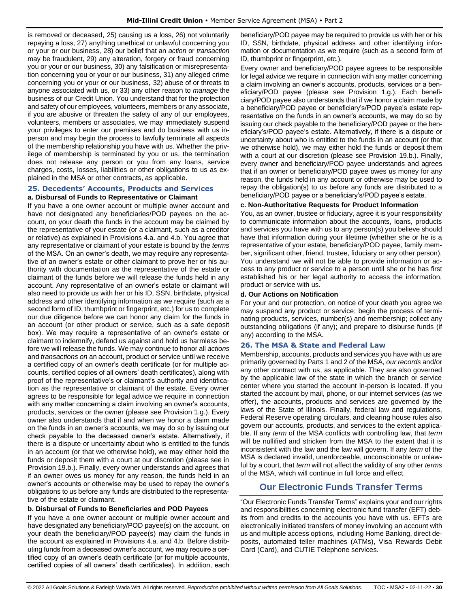is removed or deceased, 25) causing us a loss, 26) not voluntarily repaying a loss, 27) anything unethical or unlawful concerning you or your or our business, 28) our belief that an *action* or *transaction* may be fraudulent, 29) any alteration, forgery or fraud concerning you or your or our business, 30) any falsification or misrepresentation concerning you or your or our business, 31) any alleged crime concerning you or your or our business, 32) abuse of or threats to anyone associated with us, or 33) any other reason to *manage* the business of our Credit Union. You understand that for the protection and safety of our employees, volunteers, members or any associate, if you are abusive or threaten the safety of any of our employees, volunteers, members or associates, we may immediately suspend your privileges to enter our premises and do business with us inperson and may begin the process to lawfully terminate all aspects of the membership relationship you have with us. Whether the privilege of membership is terminated by you or us, the termination does not release any person or you from any loans, service charges, costs, losses, liabilities or other obligations to us as explained in the MSA or other contracts, as applicable.

# <span id="page-29-0"></span>**25. Decedents' Accounts, Products and Services**

**a. Disbursal of Funds to Representative or Claimant** If you have a one owner account or multiple owner account and have not designated any beneficiaries/POD payees on the account, on your death the funds in the account may be claimed by the representative of your estate (or a claimant, such as a creditor or relative) as explained in Provisions 4.a. and 4.b. You agree that any representative or claimant of your estate is bound by the *terms* of the MSA. On an owner's death, we may require any representative of an owner's estate or other claimant to prove her or his authority with documentation as the representative of the estate or claimant of the funds before we will release the funds held in any account. Any representative of an owner's estate or claimant will also need to provide us with her or his ID, SSN, birthdate, physical address and other identifying information as we require (such as a second form of ID, thumbprint or fingerprint, etc.) for us to complete our due diligence before we can honor any claim for the funds in an account (or other product or service, such as a safe deposit box). We may require a representative of an owner's estate or claimant to indemnify, defend us against and hold us harmless before we will release the funds. We may continue to honor all *actions* and *transactions on* an account, product or service until we receive a certified copy of an owner's death certificate (or for multiple accounts, certified copies of all owners' death certificates), along with proof of the representative's or claimant's authority and identification as the representative or claimant of the estate. Every owner agrees to be responsible for legal advice we require in connection with any matter concerning a claim involving an owner's accounts, products, services or the owner (please see Provision 1.g.). Every owner also understands that if and when we honor a claim made on the funds in an owner's accounts, we may do so by issuing our check payable to the deceased owner's estate. Alternatively, if there is a dispute or uncertainty about who is entitled to the funds in an account (or that we otherwise hold), we may either hold the funds or deposit them with a court at our discretion (please see in Provision 19.b.). Finally, every owner understands and agrees that if an owner owes us money for any reason, the funds held in an owner's accounts or otherwise may be used to repay the owner's obligations to us before any funds are distributed to the representative of the estate or claimant.

## **b. Disbursal of Funds to Beneficiaries and POD Payees**

If you have a one owner account or multiple owner account and have designated any beneficiary/POD payee(s) on the account, on your death the beneficiary/POD payee(s) may claim the funds in the account as explained in Provisions 4.a. and 4.b. Before distributing funds from a deceased owner's account, we may require a certified copy of an owner's death certificate (or for multiple accounts, certified copies of all owners' death certificates). In addition, each beneficiary/POD payee may be required to provide us with her or his ID, SSN, birthdate, physical address and other identifying information or documentation as we require (such as a second form of ID, thumbprint or fingerprint, etc.).

Every owner and beneficiary/POD payee agrees to be responsible for legal advice we require in connection with any matter concerning a claim involving an owner's accounts, products, services or a beneficiary/POD payee (please see Provision 1.g.). Each beneficiary/POD payee also understands that if we honor a claim made by a beneficiary/POD payee or beneficiary's/POD payee's estate representative on the funds in an owner's accounts, we may do so by issuing our check payable to the beneficiary/POD payee or the beneficiary's/POD payee's estate. Alternatively, if there is a dispute or uncertainty about who is entitled to the funds in an account (or that we otherwise hold), we may either hold the funds or deposit them with a court at our discretion (please see Provision 19.b.). Finally, every owner and beneficiary/POD payee understands and agrees that if an owner or beneficiary/POD payee owes us money for any reason, the funds held in any account or otherwise may be used to repay the obligation(s) to us before any funds are distributed to a beneficiary/POD payee or a beneficiary's/POD payee's estate.

## **c. Non-Authoritative Requests for Product Information**

You, as an owner, trustee or fiduciary, agree it is your responsibility to communicate information about the accounts, loans, products and services you have with us to any person(s) you believe should have that information during your lifetime (whether she or he is a representative of your estate, beneficiary/POD payee, family member, significant other, friend, trustee, fiduciary or any other person). You understand we will not be able to provide information or access to any product or service to a person until she or he has first established his or her legal authority to access the information, product or service with us.

## **d. Our Actions on Notification**

For your and our protection, on notice of your death you agree we may suspend any product or service; begin the process of terminating products, services, number(s) and membership; collect any outstanding obligations (if any); and prepare to disburse funds (if any) according to the MSA.

## <span id="page-29-1"></span>**26. The MSA & State and Federal Law**

Membership, accounts, products and services you have with us are primarily governed by Parts 1 and 2 of the MSA, *our records* and/or any other contract with us, as applicable. They are also governed by the applicable law of the state in which the branch or service center where you started the account in-person is located. If you started the account by mail, phone, or our internet services (as we offer), the accounts, products and services are governed by the laws of the State of Illinois. Finally, federal law and regulations, Federal Reserve operating circulars, and clearing house rules also govern our accounts, products, and services to the extent applicable. If any *term* of the MSA conflicts with controlling law, that *term* will be nullified and stricken from the MSA to the extent that it is inconsistent with the law and the law will govern. If any *term* of the MSA is declared invalid, unenforceable, unconscionable or unlawful by a court, that *term* will not affect the validity of any other *terms* of the MSA, which will continue in full force and effect.

## **Our Electronic Funds Transfer Terms**

<span id="page-29-2"></span>"Our Electronic Funds Transfer Terms" explains your and our rights and responsibilities concerning electronic fund transfer (EFT) debits from and credits to the accounts you have with us. EFTs are electronically initiated transfers of money involving an account with us and multiple access options, including Home Banking, direct deposits, automated teller machines (ATMs), Visa Rewards Debit Card (Card), and CUTIE Telephone services.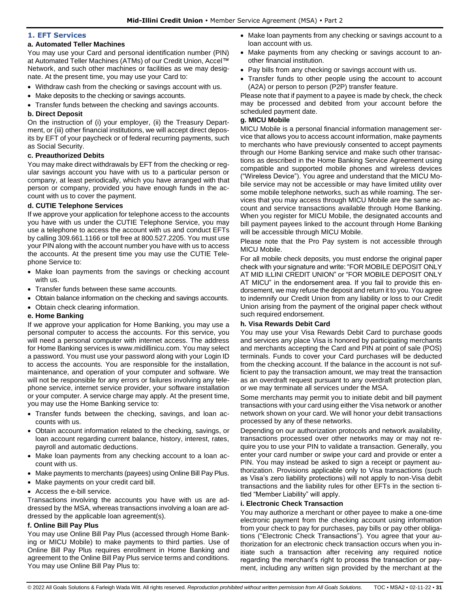#### <span id="page-30-0"></span>**1. EFT Services**

#### **a. Automated Teller Machines**

You may use your Card and personal identification number (PIN) at Automated Teller Machines (ATMs) of our Credit Union, Accel™ Network, and such other machines or facilities as we may designate. At the present time, you may use your Card to:

- Withdraw cash from the checking or savings account with us.
- Make deposits to the checking or savings accounts.
- Transfer funds between the checking and savings accounts.

## **b. Direct Deposit**

On the instruction of (i) your employer, (ii) the Treasury Department, or (iii) other financial institutions, we will accept direct deposits by EFT of your paycheck or of federal recurring payments, such as Social Security.

#### **c. Preauthorized Debits**

You may make direct withdrawals by EFT from the checking or regular savings account you have with us to a particular person or company, at least periodically, which you have arranged with that person or company, provided you have enough funds in the account with us to cover the payment.

#### **d. CUTIE Telephone Services**

If we approve your application for telephone access to the accounts you have with us under the CUTIE Telephone Service, you may use a telephone to access the account with us and conduct EFTs by calling 309.661.1166 or toll free at 800.527.2205. You must use your PIN along with the account number you have with us to access the accounts. At the present time you may use the CUTIE Telephone Service to:

- Make loan payments from the savings or checking account with us.
- Transfer funds between these same accounts.
- Obtain balance information on the checking and savings accounts.
- Obtain check clearing information.

#### **e. Home Banking**

If we approve your application for Home Banking, you may use a personal computer to access the accounts. For this service, you will need a personal computer with internet access. The address for Home Banking services is www.midillinicu.com. You may select a password. You must use your password along with your Login ID to access the accounts. You are responsible for the installation, maintenance, and operation of your computer and software. We will not be responsible for any errors or failures involving any telephone service, internet service provider, your software installation or your computer. A service charge may apply. At the present time, you may use the Home Banking service to:

- Transfer funds between the checking, savings, and loan accounts with us.
- Obtain account information related to the checking, savings, or loan account regarding current balance, history, interest, rates, payroll and automatic deductions.
- Make loan payments from any checking account to a loan account with us.
- Make payments to merchants (payees) using Online Bill Pay Plus.
- Make payments on your credit card bill.
- Access the e-bill service.

Transactions involving the accounts you have with us are addressed by the MSA, whereas transactions involving a loan are addressed by the applicable loan agreement(s).

## **f. Online Bill Pay Plus**

You may use Online Bill Pay Plus (accessed through Home Banking or MICU Mobile) to make payments to third parties. Use of Online Bill Pay Plus requires enrollment in Home Banking and agreement to the Online Bill Pay Plus service terms and conditions. You may use Online Bill Pay Plus to:

- Make loan payments from any checking or savings account to a loan account with us.
- Make payments from any checking or savings account to another financial institution.
- Pay bills from any checking or savings account with us.
- Transfer funds to other people using the account to account (A2A) or person to person (P2P) transfer feature.

Please note that if payment to a payee is made by check, the check may be processed and debited from your account before the scheduled payment date.

## **g. MICU Mobile**

MICU Mobile is a personal financial information management service that allows you to access account information, make payments to merchants who have previously consented to accept payments through our Home Banking service and make such other transactions as described in the Home Banking Service Agreement using compatible and supported mobile phones and wireless devices ("Wireless Device"). You agree and understand that the MICU Mobile service may not be accessible or may have limited utility over some mobile telephone networks, such as while roaming. The services that you may access through MICU Mobile are the same account and service transactions available through Home Banking. When you register for MICU Mobile, the designated accounts and bill payment payees linked to the account through Home Banking will be accessible through MICU Mobile.

Please note that the Pro Pay system is not accessible through MICU Mobile.

For all mobile check deposits, you must endorse the original paper check with your signature and write: "FOR MOBILE DEPOSIT ONLY AT MID ILLINI CREDIT UNION" or "FOR MOBILE DEPOSIT ONLY AT MICU" in the endorsement area. If you fail to provide this endorsement, we may refuse the deposit and return it to you. You agree to indemnify our Credit Union from any liability or loss to our Credit Union arising from the payment of the original paper check without such required endorsement.

#### **h. Visa Rewards Debit Card**

You may use your Visa Rewards Debit Card to purchase goods and services any place Visa is honored by participating merchants and merchants accepting the Card and PIN at point of sale (POS) terminals. Funds to cover your Card purchases will be deducted from the checking account. If the balance in the account is not sufficient to pay the transaction amount, we may treat the transaction as an overdraft request pursuant to any overdraft protection plan, or we may terminate all services under the MSA.

Some merchants may permit you to initiate debit and bill payment transactions with your card using either the Visa network or another network shown on your card. We will honor your debit transactions processed by any of these networks.

Depending on our authorization protocols and network availability, transactions processed over other networks may or may not require you to use your PIN to validate a transaction. Generally, you enter your card number or swipe your card and provide or enter a PIN. You may instead be asked to sign a receipt or payment authorization. Provisions applicable only to Visa transactions (such as Visa's zero liability protections) will not apply to non-Visa debit transactions and the liability rules for other EFTs in the section titled "Member Liability" will apply.

## **i. Electronic Check Transaction**

You may authorize a merchant or other payee to make a one-time electronic payment from the checking account using information from your check to pay for purchases, pay bills or pay other obligations ("Electronic Check Transactions"). You agree that your authorization for an electronic check transaction occurs when you initiate such a transaction after receiving any required notice regarding the merchant's right to process the transaction or payment, including any written sign provided by the merchant at the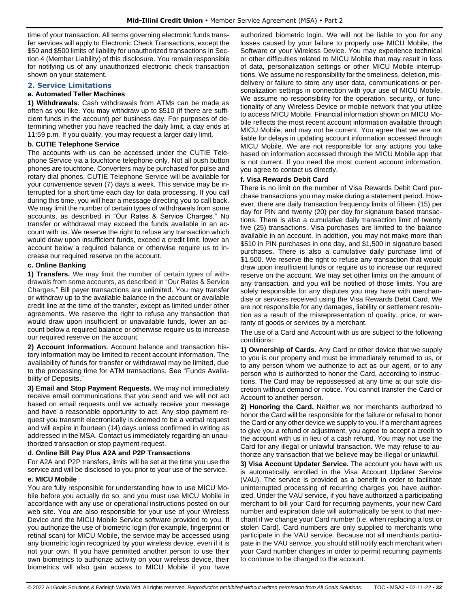time of your transaction. All terms governing electronic funds transfer services will apply to Electronic Check Transactions, except the \$50 and \$500 limits of liability for unauthorized transactions in Section 4 (Member Liability) of this disclosure. You remain responsible for notifying us of any unauthorized electronic check transaction shown on your statement.

#### <span id="page-31-0"></span>**2. Service Limitations**

#### **a. Automated Teller Machines**

**1) Withdrawals.** Cash withdrawals from ATMs can be made as often as you like. You may withdraw up to \$510 (if there are sufficient funds in the account) per business day. For purposes of determining whether you have reached the daily limit, a day ends at 11:59 p.m. If you qualify, you may request a larger daily limit.

#### **b. CUTIE Telephone Service**

The accounts with us can be accessed under the CUTIE Telephone Service via a touchtone telephone only. Not all push button phones are touchtone. Converters may be purchased for pulse and rotary dial phones. CUTIE Telephone Service will be available for your convenience seven (7) days a week. This service may be interrupted for a short time each day for data processing. If you call during this time, you will hear a message directing you to call back. We may limit the number of certain types of withdrawals from some accounts, as described in "Our Rates & Service Charges." No transfer or withdrawal may exceed the funds available in an account with us. We reserve the right to refuse any transaction which would draw upon insufficient funds, exceed a credit limit, lower an account below a required balance or otherwise require us to increase our required reserve on the account.

#### **c. Online Banking**

**1) Transfers.** We may limit the number of certain types of withdrawals from some accounts, as described in "Our Rates & Service Charges." Bill payer transactions are unlimited. You may transfer or withdraw up to the available balance in the account or available credit line at the time of the transfer, except as limited under other agreements. We reserve the right to refuse any transaction that would draw upon insufficient or unavailable funds, lower an account below a required balance or otherwise require us to increase our required reserve on the account.

**2) Account Information.** Account balance and transaction history information may be limited to recent account information. The availability of funds for transfer or withdrawal may be limited, due to the processing time for ATM transactions. See "Funds Availability of Deposits."

**3) Email and Stop Payment Requests.** We may not immediately receive email communications that you send and we will not act based on email requests until we actually receive your message and have a reasonable opportunity to act. Any stop payment request you transmit electronically is deemed to be a verbal request and will expire in fourteen (14) days unless confirmed in writing as addressed in the MSA. Contact us immediately regarding an unauthorized transaction or stop payment request.

#### **d. Online Bill Pay Plus A2A and P2P Transactions**

For A2A and P2P transfers, limits will be set at the time you use the service and will be disclosed to you prior to your use of the service.

#### **e. MICU Mobile**

You are fully responsible for understanding how to use MICU Mobile before you actually do so, and you must use MICU Mobile in accordance with any use or operational instructions posted on our web site. You are also responsible for your use of your Wireless Device and the MICU Mobile Service software provided to you. If you authorize the use of biometric login (for example, fingerprint or retinal scan) for MICU Mobile, the service may be accessed using any biometric login recognized by your wireless device, even if it is not your own. If you have permitted another person to use their own biometrics to authorize activity on your wireless device, their biometrics will also gain access to MICU Mobile if you have authorized biometric login. We will not be liable to you for any losses caused by your failure to properly use MICU Mobile, the Software or your Wireless Device. You may experience technical or other difficulties related to MICU Mobile that may result in loss of data, personalization settings or other MICU Mobile interruptions. We assume no responsibility for the timeliness, deletion, misdelivery or failure to store any user data, communications or personalization settings in connection with your use of MICU Mobile. We assume no responsibility for the operation, security, or functionality of any Wireless Device or mobile network that you utilize to access MICU Mobile. Financial information shown on MICU Mobile reflects the most recent account information available through MICU Mobile, and may not be current. You agree that we are not liable for delays in updating account information accessed through MICU Mobile. We are not responsible for any actions you take based on information accessed through the MICU Mobile app that is not current. If you need the most current account information, you agree to contact us directly.

#### **f. Visa Rewards Debit Card**

There is no limit on the number of Visa Rewards Debit Card purchase transactions you may make during a statement period. However, there are daily transaction frequency limits of fifteen (15) per day for PIN and twenty (20) per day for signature based transactions. There is also a cumulative daily transaction limit of twenty five (25) transactions. Visa purchases are limited to the balance available in an account. In addition, you may not make more than \$510 in PIN purchases in one day, and \$1,500 in signature based purchases. There is also a cumulative daily purchase limit of \$1,500. We reserve the right to refuse any transaction that would draw upon insufficient funds or require us to increase our required reserve on the account. We may set other limits on the amount of any transaction, and you will be notified of those limits. You are solely responsible for any disputes you may have with merchandise or services received using the Visa Rewards Debit Card. We are not responsible for any damages, liability or settlement resolution as a result of the misrepresentation of quality, price, or warranty of goods or services by a merchant.

The use of a Card and Account with us are subject to the following conditions:

**1) Ownership of Cards.** Any Card or other device that we supply to you is our property and must be immediately returned to us, or to any person whom we authorize to act as our agent, or to any person who is authorized to honor the Card, according to instructions. The Card may be repossessed at any time at our sole discretion without demand or notice. You cannot transfer the Card or Account to another person.

**2) Honoring the Card.** Neither we nor merchants authorized to honor the Card will be responsible for the failure or refusal to honor the Card or any other device we supply to you. If a merchant agrees to give you a refund or adjustment, you agree to accept a credit to the account with us in lieu of a cash refund. You may not use the Card for any illegal or unlawful transaction. We may refuse to authorize any transaction that we believe may be illegal or unlawful.

**3) Visa Account Updater Service.** The account you have with us is automatically enrolled in the Visa Account Updater Service (VAU). The service is provided as a benefit in order to facilitate uninterrupted processing of recurring charges you have authorized. Under the VAU service, if you have authorized a participating merchant to bill your Card for recurring payments, your new Card number and expiration date will automatically be sent to that merchant if we change your Card number (i.e. when replacing a lost or stolen Card). Card numbers are only supplied to merchants who participate in the VAU service. Because not all merchants participate in the VAU service, you should still notify each merchant when your Card number changes in order to permit recurring payments to continue to be charged to the account.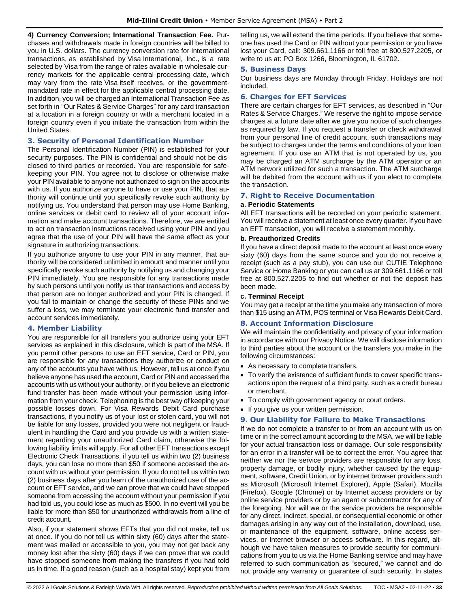**4) Currency Conversion; International Transaction Fee.** Purchases and withdrawals made in foreign countries will be billed to you in U.S. dollars. The currency conversion rate for international transactions, as established by Visa International, Inc., is a rate selected by Visa from the range of rates available in wholesale currency markets for the applicable central processing date, which may vary from the rate Visa itself receives, or the governmentmandated rate in effect for the applicable central processing date. In addition, you will be charged an International Transaction Fee as set forth in "Our Rates & Service Charges" for any card transaction at a location in a foreign country or with a merchant located in a foreign country even if you initiate the transaction from within the United States.

## <span id="page-32-0"></span>**3. Security of Personal Identification Number**

The Personal Identification Number (PIN) is established for your security purposes. The PIN is confidential and should not be disclosed to third parties or recorded. You are responsible for safekeeping your PIN. You agree not to disclose or otherwise make your PIN available to anyone not authorized to sign on the accounts with us. If you authorize anyone to have or use your PIN, that authority will continue until you specifically revoke such authority by notifying us. You understand that person may use Home Banking, online services or debit card to review all of your account information and make account transactions. Therefore, we are entitled to act on transaction instructions received using your PIN and you agree that the use of your PIN will have the same effect as your signature in authorizing transactions.

If you authorize anyone to use your PIN in any manner, that authority will be considered unlimited in amount and manner until you specifically revoke such authority by notifying us and changing your PIN immediately. You are responsible for any transactions made by such persons until you notify us that transactions and access by that person are no longer authorized and your PIN is changed. If you fail to maintain or change the security of these PINs and we suffer a loss, we may terminate your electronic fund transfer and account services immediately.

## <span id="page-32-1"></span>**4. Member Liability**

You are responsible for all transfers you authorize using your EFT services as explained in this disclosure, which is part of the MSA. If you permit other persons to use an EFT service, Card or PIN, you are responsible for any transactions they authorize or conduct on any of the accounts you have with us. However, tell us at once if you believe anyone has used the account, Card or PIN and accessed the accounts with us without your authority, or if you believe an electronic fund transfer has been made without your permission using information from your check. Telephoning is the best way of keeping your possible losses down. For Visa Rewards Debit Card purchase transactions, if you notify us of your lost or stolen card, you will not be liable for any losses, provided you were not negligent or fraudulent in handling the Card and you provide us with a written statement regarding your unauthorized Card claim, otherwise the following liability limits will apply. For all other EFT transactions except Electronic Check Transactions, if you tell us within two (2) business days, you can lose no more than \$50 if someone accessed the account with us without your permission. If you do not tell us within two (2) business days after you learn of the unauthorized use of the account or EFT service, and we can prove that we could have stopped someone from accessing the account without your permission if you had told us, you could lose as much as \$500. In no event will you be liable for more than \$50 for unauthorized withdrawals from a line of credit account.

Also, if your statement shows EFTs that you did not make, tell us at once. If you do not tell us within sixty (60) days after the statement was mailed or accessible to you, you may not get back any money lost after the sixty (60) days if we can prove that we could have stopped someone from making the transfers if you had told us in time. If a good reason (such as a hospital stay) kept you from telling us, we will extend the time periods. If you believe that someone has used the Card or PIN without your permission or you have lost your Card, call: 309.661.1166 or toll free at 800.527.2205, or write to us at: PO Box 1266, Bloomington, IL 61702.

#### <span id="page-32-2"></span>**5. Business Days**

Our business days are Monday through Friday. Holidays are not included.

## <span id="page-32-3"></span>**6. Charges for EFT Services**

There are certain charges for EFT services, as described in "Our Rates & Service Charges." We reserve the right to impose service charges at a future date after we give you notice of such changes as required by law. If you request a transfer or check withdrawal from your personal line of credit account, such transactions may be subject to charges under the terms and conditions of your loan agreement. If you use an ATM that is not operated by us, you may be charged an ATM surcharge by the ATM operator or an ATM network utilized for such a transaction. The ATM surcharge will be debited from the account with us if you elect to complete the transaction.

## <span id="page-32-4"></span>**7. Right to Receive Documentation**

#### **a. Periodic Statements**

All EFT transactions will be recorded on your periodic statement. You will receive a statement at least once every quarter. If you have an EFT transaction, you will receive a statement monthly.

#### **b. Preauthorized Credits**

If you have a direct deposit made to the account at least once every sixty (60) days from the same source and you do not receive a receipt (such as a pay stub), you can use our CUTIE Telephone Service or Home Banking or you can call us at 309.661.1166 or toll free at 800.527.2205 to find out whether or not the deposit has been made.

#### **c. Terminal Receipt**

You may get a receipt at the time you make any transaction of more than \$15 using an ATM, POS terminal or Visa Rewards Debit Card.

## <span id="page-32-5"></span>**8. Account Information Disclosure**

We will maintain the confidentiality and privacy of your information in accordance with our Privacy Notice. We will disclose information to third parties about the account or the transfers you make in the following circumstances:

- As necessary to complete transfers.
- To verify the existence of sufficient funds to cover specific transactions upon the request of a third party, such as a credit bureau or merchant.
- To comply with government agency or court orders.
- If you give us your written permission.

## <span id="page-32-6"></span>**9. Our Liability for Failure to Make Transactions**

If we do not complete a transfer to or from an account with us on time or in the correct amount according to the MSA, we will be liable for your actual transaction loss or damage. Our sole responsibility for an error in a transfer will be to correct the error. You agree that neither we nor the service providers are responsible for any loss, property damage, or bodily injury, whether caused by the equipment, software, Credit Union, or by internet browser providers such as Microsoft (Microsoft Internet Explorer), Apple (Safari), Mozilla (Firefox), Google (Chrome) or by Internet access providers or by online service providers or by an agent or subcontractor for any of the foregoing. Nor will we or the service providers be responsible for any direct, indirect, special, or consequential economic or other damages arising in any way out of the installation, download, use, or maintenance of the equipment, software, online access services, or Internet browser or access software. In this regard, although we have taken measures to provide security for communications from you to us via the Home Banking service and may have referred to such communication as "secured," we cannot and do not provide any warranty or guarantee of such security. In states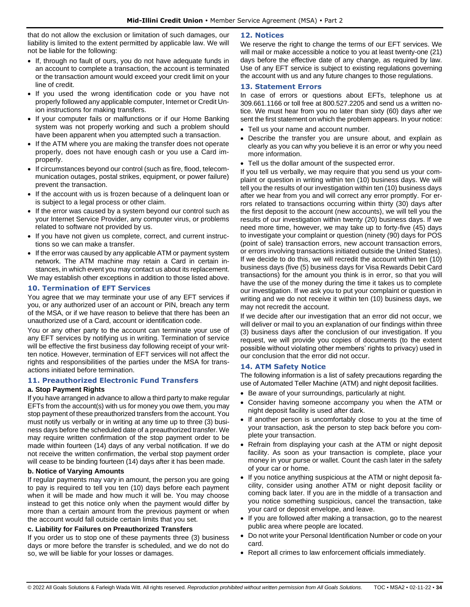that do not allow the exclusion or limitation of such damages, our liability is limited to the extent permitted by applicable law. We will not be liable for the following:

- If, through no fault of ours, you do not have adequate funds in an account to complete a transaction, the account is terminated or the transaction amount would exceed your credit limit on your line of credit.
- If you used the wrong identification code or you have not properly followed any applicable computer, Internet or Credit Union instructions for making transfers.
- If your computer fails or malfunctions or if our Home Banking system was not properly working and such a problem should have been apparent when you attempted such a transaction.
- If the ATM where you are making the transfer does not operate properly, does not have enough cash or you use a Card improperly.
- If circumstances beyond our control (such as fire, flood, telecommunication outages, postal strikes, equipment, or power failure) prevent the transaction.
- If the account with us is frozen because of a delinquent loan or is subject to a legal process or other claim.
- If the error was caused by a system beyond our control such as your Internet Service Provider, any computer virus, or problems related to software not provided by us.
- If you have not given us complete, correct, and current instructions so we can make a transfer.
- If the error was caused by any applicable ATM or payment system network. The ATM machine may retain a Card in certain instances, in which event you may contact us about its replacement. We may establish other exceptions in addition to those listed above.

## <span id="page-33-0"></span>**10. Termination of EFT Services**

You agree that we may terminate your use of any EFT services if you, or any authorized user of an account or PIN, breach any term of the MSA, or if we have reason to believe that there has been an unauthorized use of a Card, account or identification code.

You or any other party to the account can terminate your use of any EFT services by notifying us in writing. Termination of service will be effective the first business day following receipt of your written notice. However, termination of EFT services will not affect the rights and responsibilities of the parties under the MSA for transactions initiated before termination.

#### <span id="page-33-1"></span>**11. Preauthorized Electronic Fund Transfers**

#### **a. Stop Payment Rights**

If you have arranged in advance to allow a third party to make regular EFTs from the account(s) with us for money you owe them, you may stop payment of these preauthorized transfers from the account. You must notify us verbally or in writing at any time up to three (3) business days before the scheduled date of a preauthorized transfer. We may require written confirmation of the stop payment order to be made within fourteen (14) days of any verbal notification. If we do not receive the written confirmation, the verbal stop payment order will cease to be binding fourteen (14) days after it has been made.

## **b. Notice of Varying Amounts**

If regular payments may vary in amount, the person you are going to pay is required to tell you ten (10) days before each payment when it will be made and how much it will be. You may choose instead to get this notice only when the payment would differ by more than a certain amount from the previous payment or when the account would fall outside certain limits that you set.

#### **c. Liability for Failures on Preauthorized Transfers**

If you order us to stop one of these payments three (3) business days or more before the transfer is scheduled, and we do not do so, we will be liable for your losses or damages.

#### <span id="page-33-2"></span>**12. Notices**

We reserve the right to change the terms of our EFT services. We will mail or make accessible a notice to you at least twenty-one (21) days before the effective date of any change, as required by law. Use of any EFT service is subject to existing regulations governing the account with us and any future changes to those regulations.

### <span id="page-33-3"></span>**13. Statement Errors**

In case of errors or questions about EFTs, telephone us at 309.661.1166 or toll free at 800.527.2205 and send us a written notice. We must hear from you no later than sixty (60) days after we sent the first statement on which the problem appears. In your notice:

- Tell us your name and account number.
- Describe the transfer you are unsure about, and explain as clearly as you can why you believe it is an error or why you need more information.
- Tell us the dollar amount of the suspected error.

If you tell us verbally, we may require that you send us your complaint or question in writing within ten (10) business days. We will tell you the results of our investigation within ten (10) business days after we hear from you and will correct any error promptly. For errors related to transactions occurring within thirty (30) days after the first deposit to the account (new accounts), we will tell you the results of our investigation within twenty (20) business days. If we need more time, however, we may take up to forty-five (45) days to investigate your complaint or question (ninety (90) days for POS (point of sale) transaction errors, new account transaction errors, or errors involving transactions initiated outside the United States). If we decide to do this, we will recredit the account within ten (10) business days (five (5) business days for Visa Rewards Debit Card transactions) for the amount you think is in error, so that you will have the use of the money during the time it takes us to complete our investigation. If we ask you to put your complaint or question in writing and we do not receive it within ten (10) business days, we may not recredit the account.

If we decide after our investigation that an error did not occur, we will deliver or mail to you an explanation of our findings within three (3) business days after the conclusion of our investigation. If you request, we will provide you copies of documents (to the extent possible without violating other members' rights to privacy) used in our conclusion that the error did not occur.

## <span id="page-33-4"></span>**14. ATM Safety Notice**

The following information is a list of safety precautions regarding the use of Automated Teller Machine (ATM) and night deposit facilities.

- Be aware of your surroundings, particularly at night.
- Consider having someone accompany you when the ATM or night deposit facility is used after dark.
- If another person is uncomfortably close to you at the time of your transaction, ask the person to step back before you complete your transaction.
- Refrain from displaying your cash at the ATM or night deposit facility. As soon as your transaction is complete, place your money in your purse or wallet. Count the cash later in the safety of your car or home.
- If you notice anything suspicious at the ATM or night deposit facility, consider using another ATM or night deposit facility or coming back later. If you are in the middle of a transaction and you notice something suspicious, cancel the transaction, take your card or deposit envelope, and leave.
- If you are followed after making a transaction, go to the nearest public area where people are located.
- Do not write your Personal Identification Number or code on your card.
- Report all crimes to law enforcement officials immediately.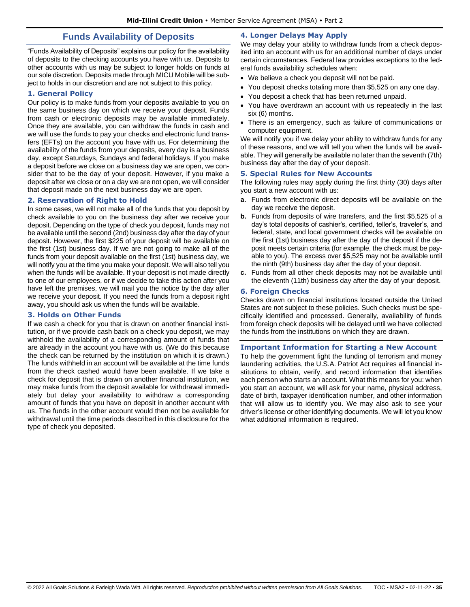## **Funds Availability of Deposits**

<span id="page-34-0"></span>"Funds Availability of Deposits" explains our policy for the availability of deposits to the checking accounts you have with us. Deposits to other accounts with us may be subject to longer holds on funds at our sole discretion. Deposits made through MICU Mobile will be subject to holds in our discretion and are not subject to this policy.

## <span id="page-34-1"></span>**1. General Policy**

Our policy is to make funds from your deposits available to you on the same business day on which we receive your deposit. Funds from cash or electronic deposits may be available immediately. Once they are available, you can withdraw the funds in cash and we will use the funds to pay your checks and electronic fund transfers (EFTs) on the account you have with us. For determining the availability of the funds from your deposits, every day is a business day, except Saturdays, Sundays and federal holidays. If you make a deposit before we close on a business day we are open, we consider that to be the day of your deposit. However, if you make a deposit after we close or on a day we are not open, we will consider that deposit made on the next business day we are open.

#### <span id="page-34-2"></span>**2. Reservation of Right to Hold**

In some cases, we will not make all of the funds that you deposit by check available to you on the business day after we receive your deposit. Depending on the type of check you deposit, funds may not be available until the second (2nd) business day after the day of your deposit. However, the first \$225 of your deposit will be available on the first (1st) business day. If we are not going to make all of the funds from your deposit available on the first (1st) business day, we will notify you at the time you make your deposit. We will also tell you when the funds will be available. If your deposit is not made directly to one of our employees, or if we decide to take this action after you have left the premises, we will mail you the notice by the day after we receive your deposit. If you need the funds from a deposit right away, you should ask us when the funds will be available.

#### <span id="page-34-3"></span>**3. Holds on Other Funds**

<span id="page-34-4"></span>If we cash a check for you that is drawn on another financial institution, or if we provide cash back on a check you deposit, we may withhold the availability of a corresponding amount of funds that are already in the account you have with us. (We do this because the check can be returned by the institution on which it is drawn.) The funds withheld in an account will be available at the time funds from the check cashed would have been available. If we take a check for deposit that is drawn on another financial institution, we may make funds from the deposit available for withdrawal immediately but delay your availability to withdraw a corresponding amount of funds that you have on deposit in another account with us. The funds in the other account would then not be available for withdrawal until the time periods described in this disclosure for the type of check you deposited.

## **4. Longer Delays May Apply**

We may delay your ability to withdraw funds from a check deposited into an account with us for an additional number of days under certain circumstances. Federal law provides exceptions to the federal funds availability schedules when:

- We believe a check you deposit will not be paid.
- You deposit checks totaling more than \$5,525 on any one day.
- You deposit a check that has been returned unpaid.
- You have overdrawn an account with us repeatedly in the last six (6) months.
- There is an emergency, such as failure of communications or computer equipment.

We will notify you if we delay your ability to withdraw funds for any of these reasons, and we will tell you when the funds will be available. They will generally be available no later than the seventh (7th) business day after the day of your deposit.

#### <span id="page-34-5"></span>**5. Special Rules for New Accounts**

The following rules may apply during the first thirty (30) days after you start a new account with us:

- **a.** Funds from electronic direct deposits will be available on the day we receive the deposit.
- **b.** Funds from deposits of wire transfers, and the first \$5,525 of a day's total deposits of cashier's, certified, teller's, traveler's, and federal, state, and local government checks will be available on the first (1st) business day after the day of the deposit if the deposit meets certain criteria (for example, the check must be payable to you). The excess over \$5,525 may not be available until the ninth (9th) business day after the day of your deposit.
- **c.** Funds from all other check deposits may not be available until the eleventh (11th) business day after the day of your deposit.

#### <span id="page-34-6"></span>**6. Foreign Checks**

Checks drawn on financial institutions located outside the United States are not subject to these policies. Such checks must be specifically identified and processed. Generally, availability of funds from foreign check deposits will be delayed until we have collected the funds from the institutions on which they are drawn.

#### <span id="page-34-7"></span>**Important Information for Starting a New Account**

To help the government fight the funding of terrorism and money laundering activities, the U.S.A. Patriot Act requires all financial institutions to obtain, verify, and record information that identifies each person who starts an account. What this means for you: when you start an account, we will ask for your name, physical address, date of birth, taxpayer identification number, and other information that will allow us to identify you. We may also ask to see your driver's license or other identifying documents. We will let you know what additional information is required.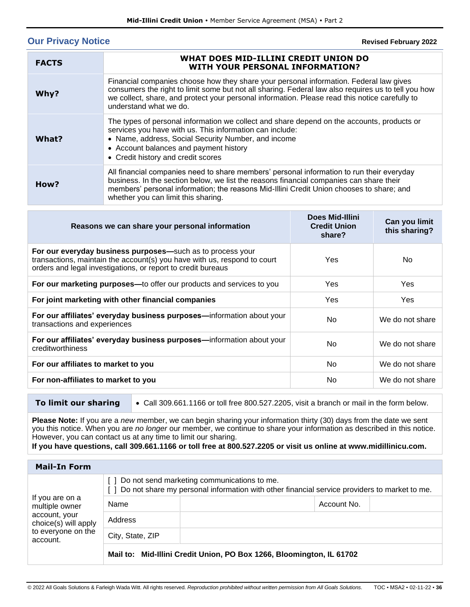# <span id="page-35-0"></span>**Our Privacy Notice**

**Revised February 2022**

| <b>FACTS</b> | WHAT DOES MID-ILLINI CREDIT UNION DO<br>WITH YOUR PERSONAL INFORMATION?                                                                                                                                                                                                                                                   |
|--------------|---------------------------------------------------------------------------------------------------------------------------------------------------------------------------------------------------------------------------------------------------------------------------------------------------------------------------|
| Why?         | Financial companies choose how they share your personal information. Federal law gives<br>consumers the right to limit some but not all sharing. Federal law also requires us to tell you how<br>we collect, share, and protect your personal information. Please read this notice carefully to<br>understand what we do. |
| What?        | The types of personal information we collect and share depend on the accounts, products or<br>services you have with us. This information can include:<br>• Name, address, Social Security Number, and income<br>• Account balances and payment history<br>• Credit history and credit scores                             |
| How?         | All financial companies need to share members' personal information to run their everyday<br>business. In the section below, we list the reasons financial companies can share their<br>members' personal information; the reasons Mid-Illini Credit Union chooses to share; and<br>whether you can limit this sharing.   |

| Reasons we can share your personal information                                                                                                                                                         | <b>Does Mid-Illini</b><br><b>Credit Union</b><br>share? | Can you limit<br>this sharing? |
|--------------------------------------------------------------------------------------------------------------------------------------------------------------------------------------------------------|---------------------------------------------------------|--------------------------------|
| For our everyday business purposes-such as to process your<br>transactions, maintain the account(s) you have with us, respond to court<br>orders and legal investigations, or report to credit bureaus | Yes.                                                    | No.                            |
| For our marketing purposes—to offer our products and services to you                                                                                                                                   | <b>Yes</b>                                              | <b>Yes</b>                     |
| For joint marketing with other financial companies                                                                                                                                                     | <b>Yes</b>                                              | <b>Yes</b>                     |
| For our affiliates' everyday business purposes—information about your<br>transactions and experiences                                                                                                  | No.                                                     | We do not share                |
| For our affiliates' everyday business purposes—information about your<br>creditworthiness                                                                                                              | N <sub>0</sub>                                          | We do not share                |
| For our affiliates to market to you                                                                                                                                                                    | No.                                                     | We do not share                |
| For non-affiliates to market to you                                                                                                                                                                    | N <sub>o</sub>                                          | We do not share                |

**To limit our sharing** • Call 309.661.1166 or toll free 800.527.2205, visit a branch or mail in the form below.

**Please Note:** If you are a *new* member, we can begin sharing your information thirty (30) days from the date we sent you this notice. When you are *no longer* our member, we continue to share your information as described in this notice. However, you can contact us at any time to limit our sharing.

**If you have questions, call 309.661.1166 or toll free at 800.527.2205 or visit us online at www.midillinicu.com.**

| <b>Mail-In Form</b>                                                                                          |                                                                                                                                                    |                                                                      |  |
|--------------------------------------------------------------------------------------------------------------|----------------------------------------------------------------------------------------------------------------------------------------------------|----------------------------------------------------------------------|--|
| If you are on a<br>multiple owner<br>account, your<br>choice(s) will apply<br>to everyone on the<br>account. | [] Do not send marketing communications to me.<br>[ ] Do not share my personal information with other financial service providers to market to me. |                                                                      |  |
|                                                                                                              | Name                                                                                                                                               | Account No.                                                          |  |
|                                                                                                              | Address                                                                                                                                            |                                                                      |  |
|                                                                                                              | City, State, ZIP                                                                                                                                   |                                                                      |  |
|                                                                                                              |                                                                                                                                                    | Mail to: Mid-Illini Credit Union, PO Box 1266, Bloomington, IL 61702 |  |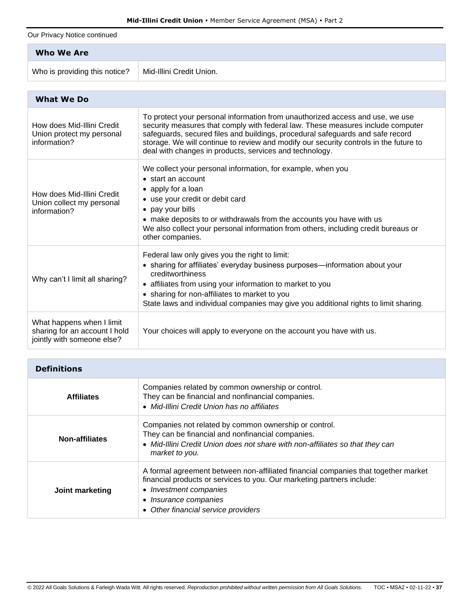Our Privacy Notice continued

| <b>Who We Are</b>             |                          |
|-------------------------------|--------------------------|
| Who is providing this notice? | Mid-Illini Credit Union. |

| <b>What We Do</b>                                                                        |                                                                                                                                                                                                                                                                                                                                                                                                        |
|------------------------------------------------------------------------------------------|--------------------------------------------------------------------------------------------------------------------------------------------------------------------------------------------------------------------------------------------------------------------------------------------------------------------------------------------------------------------------------------------------------|
| How does Mid-Illini Credit<br>Union protect my personal<br>information?                  | To protect your personal information from unauthorized access and use, we use<br>security measures that comply with federal law. These measures include computer<br>safeguards, secured files and buildings, procedural safeguards and safe record<br>storage. We will continue to review and modify our security controls in the future to<br>deal with changes in products, services and technology. |
| How does Mid-Illini Credit<br>Union collect my personal<br>information?                  | We collect your personal information, for example, when you<br>• start an account<br>• apply for a loan<br>• use your credit or debit card<br>• pay your bills<br>• make deposits to or withdrawals from the accounts you have with us<br>We also collect your personal information from others, including credit bureaus or<br>other companies.                                                       |
| Why can't I limit all sharing?                                                           | Federal law only gives you the right to limit:<br>• sharing for affiliates' everyday business purposes—information about your<br>creditworthiness<br>• affiliates from using your information to market to you<br>• sharing for non-affiliates to market to you<br>State laws and individual companies may give you additional rights to limit sharing.                                                |
| What happens when I limit<br>sharing for an account I hold<br>jointly with someone else? | Your choices will apply to everyone on the account you have with us.                                                                                                                                                                                                                                                                                                                                   |

| <b>Definitions</b> |                                                                                                                                                                                                                                                        |
|--------------------|--------------------------------------------------------------------------------------------------------------------------------------------------------------------------------------------------------------------------------------------------------|
| <b>Affiliates</b>  | Companies related by common ownership or control.<br>They can be financial and nonfinancial companies.<br>• Mid-Illini Credit Union has no affiliates                                                                                                  |
| Non-affiliates     | Companies not related by common ownership or control.<br>They can be financial and nonfinancial companies.<br>• Mid-Illini Credit Union does not share with non-affiliates so that they can<br>market to you.                                          |
| Joint marketing    | A formal agreement between non-affiliated financial companies that together market<br>financial products or services to you. Our marketing partners include:<br>• Investment companies<br>• Insurance companies<br>• Other financial service providers |